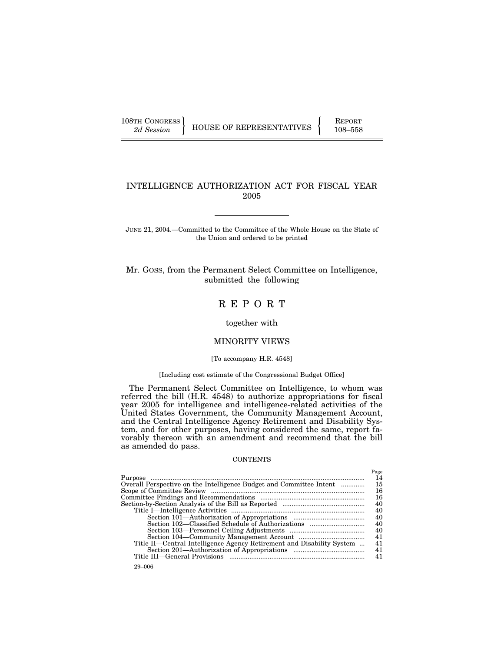108TH CONGRESS REPORT

# INTELLIGENCE AUTHORIZATION ACT FOR FISCAL YEAR 2005

JUNE 21, 2004.—Committed to the Committee of the Whole House on the State of the Union and ordered to be printed

Mr. GOSS, from the Permanent Select Committee on Intelligence, submitted the following

# R E P O R T

together with

## MINORITY VIEWS

[To accompany H.R. 4548]

## [Including cost estimate of the Congressional Budget Office]

The Permanent Select Committee on Intelligence, to whom was referred the bill (H.R. 4548) to authorize appropriations for fiscal year 2005 for intelligence and intelligence-related activities of the United States Government, the Community Management Account, and the Central Intelligence Agency Retirement and Disability System, and for other purposes, having considered the same, report favorably thereon with an amendment and recommend that the bill as amended do pass.

## **CONTENTS**

|                                                                       | Page |
|-----------------------------------------------------------------------|------|
|                                                                       | 14   |
| Overall Perspective on the Intelligence Budget and Committee Intent   | 15   |
|                                                                       | 16   |
|                                                                       | 16   |
|                                                                       | 40   |
|                                                                       | 40   |
|                                                                       | 40   |
|                                                                       | 40   |
|                                                                       | 40   |
|                                                                       | 41   |
| Title II—Central Intelligence Agency Retirement and Disability System | 41   |
|                                                                       | 41   |
|                                                                       | 41   |
| $29 - 006$                                                            |      |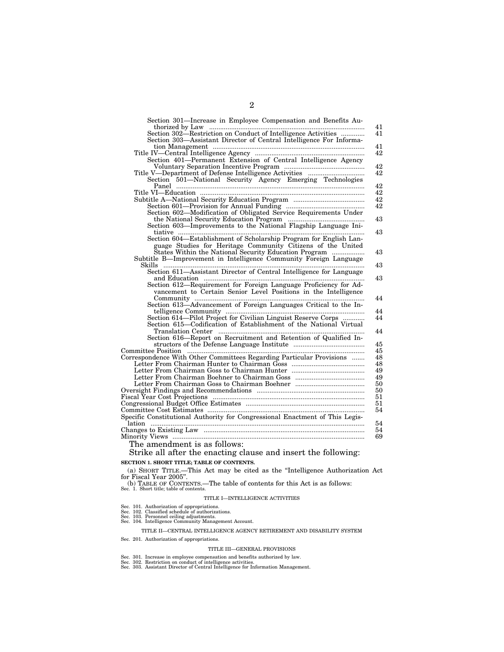| Section 301-Increase in Employee Compensation and Benefits Au-               |
|------------------------------------------------------------------------------|
|                                                                              |
| Section 302—Restriction on Conduct of Intelligence Activities                |
| Section 303-Assistant Director of Central Intelligence For Informa-          |
|                                                                              |
|                                                                              |
|                                                                              |
|                                                                              |
|                                                                              |
| Section 501-National Security Agency Emerging Technologies                   |
|                                                                              |
|                                                                              |
|                                                                              |
| Section 602-Modification of Obligated Service Requirements Under             |
|                                                                              |
|                                                                              |
|                                                                              |
| Section 604—Establishment of Scholarship Program for English Lan-            |
| guage Studies for Heritage Community Citizens of the United                  |
| States Within the National Security Education Program                        |
| Subtitle B-Improvement in Intelligence Community Foreign Language            |
|                                                                              |
| Section 611-Assistant Director of Central Intelligence for Language          |
|                                                                              |
| Section 612-Requirement for Foreign Language Proficiency for Ad-             |
| vancement to Certain Senior Level Positions in the Intelligence              |
|                                                                              |
| Section 613-Advancement of Foreign Languages Critical to the In-             |
|                                                                              |
| Section 614—Pilot Project for Civilian Linguist Reserve Corps                |
| Section 615-Codification of Establishment of the National Virtual            |
|                                                                              |
| Section 616—Report on Recruitment and Retention of Qualified In-             |
|                                                                              |
|                                                                              |
| Correspondence With Other Committees Regarding Particular Provisions         |
|                                                                              |
|                                                                              |
|                                                                              |
|                                                                              |
|                                                                              |
|                                                                              |
|                                                                              |
|                                                                              |
| Specific Constitutional Authority for Congressional Enactment of This Legis- |
|                                                                              |
|                                                                              |
| Minority Views …………………………………………………………………………………………                            |
|                                                                              |
| The amendment is as follows:                                                 |
| Strike all after the enacting clause and insert the following:               |

## **SECTION 1. SHORT TITLE; TABLE OF CONTENTS.**

#### (a) SHORT TITLE.—This Act may be cited as the ''Intelligence Authorization Act for Fiscal Year 2005''.

(b) TABLE OF CONTENTS.—The table of contents for this Act is as follows: Sec. 1. Short title; table of contents.

## TITLE I—INTELLIGENCE ACTIVITIES

- 
- 
- Sec. 101. Authorization of appropriations. Sec. 102. Classified schedule of authorizations. Sec. 103. Personnel ceiling adjustments. Sec. 104. Intelligence Community Management Account.

TITLE II—CENTRAL INTELLIGENCE AGENCY RETIREMENT AND DISABILITY SYSTEM

Sec. 201. Authorization of appropriations.

### TITLE III—GENERAL PROVISIONS

- 
- 
- Sec. 301. Increase in employee compensation and benefits authorized by law.<br>Sec. 302. Restriction on conduct of intelligence activities.<br>Sec. 303. Assistant Director of Central Intelligence for Information Management.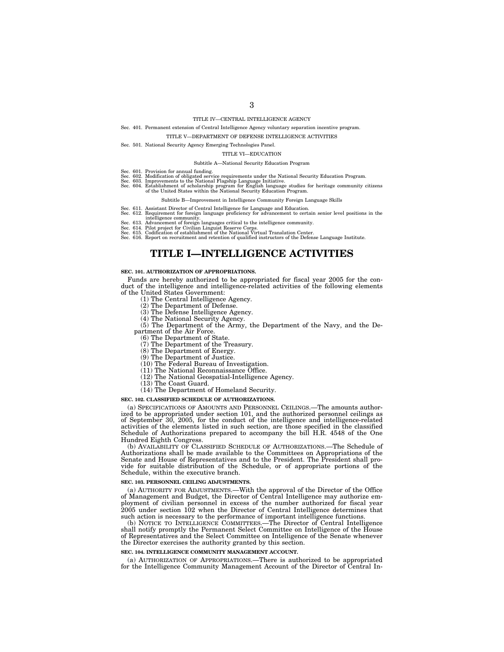# TITLE IV—CENTRAL INTELLIGENCE AGENCY

### Sec. 401. Permanent extension of Central Intelligence Agency voluntary separation incentive program.

#### TITLE V—DEPARTMENT OF DEFENSE INTELLIGENCE ACTIVITIES

Sec. 501. National Security Agency Emerging Technologies Panel.

#### TITLE VI—EDUCATION

#### Subtitle A—National Security Education Program

- 
- Sec. 601. Provision for annual funding.<br>Sec. 602. Modification of obligated service requirements under the National Security Education Program.<br>Sec. 602. Improvements to the National Flagship Language Initiative.<br>Sec. 604.

#### Subtitle B—Improvement in Intelligence Community Foreign Language Skills

- 
- Sec. 611. Assistant Director of Central Intelligence for Language and Education. Sec. 612. Requirement for foreign language proficiency for advancement to certain senior level positions in the
- 
- 
- 

intelligence community.<br>Sec. 613. Advancement of foreign languages critical to the intelligence community.<br>Sec. 614. Pilot project for Civilian Linguist Reserve Corps.<br>Sec. 615. Codification of establishment of the Nationa

# **TITLE I—INTELLIGENCE ACTIVITIES**

### **SEC. 101. AUTHORIZATION OF APPROPRIATIONS.**

Funds are hereby authorized to be appropriated for fiscal year 2005 for the conduct of the intelligence and intelligence-related activities of the following elements of the United States Government:

- (1) The Central Intelligence Agency.
- 
- (2) The Department of Defense. (3) The Defense Intelligence Agency.
- (4) The National Security Agency.

(5) The Department of the Army, the Department of the Navy, and the De-

partment of the Air Force. (6) The Department of State.

(7) The Department of the Treasury. (8) The Department of Energy.

(9) The Department of Justice. (10) The Federal Bureau of Investigation.

- 
- (11) The National Reconnaissance Office. (12) The National Geospatial-Intelligence Agency.
- 
- (13) The Coast Guard. (14) The Department of Homeland Security.

#### **SEC. 102. CLASSIFIED SCHEDULE OF AUTHORIZATIONS.**

(a) SPECIFICATIONS OF AMOUNTS AND PERSONNEL CEILINGS.—The amounts authorized to be appropriated under section 101, and the authorized personnel ceilings as of September 30, 2005, for the conduct of the intelligence and intelligence-related activities of the elements listed in such section, are those specified in the classified Schedule of Authorizations prepared to accompany the bill H.R. 4548 of the One Hundred Eighth Congress.

(b) AVAILABILITY OF CLASSIFIED SCHEDULE OF AUTHORIZATIONS.—The Schedule of Authorizations shall be made available to the Committees on Appropriations of the Senate and House of Representatives and to the President. The President shall provide for suitable distribution of the Schedule, or of appropriate portions of the Schedule, within the executive branch.

#### **SEC. 103. PERSONNEL CEILING ADJUSTMENTS.**

(a) AUTHORITY FOR ADJUSTMENTS.—With the approval of the Director of the Office of Management and Budget, the Director of Central Intelligence may authorize employment of civilian personnel in excess of the number authorized for fiscal year 2005 under section 102 when the Director of Central Intelligence determines that such action is necessary to the performance of important intelligence functions.

(b) NOTICE TO INTELLIGENCE COMMITTEES.—The Director of Central Intelligence shall notify promptly the Permanent Select Committee on Intelligence of the House of Representatives and the Select Committee on Intelligence of the Senate whenever the Director exercises the authority granted by this section.

#### **SEC. 104. INTELLIGENCE COMMUNITY MANAGEMENT ACCOUNT**

(a) AUTHORIZATION OF APPROPRIATIONS.—There is authorized to be appropriated for the Intelligence Community Management Account of the Director of Central In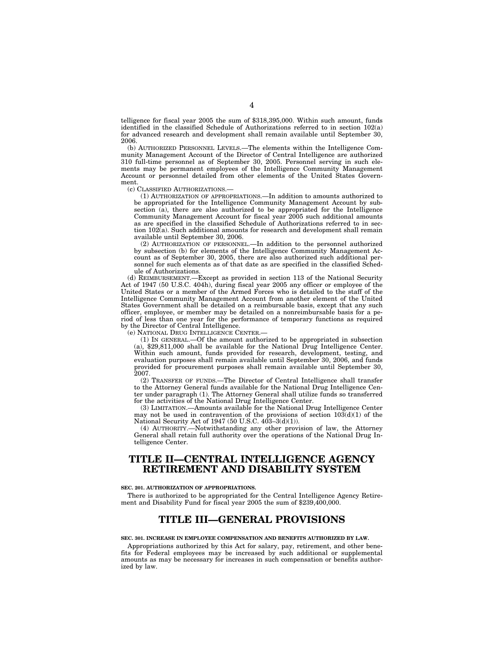telligence for fiscal year 2005 the sum of \$318,395,000. Within such amount, funds identified in the classified Schedule of Authorizations referred to in section 102(a) for advanced research and development shall remain available until September 30, 2006.

(b) AUTHORIZED PERSONNEL LEVELS.—The elements within the Intelligence Community Management Account of the Director of Central Intelligence are authorized 310 full-time personnel as of September 30, 2005. Personnel serving in such elements may be permanent employees of the Intelligence Community Management Account or personnel detailed from other elements of the United States Government.

(c) CLASSIFIED AUTHORIZATIONS.—

(1) AUTHORIZATION OF APPROPRIATIONS.—In addition to amounts authorized to be appropriated for the Intelligence Community Management Account by subsection (a), there are also authorized to be appropriated for the Intelligence Community Management Account for fiscal year 2005 such additional amounts as are specified in the classified Schedule of Authorizations referred to in section  $102(a)$ . Such additional amounts for research and development shall remain available until September 30, 2006.

(2) AUTHORIZATION OF PERSONNEL.—In addition to the personnel authorized by subsection (b) for elements of the Intelligence Community Management Account as of September 30, 2005, there are also authorized such additional personnel for such elements as of that date as are specified in the classified Schedule of Authorizations.

(d) REIMBURSEMENT.—Except as provided in section 113 of the National Security Act of 1947 (50 U.S.C. 404h), during fiscal year 2005 any officer or employee of the United States or a member of the Armed Forces who is detailed to the staff of the Intelligence Community Management Account from another element of the United States Government shall be detailed on a reimbursable basis, except that any such officer, employee, or member may be detailed on a nonreimbursable basis for a period of less than one year for the performance of temporary functions as required by the Director of Central Intelligence.

(e) NATIONAL DRUG INTELLIGENCE CENTER.—

(1) IN GENERAL.—Of the amount authorized to be appropriated in subsection (a), \$29,811,000 shall be available for the National Drug Intelligence Center. Within such amount, funds provided for research, development, testing, and evaluation purposes shall remain available until September 30, 2006, and funds provided for procurement purposes shall remain available until September 30, 2007.

(2) TRANSFER OF FUNDS.—The Director of Central Intelligence shall transfer to the Attorney General funds available for the National Drug Intelligence Center under paragraph (1). The Attorney General shall utilize funds so transferred for the activities of the National Drug Intelligence Center.

(3) LIMITATION.—Amounts available for the National Drug Intelligence Center may not be used in contravention of the provisions of section  $10\tilde{3}(d)(1)$  of the National Security Act of 1947 (50 U.S.C. 403–3(d)(1)).

(4) AUTHORITY.—Notwithstanding any other provision of law, the Attorney General shall retain full authority over the operations of the National Drug Intelligence Center.

# **TITLE II—CENTRAL INTELLIGENCE AGENCY RETIREMENT AND DISABILITY SYSTEM**

#### **SEC. 201. AUTHORIZATION OF APPROPRIATIONS.**

There is authorized to be appropriated for the Central Intelligence Agency Retirement and Disability Fund for fiscal year 2005 the sum of \$239,400,000.

## **TITLE III—GENERAL PROVISIONS**

### **SEC. 301. INCREASE IN EMPLOYEE COMPENSATION AND BENEFITS AUTHORIZED BY LAW.**

Appropriations authorized by this Act for salary, pay, retirement, and other benefits for Federal employees may be increased by such additional or supplemental amounts as may be necessary for increases in such compensation or benefits authorized by law.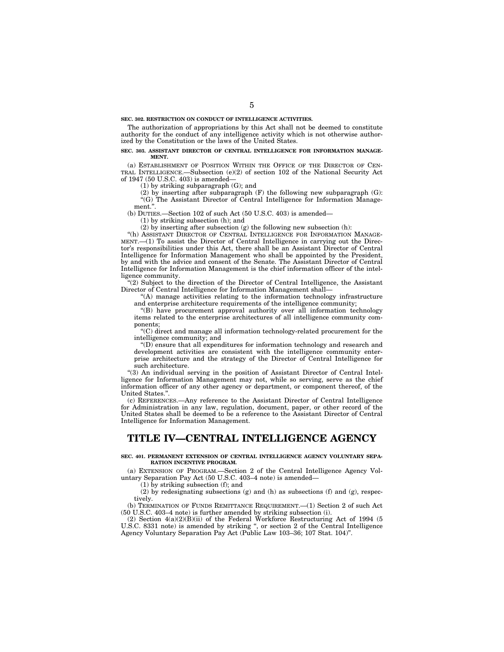**SEC. 302. RESTRICTION ON CONDUCT OF INTELLIGENCE ACTIVITIES.** 

The authorization of appropriations by this Act shall not be deemed to constitute authority for the conduct of any intelligence activity which is not otherwise authorized by the Constitution or the laws of the United States.

#### **SEC. 303. ASSISTANT DIRECTOR OF CENTRAL INTELLIGENCE FOR INFORMATION MANAGE-MENT.**

(a) ESTABLISHMENT OF POSITION WITHIN THE OFFICE OF THE DIRECTOR OF CEN-TRAL INTELLIGENCE.—Subsection (e)(2) of section 102 of the National Security Act of 1947 (50 U.S.C. 403) is amended—

(1) by striking subparagraph (G); and

 $(2)$  by inserting after subparagraph  $(F)$  the following new subparagraph  $(G)$ : ''(G) The Assistant Director of Central Intelligence for Information Management."

(b) DUTIES.—Section 102 of such Act (50 U.S.C. 403) is amended—

(1) by striking subsection (h); and

(2) by inserting after subsection (g) the following new subsection (h):

''(h) ASSISTANT DIRECTOR OF CENTRAL INTELLIGENCE FOR INFORMATION MANAGE-MENT.—(1) To assist the Director of Central Intelligence in carrying out the Director's responsibilities under this Act, there shall be an Assistant Director of Central Intelligence for Information Management who shall be appointed by the President, by and with the advice and consent of the Senate. The Assistant Director of Central Intelligence for Information Management is the chief information officer of the intelligence community.

''(2) Subject to the direction of the Director of Central Intelligence, the Assistant Director of Central Intelligence for Information Management shall—

''(A) manage activities relating to the information technology infrastructure and enterprise architecture requirements of the intelligence community;

''(B) have procurement approval authority over all information technology items related to the enterprise architectures of all intelligence community components;

''(C) direct and manage all information technology-related procurement for the intelligence community; and

''(D) ensure that all expenditures for information technology and research and development activities are consistent with the intelligence community enterprise architecture and the strategy of the Director of Central Intelligence for such architecture.

''(3) An individual serving in the position of Assistant Director of Central Intelligence for Information Management may not, while so serving, serve as the chief information officer of any other agency or department, or component thereof, of the United States.''.

(c) REFERENCES.—Any reference to the Assistant Director of Central Intelligence for Administration in any law, regulation, document, paper, or other record of the United States shall be deemed to be a reference to the Assistant Director of Central Intelligence for Information Management.

# **TITLE IV—CENTRAL INTELLIGENCE AGENCY**

#### **SEC. 401. PERMANENT EXTENSION OF CENTRAL INTELLIGENCE AGENCY VOLUNTARY SEPA-RATION INCENTIVE PROGRAM.**

(a) EXTENSION OF PROGRAM.—Section 2 of the Central Intelligence Agency Voluntary Separation Pay Act (50 U.S.C. 403–4 note) is amended—

(1) by striking subsection (f); and

(2) by redesignating subsections (g) and (h) as subsections (f) and (g), respectively.

(b) TERMINATION OF FUNDS REMITTANCE REQUIREMENT.—(1) Section 2 of such Act (50 U.S.C. 403–4 note) is further amended by striking subsection (i).

(2) Section  $4(a)(2)(B)(ii)$  of the Federal Workforce Restructuring Act of 1994 (5) U.S.C. 8331 note) is amended by striking ", or section 2 of the Central Intelligence Agency Voluntary Separation Pay Act (Public Law 103–36; 107 Stat. 104)''.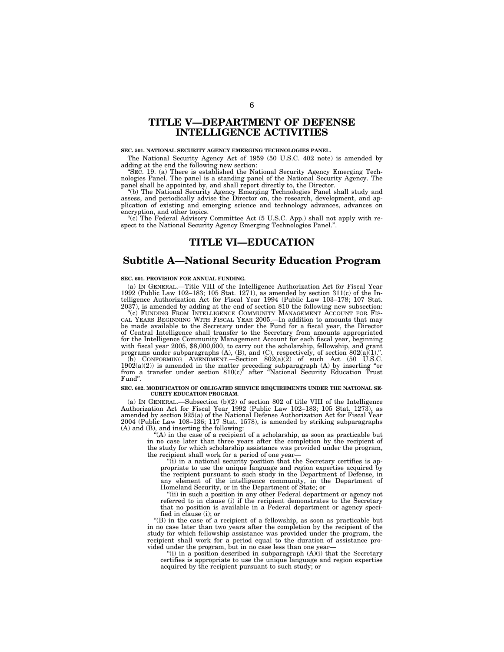# **TITLE V—DEPARTMENT OF DEFENSE INTELLIGENCE ACTIVITIES**

## **SEC. 501. NATIONAL SECURITY AGENCY EMERGING TECHNOLOGIES PANEL.**

The National Security Agency Act of 1959 (50 U.S.C. 402 note) is amended by adding at the end the following new section:

''SEC. 19. (a) There is established the National Security Agency Emerging Technologies Panel. The panel is a standing panel of the National Security Agency. The panel shall be appointed by, and shall report directly to, the Director.

''(b) The National Security Agency Emerging Technologies Panel shall study and assess, and periodically advise the Director on, the research, development, and application of existing and emerging science and technology advances, advances on encryption, and other topics.

"(c) The Federal Advisory Committee Act (5 U.S.C. App.) shall not apply with respect to the National Security Agency Emerging Technologies Panel.'

# **TITLE VI—EDUCATION**

## **Subtitle A—National Security Education Program**

#### **SEC. 601. PROVISION FOR ANNUAL FUNDING.**

(a) IN GENERAL.—Title VIII of the Intelligence Authorization Act for Fiscal Year 1992 (Public Law 102–183; 105 Stat. 1271), as amended by section 311(c) of the Intelligence Authorization Act for Fiscal Year 1994 (Public Law 103–178; 107 Stat. 2037), is amended by adding at the end of section 810 the following new subsection:

''(c) FUNDING FROM INTELLIGENCE COMMUNITY MANAGEMENT ACCOUNT FOR FIS-CAL YEARS BEGINNING WITH FISCAL YEAR 2005.—In addition to amounts that may be made available to the Secretary under the Fund for a fiscal year, the Director of Central Intelligence shall transfer to the Secretary from amounts appropriated for the Intelligence Community Management Account for each fiscal year, beginning with fiscal year 2005, \$8,000,000, to carry out the scholarship, fellowship, and grant programs under subparagraphs  $(A)$ ,  $(B)$ , and  $(C)$ , respectively, of section  $802(a)(1)$ .".

(b) CONFORMING AMENDMENT.—Section  $802(a)(2)$  of such Act (50 U.S.C.  $1902(a)(2)$ ) is amended in the matter preceding subparagraph (A) by inserting "or from a transfer under section 810(c)'' after ''National Security Education Trust Fund''.

# **SEC. 602. MODIFICATION OF OBLIGATED SERVICE REQUIREMENTS UNDER THE NATIONAL SE-CURITY EDUCATION PROGRAM.**

(a) IN GENERAL.—Subsection (b)(2) of section 802 of title VIII of the Intelligence Authorization Act for Fiscal Year 1992 (Public Law 102–183; 105 Stat. 1273), as amended by section 925(a) of the National Defense Authorization Act for Fiscal Year 2004 (Public Law 108–136; 117 Stat. 1578), is amended by striking subparagraphs (A) and (B), and inserting the following:

 $f(A)$  in the case of a recipient of a scholarship, as soon as practicable but in no case later than three years after the completion by the recipient of the study for which scholarship assistance was provided under the program, the recipient shall work for a period of one year-

''(i) in a national security position that the Secretary certifies is appropriate to use the unique language and region expertise acquired by the recipient pursuant to such study in the Department of Defense, in any element of the intelligence community, in the Department of Homeland Security, or in the Department of State; or

''(ii) in such a position in any other Federal department or agency not referred to in clause (i) if the recipient demonstrates to the Secretary that no position is available in a Federal department or agency specified in clause (i); or

''(B) in the case of a recipient of a fellowship, as soon as practicable but in no case later than two years after the completion by the recipient of the study for which fellowship assistance was provided under the program, the recipient shall work for a period equal to the duration of assistance provided under the program, but in no case less than one year—

"(i) in a position described in subparagraph  $(A)(i)$  that the Secretary certifies is appropriate to use the unique language and region expertise acquired by the recipient pursuant to such study; or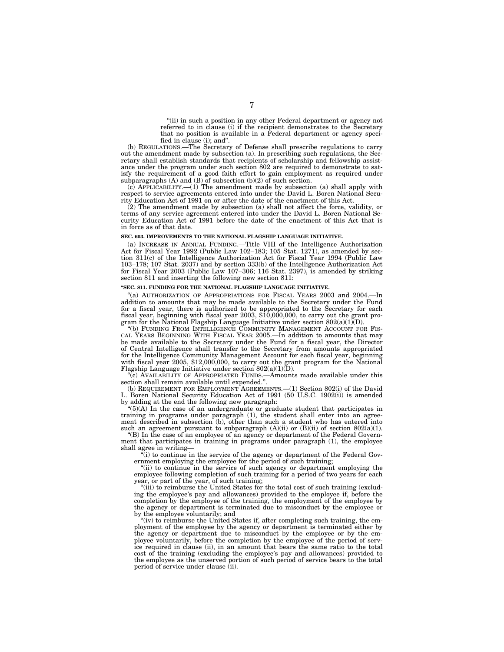''(ii) in such a position in any other Federal department or agency not referred to in clause (i) if the recipient demonstrates to the Secretary that no position is available in a Federal department or agency specified in clause (i); and''.

(b) REGULATIONS.—The Secretary of Defense shall prescribe regulations to carry out the amendment made by subsection (a). In prescribing such regulations, the Secretary shall establish standards that recipients of scholarship and fellowship assistance under the program under such section 802 are required to demonstrate to satisfy the requirement of a good faith effort to gain employment as required under subparagraphs  $(A)$  and  $(B)$  of subsection  $(b)(2)$  of such section.

(c) APPLICABILITY.—(1) The amendment made by subsection (a) shall apply with respect to service agreements entered into under the David L. Boren National Security Education Act of 1991 on or after the date of the enactment of this Act.

 $(2)$  The amendment made by subsection (a) shall not affect the force, validity, or terms of any service agreement entered into under the David L. Boren National Security Education Act of 1991 before the date of the enactment of this Act that is in force as of that date.

#### **SEC. 603. IMPROVEMENTS TO THE NATIONAL FLAGSHIP LANGUAGE INITIATIVE.**

(a) INCREASE IN ANNUAL FUNDING.—Title VIII of the Intelligence Authorization Act for Fiscal Year 1992 (Public Law 102–183; 105 Stat. 1271), as amended by section 311(c) of the Intelligence Authorization Act for Fiscal Year 1994 (Public Law 103–178; 107 Stat. 2037) and by section 333(b) of the Intelligence Authorization Act for Fiscal Year 2003 (Public Law 107–306; 116 Stat. 2397), is amended by striking section 811 and inserting the following new section 811:

### **''SEC. 811. FUNDING FOR THE NATIONAL FLAGSHIP LANGUAGE INITIATIVE.**

''(a) AUTHORIZATION OF APPROPRIATIONS FOR FISCAL YEARS 2003 and 2004.—In addition to amounts that may be made available to the Secretary under the Fund for a fiscal year, there is authorized to be appropriated to the Secretary for each fiscal year, beginning with fiscal year 2003, \$10,000,000, to carry out the grant program for the National Flagship Language Initiative under section  $802(a)(1)(D)$ .

''(b) FUNDING FROM INTELLIGENCE COMMUNITY MANAGEMENT ACCOUNT FOR FIS-CAL YEARS BEGINNING WITH FISCAL YEAR 2005.—In addition to amounts that may be made available to the Secretary under the Fund for a fiscal year, the Director of Central Intelligence shall transfer to the Secretary from amounts appropriated for the Intelligence Community Management Account for each fiscal year, beginning with fiscal year 2005, \$12,000,000, to carry out the grant program for the National Flagship Language Initiative under section  $802(a)(1)(D)$ .

''(c) AVAILABILITY OF APPROPRIATED FUNDS.—Amounts made available under this section shall remain available until expended.''.

(b) REQUIREMENT FOR EMPLOYMENT AGREEMENTS.—(1) Section 802(i) of the David L. Boren National Security Education Act of 1991 (50 U.S.C. 1902(i)) is amended by adding at the end the following new paragraph:

 $(5)(A)$  In the case of an undergraduate or graduate student that participates in training in programs under paragraph (1), the student shall enter into an agreement described in subsection (b), other than such a student who has entered into such an agreement pursuant to subparagraph  $(A)(ii)$  or  $(B)(ii)$  of section 802(a)(1).

"(B) In the case of an employee of an agency or department of the Federal Government that participates in training in programs under paragraph (1), the employee shall agree in writing—

 $\frac{1}{1}$  (i) to continue in the service of the agency or department of the Federal Government employing the employee for the period of such training;

"(ii) to continue in the service of such agency or department employing the employee following completion of such training for a period of two years for each year, or part of the year, of such training;

''(iii) to reimburse the United States for the total cost of such training (excluding the employee's pay and allowances) provided to the employee if, before the completion by the employee of the training, the employment of the employee by the agency or department is terminated due to misconduct by the employee or by the employee voluntarily; and

" $(iv)$  to reimburse the United States if, after completing such training, the employment of the employee by the agency or department is terminated either by the agency or department due to misconduct by the employee or by the employee voluntarily, before the completion by the employee of the period of service required in clause (ii), in an amount that bears the same ratio to the total cost of the training (excluding the employee's pay and allowances) provided to the employee as the unserved portion of such period of service bears to the total period of service under clause (ii).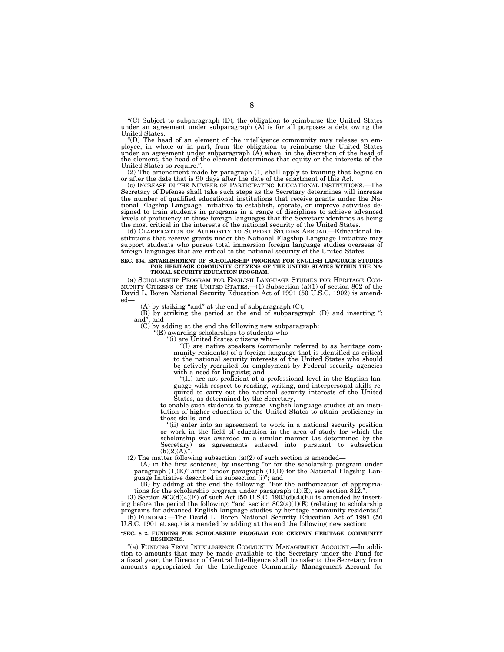''(C) Subject to subparagraph (D), the obligation to reimburse the United States under an agreement under subparagraph (A) is for all purposes a debt owing the United States.

''(D) The head of an element of the intelligence community may release an employee, in whole or in part, from the obligation to reimburse the United States under an agreement under subparagraph  $(A)$  when, in the discretion of the head of the element, the head of the element determines that equity or the interests of the United States so require.''.

(2) The amendment made by paragraph (1) shall apply to training that begins on or after the date that is 90 days after the date of the enactment of this Act.

(c) INCREASE IN THE NUMBER OF PARTICIPATING EDUCATIONAL INSTITUTIONS.—The Secretary of Defense shall take such steps as the Secretary determines will increase the number of qualified educational institutions that receive grants under the National Flagship Language Initiative to establish, operate, or improve activities designed to train students in programs in a range of disciplines to achieve advanced levels of proficiency in those foreign languages that the Secretary identifies as being the most critical in the interests of the national security of the United States.

(d) CLARIFICATION OF AUTHORITY TO SUPPORT STUDIES ABROAD.—Educational institutions that receive grants under the National Flagship Language Initiative may support students who pursue total immersion foreign language studies overseas of foreign languages that are critical to the national security of the United States.

## **SEC. 604. ESTABLISHMENT OF SCHOLARSHIP PROGRAM FOR ENGLISH LANGUAGE STUDIES FOR HERITAGE COMMUNITY CITIZENS OF THE UNITED STATES WITHIN THE NA-TIONAL SECURITY EDUCATION PROGRAM.**

(a) SCHOLARSHIP PROGRAM FOR ENGLISH LANGUAGE STUDIES FOR HERITAGE COM-MUNITY CITIZENS OF THE UNITED STATES.—(1) Subsection (a)(1) of section 802 of the David L. Boren National Security Education Act of 1991 (50 U.S.C. 1902) is amended—

(A) by striking "and" at the end of subparagraph  $(C)$ ;

(B) by striking the period at the end of subparagraph (D) and inserting ''; and''; and

 $(C)$  by adding at the end the following new subparagraph:

 $E(E)$  awarding scholarships to students who-

 $\lq$ '(i) are United States citizens who—

''(I) are native speakers (commonly referred to as heritage community residents) of a foreign language that is identified as critical to the national security interests of the United States who should be actively recruited for employment by Federal security agencies with a need for linguists; and

''(II) are not proficient at a professional level in the English language with respect to reading, writing, and interpersonal skills required to carry out the national security interests of the United States, as determined by the Secretary,

to enable such students to pursue English language studies at an institution of higher education of the United States to attain proficiency in those skills; and

''(ii) enter into an agreement to work in a national security position or work in the field of education in the area of study for which the scholarship was awarded in a similar manner (as determined by the Secretary) as agreements entered into pursuant to subsection  $(b)(2)(A).$ 

(2) The matter following subsection (a)(2) of such section is amended—

(A) in the first sentence, by inserting "or for the scholarship program under paragraph (1)(E)" after "under paragraph (1)(D) for the National Flagship Language Initiative described in subsection (i)''; and

(B) by adding at the end the following: ''For the authorization of appropriations for the scholarship program under paragraph  $(1)(E)$ , see section 812.".

(3) Section  $803(d)(4)(E)$  of such Act (50 U.S.C. 1903(d)(4)(E)) is amended by inserting before the period the following: "and section  $802(a)(1)(E)$  (relating to scholarship programs for advanced English language studies by heritage community residents)''. (b) FUNDING.—The David L. Boren National Security Education Act of 1991 (50

# U.S.C. 1901 et seq.) is amended by adding at the end the following new section:

## **''SEC. 812. FUNDING FOR SCHOLARSHIP PROGRAM FOR CERTAIN HERITAGE COMMUNITY RESIDENTS.**

''(a) FUNDING FROM INTELLIGENCE COMMUNITY MANAGEMENT ACCOUNT.—In addition to amounts that may be made available to the Secretary under the Fund for a fiscal year, the Director of Central Intelligence shall transfer to the Secretary from amounts appropriated for the Intelligence Community Management Account for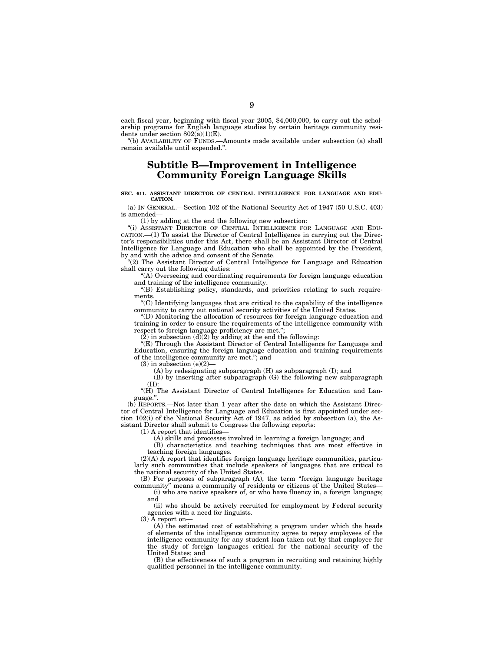each fiscal year, beginning with fiscal year 2005, \$4,000,000, to carry out the scholarship programs for English language studies by certain heritage community residents under section  $802(a)(1)(E)$ .

''(b) AVAILABILITY OF FUNDS.—Amounts made available under subsection (a) shall remain available until expended.''.

# **Subtitle B—Improvement in Intelligence Community Foreign Language Skills**

#### **SEC. 611. ASSISTANT DIRECTOR OF CENTRAL INTELLIGENCE FOR LANGUAGE AND EDU-CATION.**

(a) IN GENERAL.—Section 102 of the National Security Act of 1947 (50 U.S.C. 403) is amended—

(1) by adding at the end the following new subsection:

''(i) ASSISTANT DIRECTOR OF CENTRAL INTELLIGENCE FOR LANGUAGE AND EDU-CATION.—(1) To assist the Director of Central Intelligence in carrying out the Director's responsibilities under this Act, there shall be an Assistant Director of Central Intelligence for Language and Education who shall be appointed by the President, by and with the advice and consent of the Senate.

''(2) The Assistant Director of Central Intelligence for Language and Education shall carry out the following duties:

" $(A)$  Overseeing and coordinating requirements for foreign language education and training of the intelligence community.

''(B) Establishing policy, standards, and priorities relating to such requirements.

''(C) Identifying languages that are critical to the capability of the intelligence community to carry out national security activities of the United States.

''(D) Monitoring the allocation of resources for foreign language education and training in order to ensure the requirements of the intelligence community with respect to foreign language proficiency are met.";

 $(2)$  in subsection  $(d)(2)$  by adding at the end the following:

''(E) Through the Assistant Director of Central Intelligence for Language and Education, ensuring the foreign language education and training requirements of the intelligence community are met.''; and

 $(3)$  in subsection  $(e)(2)$ 

(A) by redesignating subparagraph (H) as subparagraph (I); and

(B) by inserting after subparagraph (G) the following new subparagraph (H):

''(H) The Assistant Director of Central Intelligence for Education and Language.''.

(b) REPORTS.—Not later than 1 year after the date on which the Assistant Director of Central Intelligence for Language and Education is first appointed under section 102(i) of the National Security Act of 1947, as added by subsection (a), the Assistant Director shall submit to Congress the following reports:

 $(1)$  A report that identifies-

(A) skills and processes involved in learning a foreign language; and

(B) characteristics and teaching techniques that are most effective in teaching foreign languages.

(2)(A) A report that identifies foreign language heritage communities, particularly such communities that include speakers of languages that are critical to the national security of the United States.

(B) For purposes of subparagraph (A), the term ''foreign language heritage community'' means a community of residents or citizens of the United States—

(i) who are native speakers of, or who have fluency in, a foreign language; and

(ii) who should be actively recruited for employment by Federal security agencies with a need for linguists.

 $(3)$   $\bar{A}$  report on-

(A) the estimated cost of establishing a program under which the heads of elements of the intelligence community agree to repay employees of the intelligence community for any student loan taken out by that employee for the study of foreign languages critical for the national security of the United States; and

(B) the effectiveness of such a program in recruiting and retaining highly qualified personnel in the intelligence community.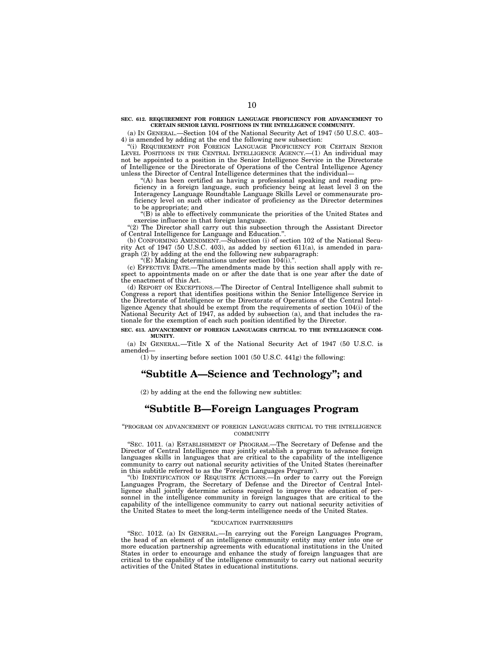**SEC. 612. REQUIREMENT FOR FOREIGN LANGUAGE PROFICIENCY FOR ADVANCEMENT TO CERTAIN SENIOR LEVEL POSITIONS IN THE INTELLIGENCE COMMUNITY.** 

(a) IN GENERAL.—Section 104 of the National Security Act of 1947 (50 U.S.C. 403– 4) is amended by adding at the end the following new subsection:

''(i) REQUIREMENT FOR FOREIGN LANGUAGE PROFICIENCY FOR CERTAIN SENIOR LEVEL POSITIONS IN THE CENTRAL INTELLIGENCE AGENCY.—(1) An individual may not be appointed to a position in the Senior Intelligence Service in the Directorate of Intelligence or the Directorate of Operations of the Central Intelligence Agency unless the Director of Central Intelligence determines that the individual—

''(A) has been certified as having a professional speaking and reading proficiency in a foreign language, such proficiency being at least level 3 on the Interagency Language Roundtable Language Skills Level or commensurate proficiency level on such other indicator of proficiency as the Director determines to be appropriate; and

''(B) is able to effectively communicate the priorities of the United States and exercise influence in that foreign language.

''(2) The Director shall carry out this subsection through the Assistant Director of Central Intelligence for Language and Education.''.

(b) CONFORMING AMENDMENT.—Subsection (i) of section 102 of the National Security Act of 1947 (50 U.S.C. 403), as added by section 611(a), is amended in paragraph (2) by adding at the end the following new subparagraph:

''(E) Making determinations under section 104(i).''.

(c) EFFECTIVE DATE.—The amendments made by this section shall apply with respect to appointments made on or after the date that is one year after the date of the enactment of this Act.

(d) REPORT ON EXCEPTIONS.—The Director of Central Intelligence shall submit to Congress a report that identifies positions within the Senior Intelligence Service in the Directorate of Intelligence or the Directorate of Operations of the Central Intelligence Agency that should be exempt from the requirements of section 104(i) of the National Security Act of 1947, as added by subsection (a), and that includes the rationale for the exemption of each such position identified by the Director.

#### **SEC. 613. ADVANCEMENT OF FOREIGN LANGUAGES CRITICAL TO THE INTELLIGENCE COM-MUNITY.**

(a) IN GENERAL.—Title X of the National Security Act of 1947 (50 U.S.C. is amended—

(1) by inserting before section 1001 (50 U.S.C. 441g) the following:

# **''Subtitle A—Science and Technology''; and**

(2) by adding at the end the following new subtitles:

# **''Subtitle B—Foreign Languages Program**

''PROGRAM ON ADVANCEMENT OF FOREIGN LANGUAGES CRITICAL TO THE INTELLIGENCE **COMMUNITY** 

''SEC. 1011. (a) ESTABLISHMENT OF PROGRAM.—The Secretary of Defense and the Director of Central Intelligence may jointly establish a program to advance foreign languages skills in languages that are critical to the capability of the intelligence community to carry out national security activities of the United States (hereinafter in this subtitle referred to as the 'Foreign Languages Program').

''(b) IDENTIFICATION OF REQUISITE ACTIONS.—In order to carry out the Foreign Languages Program, the Secretary of Defense and the Director of Central Intelligence shall jointly determine actions required to improve the education of personnel in the intelligence community in foreign languages that are critical to the capability of the intelligence community to carry out national security activities of the United States to meet the long-term intelligence needs of the United States.

#### ''EDUCATION PARTNERSHIPS

''SEC. 1012. (a) IN GENERAL.—In carrying out the Foreign Languages Program, the head of an element of an intelligence community entity may enter into one or more education partnership agreements with educational institutions in the United States in order to encourage and enhance the study of foreign languages that are critical to the capability of the intelligence community to carry out national security activities of the United States in educational institutions.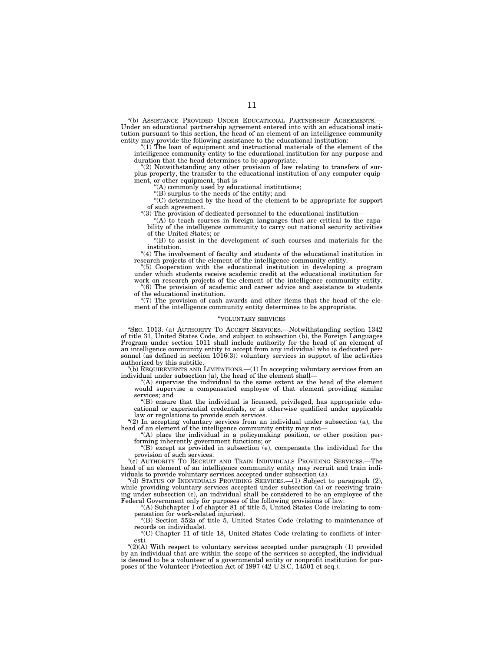''(b) ASSISTANCE PROVIDED UNDER EDUCATIONAL PARTNERSHIP AGREEMENTS.— Under an educational partnership agreement entered into with an educational institution pursuant to this section, the head of an element of an intelligence community entity may provide the following assistance to the educational institution:

" $(1)$  The loan of equipment and instructional materials of the element of the intelligence community entity to the educational institution for any purpose and duration that the head determines to be appropriate.

"(2) Notwithstanding any other provision of law relating to transfers of surplus property, the transfer to the educational institution of any computer equipment, or other equipment, that is—

 $f(A)$  commonly used by educational institutions;

 $\mathcal{L}(B)$  surplus to the needs of the entity; and

''(C) determined by the head of the element to be appropriate for support of such agreement.

''(3) The provision of dedicated personnel to the educational institution—

 $(A)$  to teach courses in foreign languages that are critical to the capability of the intelligence community to carry out national security activities of the United States; or

''(B) to assist in the development of such courses and materials for the institution.

"(4) The involvement of faculty and students of the educational institution in research projects of the element of the intelligence community entity.

''(5) Cooperation with the educational institution in developing a program under which students receive academic credit at the educational institution for work on research projects of the element of the intelligence community entity.

 $(6)$  The provision of academic and career advice and assistance to students of the educational institution.

" $(7)$  The provision of cash awards and other items that the head of the element of the intelligence community entity determines to be appropriate.

#### ''VOLUNTARY SERVICES

"SEC. 1013. (a) AUTHORITY TO ACCEPT SERVICES.—Notwithstanding section 1342 of title 31, United States Code, and subject to subsection (b), the Foreign Languages Program under section 1011 shall include authority for the head of an element of an intelligence community entity to accept from any individual who is dedicated personnel (as defined in section 1016(3)) voluntary services in support of the activities authorized by this subtitle.

 $'(b)$  REQUIREMENTS AND LIMITATIONS.  $-(1)$  In accepting voluntary services from an individual under subsection (a), the head of the element shall—

''(A) supervise the individual to the same extent as the head of the element would supervise a compensated employee of that element providing similar services; and

''(B) ensure that the individual is licensed, privileged, has appropriate educational or experiential credentials, or is otherwise qualified under applicable law or regulations to provide such services.

" $(2)$  In accepting voluntary services from an individual under subsection (a), the head of an element of the intelligence community entity may not-

''(A) place the individual in a policymaking position, or other position performing inherently government functions; or

''(B) except as provided in subsection (e), compensate the individual for the provision of such services.

''(c) AUTHORITY TO RECRUIT AND TRAIN INDIVIDUALS PROVIDING SERVICES.—The head of an element of an intelligence community entity may recruit and train individuals to provide voluntary services accepted under subsection (a).

''(d) STATUS OF INDIVIDUALS PROVIDING SERVICES.—(1) Subject to paragraph (2), while providing voluntary services accepted under subsection (a) or receiving training under subsection (c), an individual shall be considered to be an employee of the Federal Government only for purposes of the following provisions of law:

''(A) Subchapter I of chapter 81 of title 5, United States Code (relating to compensation for work-related injuries).

''(B) Section 552a of title 5, United States Code (relating to maintenance of records on individuals).

''(C) Chapter 11 of title 18, United States Code (relating to conflicts of inter-

est).<br>"(2)(A) With respect to voluntary services accepted under paragraph (1) provided by an individual that are within the scope of the services so accepted, the individual is deemed to be a volunteer of a governmental entity or nonprofit institution for purposes of the Volunteer Protection Act of 1997 (42 U.S.C. 14501 et seq.).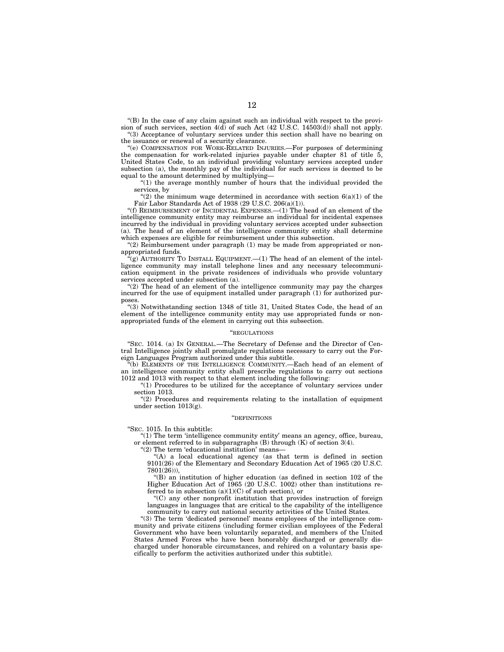''(B) In the case of any claim against such an individual with respect to the provision of such services, section 4(d) of such Act (42 U.S.C. 14503(d)) shall not apply. ''(3) Acceptance of voluntary services under this section shall have no bearing on the issuance or renewal of a security clearance.

''(e) COMPENSATION FOR WORK-RELATED INJURIES.—For purposes of determining the compensation for work-related injuries payable under chapter 81 of title 5, United States Code, to an individual providing voluntary services accepted under subsection (a), the monthly pay of the individual for such services is deemed to be equal to the amount determined by multiplying—

 $(1)$  the average monthly number of hours that the individual provided the services, by

"(2) the minimum wage determined in accordance with section  $6(a)(1)$  of the Fair Labor Standards Act of 1938 (29 U.S.C. 206(a)(1)).

''(f) REIMBURSEMENT OF INCIDENTAL EXPENSES.—(1) The head of an element of the intelligence community entity may reimburse an individual for incidental expenses incurred by the individual in providing voluntary services accepted under subsection (a). The head of an element of the intelligence community entity shall determine which expenses are eligible for reimbursement under this subsection.

''(2) Reimbursement under paragraph (1) may be made from appropriated or nonappropriated funds.

 $\tilde{f}(g)$  AUTHORITY TO INSTALL EQUIPMENT.—(1) The head of an element of the intelligence community may install telephone lines and any necessary telecommunication equipment in the private residences of individuals who provide voluntary services accepted under subsection (a).

''(2) The head of an element of the intelligence community may pay the charges incurred for the use of equipment installed under paragraph (1) for authorized purposes.

''(3) Notwithstanding section 1348 of title 31, United States Code, the head of an element of the intelligence community entity may use appropriated funds or nonappropriated funds of the element in carrying out this subsection.

## ''REGULATIONS

''SEC. 1014. (a) IN GENERAL.—The Secretary of Defense and the Director of Central Intelligence jointly shall promulgate regulations necessary to carry out the Foreign Languages Program authorized under this subtitle.

''(b) ELEMENTS OF THE INTELLIGENCE COMMUNITY.—Each head of an element of an intelligence community entity shall prescribe regulations to carry out sections 1012 and 1013 with respect to that element including the following:

 $(1)$  Procedures to be utilized for the acceptance of voluntary services under section 1013.

"(2) Procedures and requirements relating to the installation of equipment under section 1013(g).

#### ''DEFINITIONS

''SEC. 1015. In this subtitle:

''(1) The term 'intelligence community entity' means an agency, office, bureau, or element referred to in subparagraphs (B) through (K) of section 3(4).

''(2) The term 'educational institution' means—

''(A) a local educational agency (as that term is defined in section 9101(26) of the Elementary and Secondary Education Act of 1965 (20 U.S.C. 7801(26))),

''(B) an institution of higher education (as defined in section 102 of the Higher Education Act of 1965 (20 U.S.C. 1002) other than institutions referred to in subsection  $(a)(1)(C)$  of such section), or

''(C) any other nonprofit institution that provides instruction of foreign languages in languages that are critical to the capability of the intelligence community to carry out national security activities of the United States.

''(3) The term 'dedicated personnel' means employees of the intelligence community and private citizens (including former civilian employees of the Federal Government who have been voluntarily separated, and members of the United States Armed Forces who have been honorably discharged or generally discharged under honorable circumstances, and rehired on a voluntary basis specifically to perform the activities authorized under this subtitle).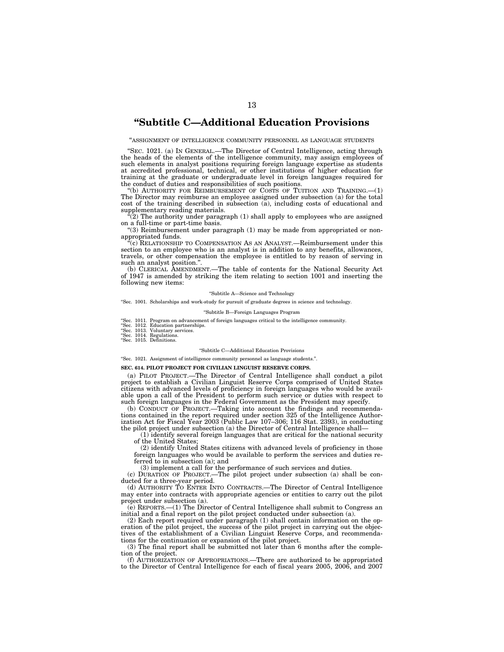# **''Subtitle C—Additional Education Provisions**

"ASSIGNMENT OF INTELLIGENCE COMMUNITY PERSONNEL AS LANGUAGE STUDENTS

"SEC. 1021. (a) IN GENERAL.—The Director of Central Intelligence, acting through the heads of the elements of the intelligence community, may assign employees of such elements in analyst positions requiring foreign language expertise as students at accredited professional, technical, or other institutions of higher education for training at the graduate or undergraduate level in foreign languages required for the conduct of duties and responsibilities of such positions.

''(b) AUTHORITY FOR REIMBURSEMENT OF COSTS OF TUITION AND TRAINING.—(1) The Director may reimburse an employee assigned under subsection (a) for the total cost of the training described in subsection (a), including costs of educational and supplementary reading materials.

 $\hat{P}(2)$  The authority under paragraph  $(1)$  shall apply to employees who are assigned on a full-time or part-time basis.

''(3) Reimbursement under paragraph (1) may be made from appropriated or nonappropriated funds.

(c) RELATIONSHIP TO COMPENSATION AS AN ANALYST.—Reimbursement under this section to an employee who is an analyst is in addition to any benefits, allowances, travels, or other compensation the employee is entitled to by reason of serving in such an analyst position.''.

(b) CLERICAL AMENDMENT.—The table of contents for the National Security Act of 1947 is amended by striking the item relating to section 1001 and inserting the following new items:

#### ''Subtitle A—Science and Technology

''Sec. 1001. Scholarships and work-study for pursuit of graduate degrees in science and technology.

''Subtitle B—Foreign Languages Program

''Sec. 1011. Program on advancement of foreign languages critical to the intelligence community. ''Sec. 1012. Education partnerships. ''Sec. 1013. Voluntary services. ''Sec. 1014. Regulations. ''Sec. 1015. Definitions.

- 
- 
- 

#### ''Subtitle C—Additional Education Provisions

''Sec. 1021. Assignment of intelligence community personnel as language students.''.

#### **SEC. 614. PILOT PROJECT FOR CIVILIAN LINGUIST RESERVE CORPS.**

(a) PILOT PROJECT.—The Director of Central Intelligence shall conduct a pilot project to establish a Civilian Linguist Reserve Corps comprised of United States citizens with advanced levels of proficiency in foreign languages who would be available upon a call of the President to perform such service or duties with respect to such foreign languages in the Federal Government as the President may specify.

(b) CONDUCT OF PROJECT.—Taking into account the findings and recommendations contained in the report required under section 325 of the Intelligence Authorization Act for Fiscal Year 2003 (Public Law 107–306; 116 Stat. 2393), in conducting the pilot project under subsection (a) the Director of Central Intelligence shall—

(1) identify several foreign languages that are critical for the national security of the United States;

(2) identify United States citizens with advanced levels of proficiency in those foreign languages who would be available to perform the services and duties referred to in subsection (a); and

(3) implement a call for the performance of such services and duties.

(c) DURATION OF PROJECT.—The pilot project under subsection (a) shall be conducted for a three-year period.

(d) AUTHORITY TO ENTER INTO CONTRACTS.—The Director of Central Intelligence may enter into contracts with appropriate agencies or entities to carry out the pilot project under subsection (a).

(e) REPORTS.—(1) The Director of Central Intelligence shall submit to Congress an initial and a final report on the pilot project conducted under subsection (a).

(2) Each report required under paragraph (1) shall contain information on the operation of the pilot project, the success of the pilot project in carrying out the objectives of the establishment of a Civilian Linguist Reserve Corps, and recommendations for the continuation or expansion of the pilot project.

(3) The final report shall be submitted not later than 6 months after the completion of the project.

(f) AUTHORIZATION OF APPROPRIATIONS.—There are authorized to be appropriated to the Director of Central Intelligence for each of fiscal years 2005, 2006, and 2007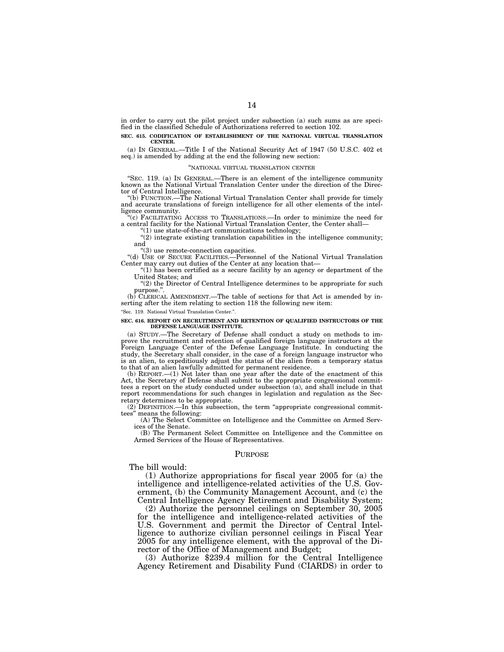in order to carry out the pilot project under subsection (a) such sums as are specified in the classified Schedule of Authorizations referred to section 102.

#### **SEC. 615. CODIFICATION OF ESTABLISHMENT OF THE NATIONAL VIRTUAL TRANSLATION CENTER.**

(a) IN GENERAL.—Title I of the National Security Act of 1947 (50 U.S.C. 402 et seq.) is amended by adding at the end the following new section:

#### ''NATIONAL VIRTUAL TRANSLATION CENTER

''SEC. 119. (a) IN GENERAL.—There is an element of the intelligence community known as the National Virtual Translation Center under the direction of the Director of Central Intelligence.

''(b) FUNCTION.—The National Virtual Translation Center shall provide for timely and accurate translations of foreign intelligence for all other elements of the intelligence community.

''(c) FACILITATING ACCESS TO TRANSLATIONS.—In order to minimize the need for a central facility for the National Virtual Translation Center, the Center shall—

 $(1)$  use state-of-the-art communications technology;

"(2) integrate existing translation capabilities in the intelligence community; and

''(3) use remote-connection capacities.

''(d) USE OF SECURE FACILITIES.—Personnel of the National Virtual Translation Center may carry out duties of the Center at any location that—

 $(1)$  has been certified as a secure facility by an agency or department of the United States; and

"(2) the Director of Central Intelligence determines to be appropriate for such purpose.'

 $(b)$  CLERICAL AMENDMENT.—The table of sections for that Act is amended by inserting after the item relating to section 118 the following new item:

''Sec. 119. National Virtual Translation Center.''.

#### **SEC. 616. REPORT ON RECRUITMENT AND RETENTION OF QUALIFIED INSTRUCTORS OF THE DEFENSE LANGUAGE INSTITUTE.**

(a) STUDY.—The Secretary of Defense shall conduct a study on methods to improve the recruitment and retention of qualified foreign language instructors at the Foreign Language Center of the Defense Language Institute. In conducting the study, the Secretary shall consider, in the case of a foreign language instructor who is an alien, to expeditiously adjust the status of the alien from a temporary status to that of an alien lawfully admitted for permanent residence.

(b)  $REPORT. —(1)$  Not later than one year after the date of the enactment of this Act, the Secretary of Defense shall submit to the appropriate congressional committees a report on the study conducted under subsection (a), and shall include in that report recommendations for such changes in legislation and regulation as the Secretary determines to be appropriate.

(2) DEFINITION.—In this subsection, the term ''appropriate congressional committees'' means the following:

(A) The Select Committee on Intelligence and the Committee on Armed Services of the Senate.

(B) The Permanent Select Committee on Intelligence and the Committee on Armed Services of the House of Representatives.

## PURPOSE

## The bill would:

(1) Authorize appropriations for fiscal year 2005 for (a) the intelligence and intelligence-related activities of the U.S. Government, (b) the Community Management Account, and (c) the Central Intelligence Agency Retirement and Disability System;

(2) Authorize the personnel ceilings on September 30, 2005 for the intelligence and intelligence-related activities of the U.S. Government and permit the Director of Central Intelligence to authorize civilian personnel ceilings in Fiscal Year 2005 for any intelligence element, with the approval of the Director of the Office of Management and Budget;

(3) Authorize \$239.4 million for the Central Intelligence Agency Retirement and Disability Fund (CIARDS) in order to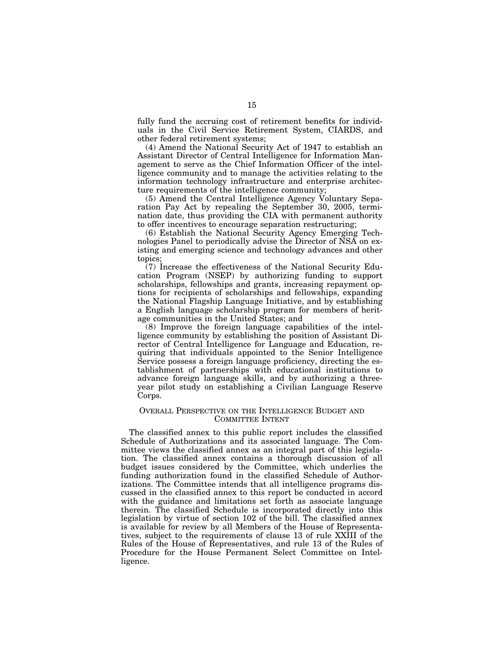fully fund the accruing cost of retirement benefits for individuals in the Civil Service Retirement System, CIARDS, and other federal retirement systems;

(4) Amend the National Security Act of 1947 to establish an Assistant Director of Central Intelligence for Information Management to serve as the Chief Information Officer of the intelligence community and to manage the activities relating to the information technology infrastructure and enterprise architecture requirements of the intelligence community;

(5) Amend the Central Intelligence Agency Voluntary Separation Pay Act by repealing the September 30, 2005, termination date, thus providing the CIA with permanent authority to offer incentives to encourage separation restructuring;

(6) Establish the National Security Agency Emerging Technologies Panel to periodically advise the Director of NSA on existing and emerging science and technology advances and other topics;

(7) Increase the effectiveness of the National Security Education Program (NSEP) by authorizing funding to support scholarships, fellowships and grants, increasing repayment options for recipients of scholarships and fellowships, expanding the National Flagship Language Initiative, and by establishing a English language scholarship program for members of heritage communities in the United States; and

(8) Improve the foreign language capabilities of the intelligence community by establishing the position of Assistant Director of Central Intelligence for Language and Education, requiring that individuals appointed to the Senior Intelligence Service possess a foreign language proficiency, directing the establishment of partnerships with educational institutions to advance foreign language skills, and by authorizing a threeyear pilot study on establishing a Civilian Language Reserve Corps.

## OVERALL PERSPECTIVE ON THE INTELLIGENCE BUDGET AND COMMITTEE INTENT

The classified annex to this public report includes the classified Schedule of Authorizations and its associated language. The Committee views the classified annex as an integral part of this legislation. The classified annex contains a thorough discussion of all budget issues considered by the Committee, which underlies the funding authorization found in the classified Schedule of Authorizations. The Committee intends that all intelligence programs discussed in the classified annex to this report be conducted in accord with the guidance and limitations set forth as associate language therein. The classified Schedule is incorporated directly into this legislation by virtue of section 102 of the bill. The classified annex is available for review by all Members of the House of Representatives, subject to the requirements of clause 13 of rule XXIII of the Rules of the House of Representatives, and rule 13 of the Rules of Procedure for the House Permanent Select Committee on Intelligence.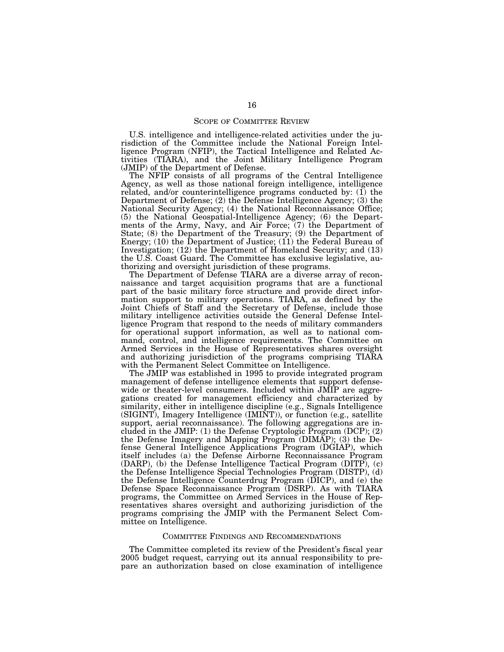U.S. intelligence and intelligence-related activities under the jurisdiction of the Committee include the National Foreign Intelligence Program (NFIP), the Tactical Intelligence and Related Activities (TIARA), and the Joint Military Intelligence Program (JMIP) of the Department of Defense.

The NFIP consists of all programs of the Central Intelligence Agency, as well as those national foreign intelligence, intelligence related, and/or counterintelligence programs conducted by: (1) the Department of Defense; (2) the Defense Intelligence Agency; (3) the National Security Agency; (4) the National Reconnaissance Office; (5) the National Geospatial-Intelligence Agency; (6) the Departments of the Army, Navy, and Air Force; (7) the Department of State; (8) the Department of the Treasury; (9) the Department of Energy; (10) the Department of Justice; (11) the Federal Bureau of Investigation; (12) the Department of Homeland Security; and (13) the U.S. Coast Guard. The Committee has exclusive legislative, authorizing and oversight jurisdiction of these programs.

The Department of Defense TIARA are a diverse array of reconnaissance and target acquisition programs that are a functional part of the basic military force structure and provide direct information support to military operations. TIARA, as defined by the Joint Chiefs of Staff and the Secretary of Defense, include those military intelligence activities outside the General Defense Intelligence Program that respond to the needs of military commanders for operational support information, as well as to national command, control, and intelligence requirements. The Committee on Armed Services in the House of Representatives shares oversight and authorizing jurisdiction of the programs comprising TIARA with the Permanent Select Committee on Intelligence.

The JMIP was established in 1995 to provide integrated program management of defense intelligence elements that support defensewide or theater-level consumers. Included within JMIP are aggregations created for management efficiency and characterized by similarity, either in intelligence discipline (e.g., Signals Intelligence (SIGINT), Imagery Intelligence (IMINT)), or function (e.g., satellite support, aerial reconnaissance). The following aggregations are included in the JMIP: (1) the Defense Cryptologic Program (DCP); (2) the Defense Imagery and Mapping Program (DIMAP); (3) the Defense General Intelligence Applications Program (DGIAP), which itself includes (a) the Defense Airborne Reconnaissance Program (DARP), (b) the Defense Intelligence Tactical Program (DITP), (c) the Defense Intelligence Special Technologies Program (DISTP), (d) the Defense Intelligence Counterdrug Program (DICP), and (e) the Defense Space Reconnaissance Program (DSRP). As with TIARA programs, the Committee on Armed Services in the House of Representatives shares oversight and authorizing jurisdiction of the programs comprising the JMIP with the Permanent Select Committee on Intelligence.

## COMMITTEE FINDINGS AND RECOMMENDATIONS

The Committee completed its review of the President's fiscal year 2005 budget request, carrying out its annual responsibility to prepare an authorization based on close examination of intelligence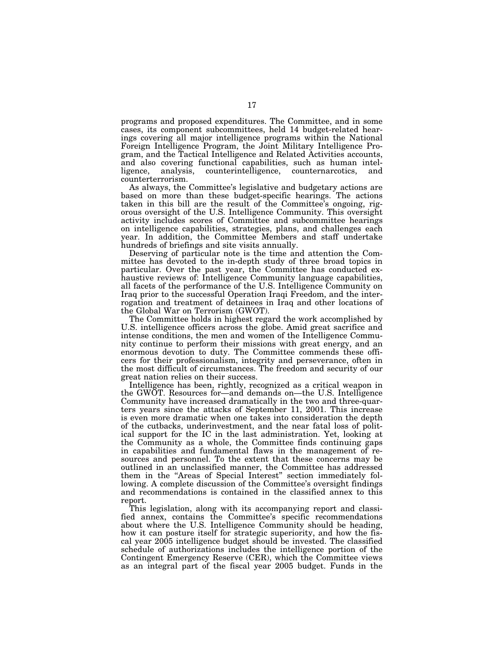programs and proposed expenditures. The Committee, and in some cases, its component subcommittees, held 14 budget-related hearings covering all major intelligence programs within the National Foreign Intelligence Program, the Joint Military Intelligence Program, and the Tactical Intelligence and Related Activities accounts, and also covering functional capabilities, such as human intelligence, analysis, counterintelligence, counternarcotics, and counterterrorism.

As always, the Committee's legislative and budgetary actions are based on more than these budget-specific hearings. The actions taken in this bill are the result of the Committee's ongoing, rigorous oversight of the U.S. Intelligence Community. This oversight activity includes scores of Committee and subcommittee hearings on intelligence capabilities, strategies, plans, and challenges each year. In addition, the Committee Members and staff undertake hundreds of briefings and site visits annually.

Deserving of particular note is the time and attention the Committee has devoted to the in-depth study of three broad topics in particular. Over the past year, the Committee has conducted exhaustive reviews of: Intelligence Community language capabilities, all facets of the performance of the U.S. Intelligence Community on Iraq prior to the successful Operation Iraqi Freedom, and the interrogation and treatment of detainees in Iraq and other locations of the Global War on Terrorism (GWOT).

The Committee holds in highest regard the work accomplished by U.S. intelligence officers across the globe. Amid great sacrifice and intense conditions, the men and women of the Intelligence Community continue to perform their missions with great energy, and an enormous devotion to duty. The Committee commends these officers for their professionalism, integrity and perseverance, often in the most difficult of circumstances. The freedom and security of our great nation relies on their success.

Intelligence has been, rightly, recognized as a critical weapon in the GWOT. Resources for—and demands on—the U.S. Intelligence Community have increased dramatically in the two and three-quarters years since the attacks of September 11, 2001. This increase is even more dramatic when one takes into consideration the depth of the cutbacks, underinvestment, and the near fatal loss of political support for the IC in the last administration. Yet, looking at the Community as a whole, the Committee finds continuing gaps in capabilities and fundamental flaws in the management of resources and personnel. To the extent that these concerns may be outlined in an unclassified manner, the Committee has addressed them in the "Areas of Special Interest" section immediately following. A complete discussion of the Committee's oversight findings and recommendations is contained in the classified annex to this report.

This legislation, along with its accompanying report and classified annex, contains the Committee's specific recommendations about where the U.S. Intelligence Community should be heading, how it can posture itself for strategic superiority, and how the fiscal year 2005 intelligence budget should be invested. The classified schedule of authorizations includes the intelligence portion of the Contingent Emergency Reserve (CER), which the Committee views as an integral part of the fiscal year 2005 budget. Funds in the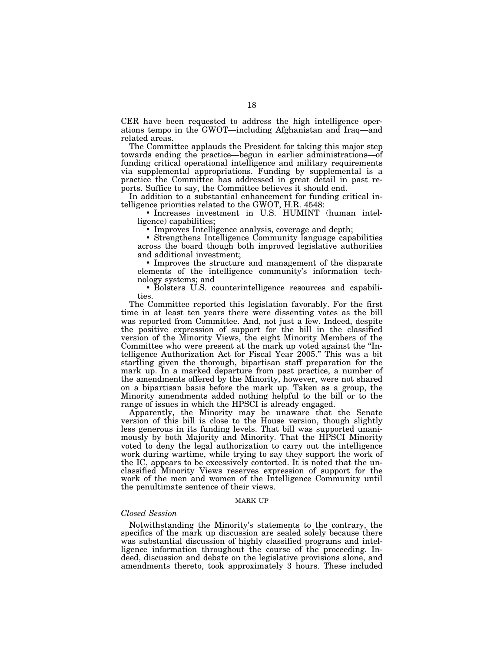CER have been requested to address the high intelligence operations tempo in the GWOT—including Afghanistan and Iraq—and related areas.

The Committee applauds the President for taking this major step towards ending the practice—begun in earlier administrations—of funding critical operational intelligence and military requirements via supplemental appropriations. Funding by supplemental is a practice the Committee has addressed in great detail in past reports. Suffice to say, the Committee believes it should end.

In addition to a substantial enhancement for funding critical intelligence priorities related to the GWOT, H.R. 4548:

• Increases investment in U.S. HUMINT (human intelligence) capabilities;

• Improves Intelligence analysis, coverage and depth;

• Strengthens Intelligence Community language capabilities across the board though both improved legislative authorities and additional investment;

• Improves the structure and management of the disparate elements of the intelligence community's information technology systems; and

• Bolsters U.S. counterintelligence resources and capabilities.

The Committee reported this legislation favorably. For the first time in at least ten years there were dissenting votes as the bill was reported from Committee. And, not just a few. Indeed, despite the positive expression of support for the bill in the classified version of the Minority Views, the eight Minority Members of the Committee who were present at the mark up voted against the ''Intelligence Authorization Act for Fiscal Year 2005.'' This was a bit startling given the thorough, bipartisan staff preparation for the mark up. In a marked departure from past practice, a number of the amendments offered by the Minority, however, were not shared on a bipartisan basis before the mark up. Taken as a group, the Minority amendments added nothing helpful to the bill or to the range of issues in which the HPSCI is already engaged.

Apparently, the Minority may be unaware that the Senate version of this bill is close to the House version, though slightly less generous in its funding levels. That bill was supported unanimously by both Majority and Minority. That the HPSCI Minority voted to deny the legal authorization to carry out the intelligence work during wartime, while trying to say they support the work of the IC, appears to be excessively contorted. It is noted that the unclassified Minority Views reserves expression of support for the work of the men and women of the Intelligence Community until the penultimate sentence of their views.

## MARK UP

## *Closed Session*

Notwithstanding the Minority's statements to the contrary, the specifics of the mark up discussion are sealed solely because there was substantial discussion of highly classified programs and intelligence information throughout the course of the proceeding. Indeed, discussion and debate on the legislative provisions alone, and amendments thereto, took approximately 3 hours. These included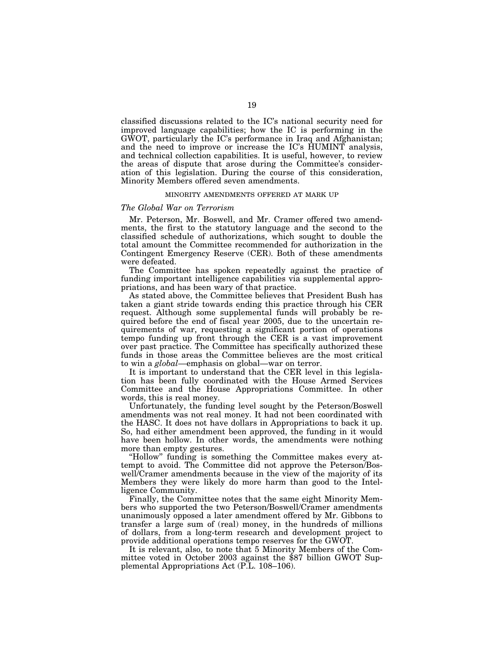classified discussions related to the IC's national security need for improved language capabilities; how the IC is performing in the GWOT, particularly the IC's performance in Iraq and Afghanistan; and the need to improve or increase the IC's HUMINT analysis, and technical collection capabilities. It is useful, however, to review the areas of dispute that arose during the Committee's consideration of this legislation. During the course of this consideration, Minority Members offered seven amendments.

## MINORITY AMENDMENTS OFFERED AT MARK UP

## *The Global War on Terrorism*

Mr. Peterson, Mr. Boswell, and Mr. Cramer offered two amendments, the first to the statutory language and the second to the classified schedule of authorizations, which sought to double the total amount the Committee recommended for authorization in the Contingent Emergency Reserve (CER). Both of these amendments were defeated.

The Committee has spoken repeatedly against the practice of funding important intelligence capabilities via supplemental appropriations, and has been wary of that practice.

As stated above, the Committee believes that President Bush has taken a giant stride towards ending this practice through his CER request. Although some supplemental funds will probably be required before the end of fiscal year 2005, due to the uncertain requirements of war, requesting a significant portion of operations tempo funding up front through the CER is a vast improvement over past practice. The Committee has specifically authorized these funds in those areas the Committee believes are the most critical to win a *global*—emphasis on global—war on terror.

It is important to understand that the CER level in this legislation has been fully coordinated with the House Armed Services Committee and the House Appropriations Committee. In other words, this is real money.

Unfortunately, the funding level sought by the Peterson/Boswell amendments was not real money. It had not been coordinated with the HASC. It does not have dollars in Appropriations to back it up. So, had either amendment been approved, the funding in it would have been hollow. In other words, the amendments were nothing more than empty gestures.

''Hollow'' funding is something the Committee makes every attempt to avoid. The Committee did not approve the Peterson/Boswell/Cramer amendments because in the view of the majority of its Members they were likely do more harm than good to the Intelligence Community.

Finally, the Committee notes that the same eight Minority Members who supported the two Peterson/Boswell/Cramer amendments unanimously opposed a later amendment offered by Mr. Gibbons to transfer a large sum of (real) money, in the hundreds of millions of dollars, from a long-term research and development project to provide additional operations tempo reserves for the GWOT.

It is relevant, also, to note that 5 Minority Members of the Committee voted in October 2003 against the \$87 billion GWOT Supplemental Appropriations Act (P.L. 108–106).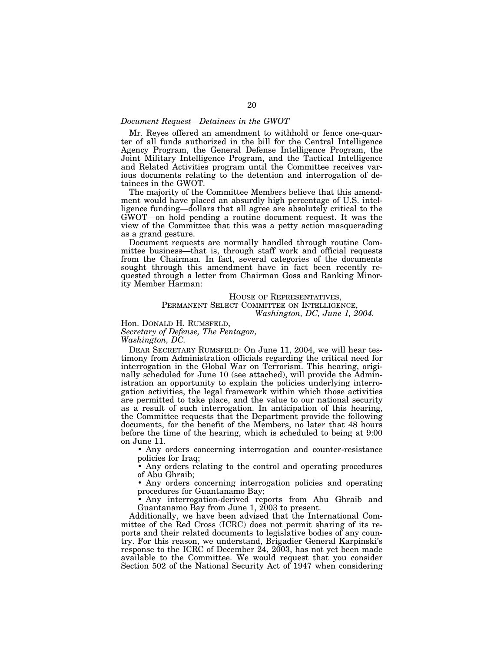## *Document Request—Detainees in the GWOT*

Mr. Reyes offered an amendment to withhold or fence one-quarter of all funds authorized in the bill for the Central Intelligence Agency Program, the General Defense Intelligence Program, the Joint Military Intelligence Program, and the Tactical Intelligence and Related Activities program until the Committee receives various documents relating to the detention and interrogation of detainees in the GWOT.

The majority of the Committee Members believe that this amendment would have placed an absurdly high percentage of U.S. intelligence funding—dollars that all agree are absolutely critical to the GWOT—on hold pending a routine document request. It was the view of the Committee that this was a petty action masquerading as a grand gesture.

Document requests are normally handled through routine Committee business—that is, through staff work and official requests from the Chairman. In fact, several categories of the documents sought through this amendment have in fact been recently requested through a letter from Chairman Goss and Ranking Minority Member Harman:

## HOUSE OF REPRESENTATIVES, PERMANENT SELECT COMMITTEE ON INTELLIGENCE, *Washington, DC, June 1, 2004.*

Hon. DONALD H. RUMSFELD, *Secretary of Defense, The Pentagon,* 

*Washington, DC.* 

DEAR SECRETARY RUMSFELD: On June 11, 2004, we will hear testimony from Administration officials regarding the critical need for interrogation in the Global War on Terrorism. This hearing, originally scheduled for June 10 (see attached), will provide the Administration an opportunity to explain the policies underlying interrogation activities, the legal framework within which those activities are permitted to take place, and the value to our national security as a result of such interrogation. In anticipation of this hearing, the Committee requests that the Department provide the following documents, for the benefit of the Members, no later that 48 hours before the time of the hearing, which is scheduled to being at 9:00 on June 11.

• Any orders concerning interrogation and counter-resistance policies for Iraq;

• Any orders relating to the control and operating procedures of Abu Ghraib;

• Any orders concerning interrogation policies and operating procedures for Guantanamo Bay;

• Any interrogation-derived reports from Abu Ghraib and Guantanamo Bay from June 1, 2003 to present.

Additionally, we have been advised that the International Committee of the Red Cross (ICRC) does not permit sharing of its reports and their related documents to legislative bodies of any country. For this reason, we understand, Brigadier General Karpinski's response to the ICRC of December 24, 2003, has not yet been made available to the Committee. We would request that you consider Section 502 of the National Security Act of 1947 when considering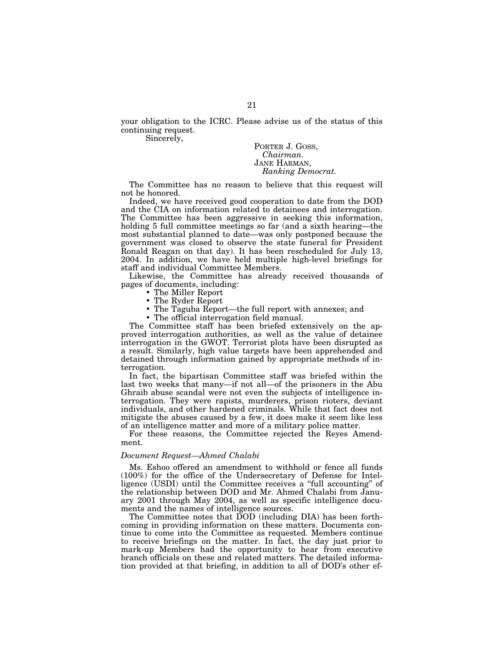your obligation to the ICRC. Please advise us of the status of this continuing request.

Sincerely,

PORTER J. GOSS, *Chairman.*  JANE HARMAN, *Ranking Democrat.* 

The Committee has no reason to believe that this request will not be honored.

Indeed, we have received good cooperation to date from the DOD and the CIA on information related to detainees and interrogation. The Committee has been aggressive in seeking this information, holding 5 full committee meetings so far (and a sixth hearing—the most substantial planned to date—was only postponed because the government was closed to observe the state funeral for President Ronald Reagan on that day). It has been rescheduled for July 13, 2004. In addition, we have held multiple high-level briefings for staff and individual Committee Members.

Likewise, the Committee has already received thousands of pages of documents, including:

- The Miller Report
- The Ryder Report
- The Taguba Report—the full report with annexes; and
- The official interrogation field manual.

The Committee staff has been briefed extensively on the approved interrogation authorities, as well as the value of detainee interrogation in the GWOT. Terrorist plots have been disrupted as a result. Similarly, high value targets have been apprehended and detained through information gained by appropriate methods of interrogation.

In fact, the bipartisan Committee staff was briefed within the last two weeks that many—if not all—of the prisoners in the Abu Ghraib abuse scandal were not even the subjects of intelligence interrogation. They were rapists, murderers, prison rioters, deviant individuals, and other hardened criminals. While that fact does not mitigate the abuses caused by a few, it does make it seem like less of an intelligence matter and more of a military police matter.

For these reasons, the Committee rejected the Reyes Amendment.

## *Document Request—Ahmed Chalabi*

Ms. Eshoo offered an amendment to withhold or fence all funds (100%) for the office of the Undersecretary of Defense for Intelligence (USDI) until the Committee receives a ''full accounting'' of the relationship between DOD and Mr. Ahmed Chalabi from January 2001 through May 2004, as well as specific intelligence documents and the names of intelligence sources.

The Committee notes that DOD (including DIA) has been forthcoming in providing information on these matters. Documents continue to come into the Committee as requested. Members continue to receive briefings on the matter. In fact, the day just prior to mark-up Members had the opportunity to hear from executive branch officials on these and related matters. The detailed information provided at that briefing, in addition to all of DOD's other ef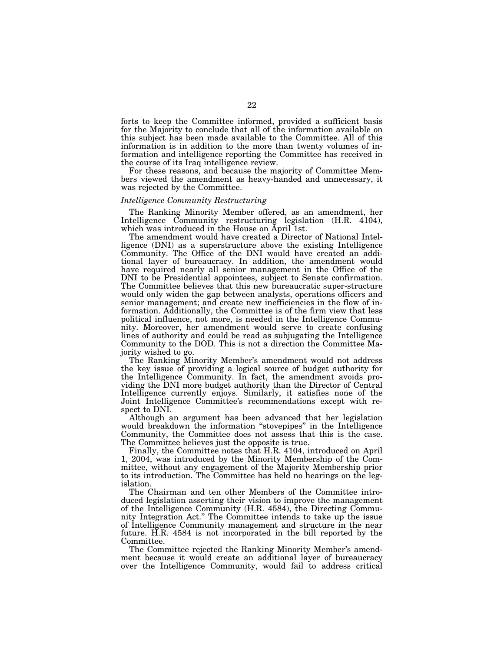forts to keep the Committee informed, provided a sufficient basis for the Majority to conclude that all of the information available on this subject has been made available to the Committee. All of this information is in addition to the more than twenty volumes of information and intelligence reporting the Committee has received in the course of its Iraq intelligence review.

For these reasons, and because the majority of Committee Members viewed the amendment as heavy-handed and unnecessary, it was rejected by the Committee.

### *Intelligence Community Restructuring*

The Ranking Minority Member offered, as an amendment, her Intelligence Community restructuring legislation (H.R. 4104), which was introduced in the House on April 1st.

The amendment would have created a Director of National Intelligence (DNI) as a superstructure above the existing Intelligence Community. The Office of the DNI would have created an additional layer of bureaucracy. In addition, the amendment would have required nearly all senior management in the Office of the DNI to be Presidential appointees, subject to Senate confirmation. The Committee believes that this new bureaucratic super-structure would only widen the gap between analysts, operations officers and senior management; and create new inefficiencies in the flow of information. Additionally, the Committee is of the firm view that less political influence, not more, is needed in the Intelligence Community. Moreover, her amendment would serve to create confusing lines of authority and could be read as subjugating the Intelligence Community to the DOD. This is not a direction the Committee Majority wished to go.

The Ranking Minority Member's amendment would not address the key issue of providing a logical source of budget authority for the Intelligence Community. In fact, the amendment avoids providing the DNI more budget authority than the Director of Central Intelligence currently enjoys. Similarly, it satisfies none of the Joint Intelligence Committee's recommendations except with respect to DNI.

Although an argument has been advanced that her legislation would breakdown the information ''stovepipes'' in the Intelligence Community, the Committee does not assess that this is the case. The Committee believes just the opposite is true.

Finally, the Committee notes that H.R. 4104, introduced on April 1, 2004, was introduced by the Minority Membership of the Committee, without any engagement of the Majority Membership prior to its introduction. The Committee has held no hearings on the legislation.

The Chairman and ten other Members of the Committee introduced legislation asserting their vision to improve the management of the Intelligence Community (H.R. 4584), the Directing Community Integration Act." The Committee intends to take up the issue of Intelligence Community management and structure in the near future. H.R. 4584 is not incorporated in the bill reported by the Committee.

The Committee rejected the Ranking Minority Member's amendment because it would create an additional layer of bureaucracy over the Intelligence Community, would fail to address critical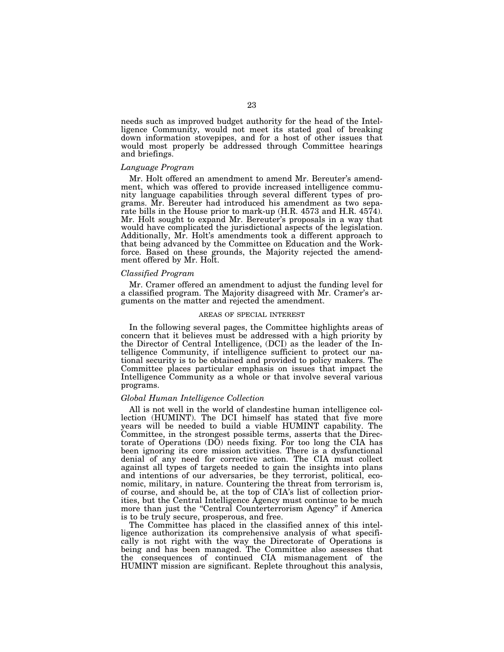needs such as improved budget authority for the head of the Intelligence Community, would not meet its stated goal of breaking down information stovepipes, and for a host of other issues that would most properly be addressed through Committee hearings and briefings.

## *Language Program*

Mr. Holt offered an amendment to amend Mr. Bereuter's amendment, which was offered to provide increased intelligence community language capabilities through several different types of programs. Mr. Bereuter had introduced his amendment as two separate bills in the House prior to mark-up (H.R. 4573 and H.R. 4574). Mr. Holt sought to expand Mr. Bereuter's proposals in a way that would have complicated the jurisdictional aspects of the legislation. Additionally, Mr. Holt's amendments took a different approach to that being advanced by the Committee on Education and the Workforce. Based on these grounds, the Majority rejected the amendment offered by Mr. Holt.

## *Classified Program*

Mr. Cramer offered an amendment to adjust the funding level for a classified program. The Majority disagreed with Mr. Cramer's arguments on the matter and rejected the amendment.

### AREAS OF SPECIAL INTEREST

In the following several pages, the Committee highlights areas of concern that it believes must be addressed with a high priority by the Director of Central Intelligence, (DCI) as the leader of the Intelligence Community, if intelligence sufficient to protect our national security is to be obtained and provided to policy makers. The Committee places particular emphasis on issues that impact the Intelligence Community as a whole or that involve several various programs.

## *Global Human Intelligence Collection*

All is not well in the world of clandestine human intelligence collection (HUMINT). The DCI himself has stated that five more years will be needed to build a viable HUMINT capability. The Committee, in the strongest possible terms, asserts that the Directorate of Operations (DO) needs fixing. For too long the CIA has been ignoring its core mission activities. There is a dysfunctional denial of any need for corrective action. The CIA must collect against all types of targets needed to gain the insights into plans and intentions of our adversaries, be they terrorist, political, economic, military, in nature. Countering the threat from terrorism is, of course, and should be, at the top of CIA's list of collection priorities, but the Central Intelligence Agency must continue to be much more than just the "Central Counterterrorism Agency" if America is to be truly secure, prosperous, and free.

The Committee has placed in the classified annex of this intelligence authorization its comprehensive analysis of what specifically is not right with the way the Directorate of Operations is being and has been managed. The Committee also assesses that the consequences of continued CIA mismanagement of the HUMINT mission are significant. Replete throughout this analysis,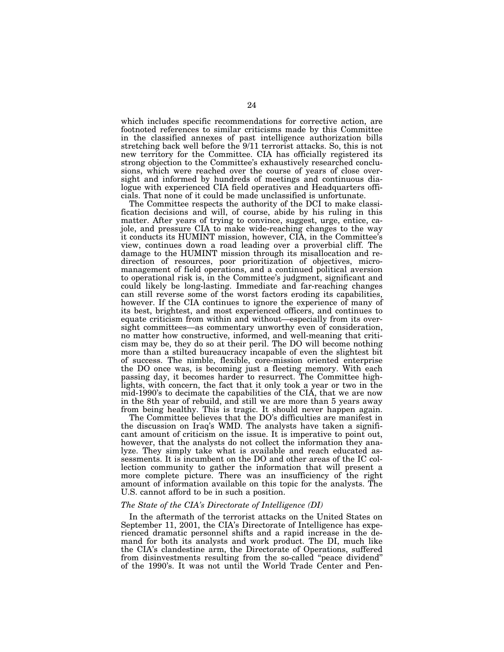which includes specific recommendations for corrective action, are footnoted references to similar criticisms made by this Committee in the classified annexes of past intelligence authorization bills stretching back well before the 9/11 terrorist attacks. So, this is not new territory for the Committee. CIA has officially registered its strong objection to the Committee's exhaustively researched conclusions, which were reached over the course of years of close oversight and informed by hundreds of meetings and continuous dialogue with experienced CIA field operatives and Headquarters officials. That none of it could be made unclassified is unfortunate.

The Committee respects the authority of the DCI to make classification decisions and will, of course, abide by his ruling in this matter. After years of trying to convince, suggest, urge, entice, cajole, and pressure CIA to make wide-reaching changes to the way it conducts its HUMINT mission, however, CIA, in the Committee's view, continues down a road leading over a proverbial cliff. The damage to the HUMINT mission through its misallocation and redirection of resources, poor prioritization of objectives, micromanagement of field operations, and a continued political aversion to operational risk is, in the Committee's judgment, significant and could likely be long-lasting. Immediate and far-reaching changes can still reverse some of the worst factors eroding its capabilities, however. If the CIA continues to ignore the experience of many of its best, brightest, and most experienced officers, and continues to equate criticism from within and without—especially from its oversight committees—as commentary unworthy even of consideration, no matter how constructive, informed, and well-meaning that criticism may be, they do so at their peril. The DO will become nothing more than a stilted bureaucracy incapable of even the slightest bit of success. The nimble, flexible, core-mission oriented enterprise the DO once was, is becoming just a fleeting memory. With each passing day, it becomes harder to resurrect. The Committee highlights, with concern, the fact that it only took a year or two in the mid-1990's to decimate the capabilities of the CIA, that we are now in the 8th year of rebuild, and still we are more than 5 years away from being healthy. This is tragic. It should never happen again.

The Committee believes that the DO's difficulties are manifest in the discussion on Iraq's WMD. The analysts have taken a significant amount of criticism on the issue. It is imperative to point out, however, that the analysts do not collect the information they analyze. They simply take what is available and reach educated assessments. It is incumbent on the DO and other areas of the IC collection community to gather the information that will present a more complete picture. There was an insufficiency of the right amount of information available on this topic for the analysts. The U.S. cannot afford to be in such a position.

## *The State of the CIA's Directorate of Intelligence (DI)*

In the aftermath of the terrorist attacks on the United States on September 11, 2001, the CIA's Directorate of Intelligence has experienced dramatic personnel shifts and a rapid increase in the demand for both its analysts and work product. The DI, much like the CIA's clandestine arm, the Directorate of Operations, suffered from disinvestments resulting from the so-called ''peace dividend'' of the 1990's. It was not until the World Trade Center and Pen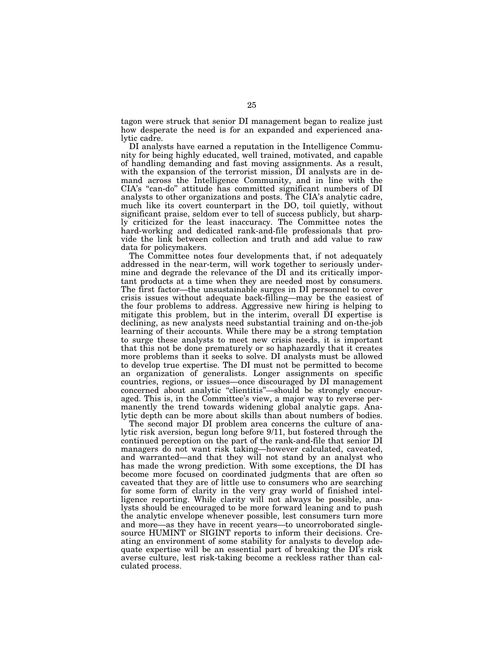tagon were struck that senior DI management began to realize just how desperate the need is for an expanded and experienced analytic cadre.

DI analysts have earned a reputation in the Intelligence Community for being highly educated, well trained, motivated, and capable of handling demanding and fast moving assignments. As a result, with the expansion of the terrorist mission, DI analysts are in demand across the Intelligence Community, and in line with the CIA's ''can-do'' attitude has committed significant numbers of DI analysts to other organizations and posts. The CIA's analytic cadre, much like its covert counterpart in the DO, toil quietly, without significant praise, seldom ever to tell of success publicly, but sharply criticized for the least inaccuracy. The Committee notes the hard-working and dedicated rank-and-file professionals that provide the link between collection and truth and add value to raw data for policymakers.

The Committee notes four developments that, if not adequately addressed in the near-term, will work together to seriously undermine and degrade the relevance of the DI and its critically important products at a time when they are needed most by consumers. The first factor—the unsustainable surges in DI personnel to cover crisis issues without adequate back-filling—may be the easiest of the four problems to address. Aggressive new hiring is helping to mitigate this problem, but in the interim, overall DI expertise is declining, as new analysts need substantial training and on-the-job learning of their accounts. While there may be a strong temptation to surge these analysts to meet new crisis needs, it is important that this not be done prematurely or so haphazardly that it creates more problems than it seeks to solve. DI analysts must be allowed to develop true expertise. The DI must not be permitted to become an organization of generalists. Longer assignments on specific countries, regions, or issues—once discouraged by DI management concerned about analytic ''clientitis''—should be strongly encouraged. This is, in the Committee's view, a major way to reverse permanently the trend towards widening global analytic gaps. Analytic depth can be more about skills than about numbers of bodies.

The second major DI problem area concerns the culture of analytic risk aversion, begun long before 9/11, but fostered through the continued perception on the part of the rank-and-file that senior DI managers do not want risk taking—however calculated, caveated, and warranted—and that they will not stand by an analyst who has made the wrong prediction. With some exceptions, the DI has become more focused on coordinated judgments that are often so caveated that they are of little use to consumers who are searching for some form of clarity in the very gray world of finished intelligence reporting. While clarity will not always be possible, analysts should be encouraged to be more forward leaning and to push the analytic envelope whenever possible, lest consumers turn more and more—as they have in recent years—to uncorroborated singlesource HUMINT or SIGINT reports to inform their decisions. Creating an environment of some stability for analysts to develop adequate expertise will be an essential part of breaking the DI's risk averse culture, lest risk-taking become a reckless rather than calculated process.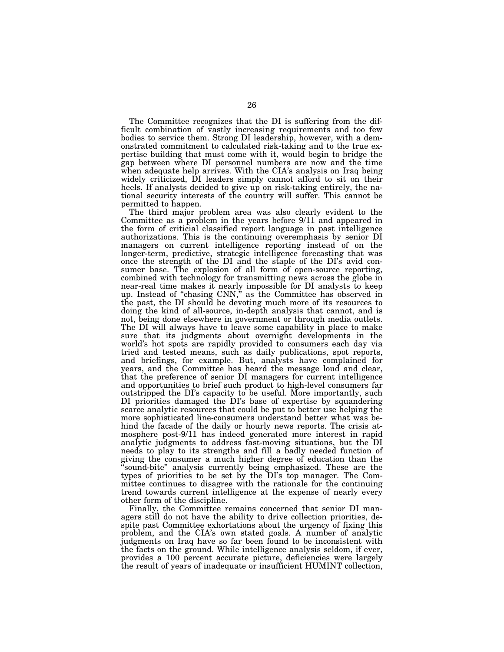The Committee recognizes that the DI is suffering from the difficult combination of vastly increasing requirements and too few bodies to service them. Strong DI leadership, however, with a demonstrated commitment to calculated risk-taking and to the true expertise building that must come with it, would begin to bridge the gap between where DI personnel numbers are now and the time when adequate help arrives. With the CIA's analysis on Iraq being widely criticized, DI leaders simply cannot afford to sit on their heels. If analysts decided to give up on risk-taking entirely, the national security interests of the country will suffer. This cannot be permitted to happen.

The third major problem area was also clearly evident to the Committee as a problem in the years before 9/11 and appeared in the form of criticial classified report language in past intelligence authorizations. This is the continuing overemphasis by senior DI managers on current intelligence reporting instead of on the longer-term, predictive, strategic intelligence forecasting that was once the strength of the DI and the staple of the DI's avid consumer base. The explosion of all form of open-source reporting, combined with technology for transmitting news across the globe in near-real time makes it nearly impossible for DI analysts to keep up. Instead of ''chasing CNN,'' as the Committee has observed in the past, the DI should be devoting much more of its resources to doing the kind of all-source, in-depth analysis that cannot, and is not, being done elsewhere in government or through media outlets. The DI will always have to leave some capability in place to make sure that its judgments about overnight developments in the world's hot spots are rapidly provided to consumers each day via tried and tested means, such as daily publications, spot reports, and briefings, for example. But, analysts have complained for years, and the Committee has heard the message loud and clear, that the preference of senior DI managers for current intelligence and opportunities to brief such product to high-level consumers far outstripped the DI's capacity to be useful. More importantly, such DI priorities damaged the DI's base of expertise by squandering scarce analytic resources that could be put to better use helping the more sophisticated line-consumers understand better what was behind the facade of the daily or hourly news reports. The crisis atmosphere post-9/11 has indeed generated more interest in rapid analytic judgments to address fast-moving situations, but the DI needs to play to its strengths and fill a badly needed function of giving the consumer a much higher degree of education than the sound-bite" analysis currently being emphasized. These are the types of priorities to be set by the DI's top manager. The Committee continues to disagree with the rationale for the continuing trend towards current intelligence at the expense of nearly every other form of the discipline.

Finally, the Committee remains concerned that senior DI managers still do not have the ability to drive collection priorities, despite past Committee exhortations about the urgency of fixing this problem, and the CIA's own stated goals. A number of analytic judgments on Iraq have so far been found to be inconsistent with the facts on the ground. While intelligence analysis seldom, if ever, provides a 100 percent accurate picture, deficiencies were largely the result of years of inadequate or insufficient HUMINT collection,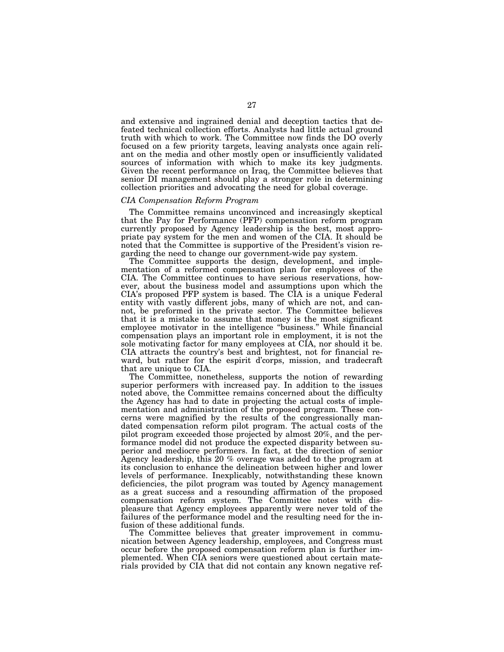and extensive and ingrained denial and deception tactics that defeated technical collection efforts. Analysts had little actual ground truth with which to work. The Committee now finds the DO overly focused on a few priority targets, leaving analysts once again reliant on the media and other mostly open or insufficiently validated sources of information with which to make its key judgments. Given the recent performance on Iraq, the Committee believes that senior DI management should play a stronger role in determining collection priorities and advocating the need for global coverage.

## *CIA Compensation Reform Program*

The Committee remains unconvinced and increasingly skeptical that the Pay for Performance (PFP) compensation reform program currently proposed by Agency leadership is the best, most appropriate pay system for the men and women of the CIA. It should be noted that the Committee is supportive of the President's vision regarding the need to change our government-wide pay system.

The Committee supports the design, development, and implementation of a reformed compensation plan for employees of the CIA. The Committee continues to have serious reservations, however, about the business model and assumptions upon which the CIA's proposed PFP system is based. The CIA is a unique Federal entity with vastly different jobs, many of which are not, and cannot, be preformed in the private sector. The Committee believes that it is a mistake to assume that money is the most significant employee motivator in the intelligence ''business.'' While financial compensation plays an important role in employment, it is not the sole motivating factor for many employees at CIA, nor should it be. CIA attracts the country's best and brightest, not for financial reward, but rather for the espirit d'corps, mission, and tradecraft that are unique to CIA.

The Committee, nonetheless, supports the notion of rewarding superior performers with increased pay. In addition to the issues noted above, the Committee remains concerned about the difficulty the Agency has had to date in projecting the actual costs of implementation and administration of the proposed program. These concerns were magnified by the results of the congressionally mandated compensation reform pilot program. The actual costs of the pilot program exceeded those projected by almost 20%, and the performance model did not produce the expected disparity between superior and mediocre performers. In fact, at the direction of senior Agency leadership, this 20 % overage was added to the program at its conclusion to enhance the delineation between higher and lower levels of performance. Inexplicably, notwithstanding these known deficiencies, the pilot program was touted by Agency management as a great success and a resounding affirmation of the proposed compensation reform system. The Committee notes with displeasure that Agency employees apparently were never told of the failures of the performance model and the resulting need for the infusion of these additional funds.

The Committee believes that greater improvement in communication between Agency leadership, employees, and Congress must occur before the proposed compensation reform plan is further implemented. When CIA seniors were questioned about certain materials provided by CIA that did not contain any known negative ref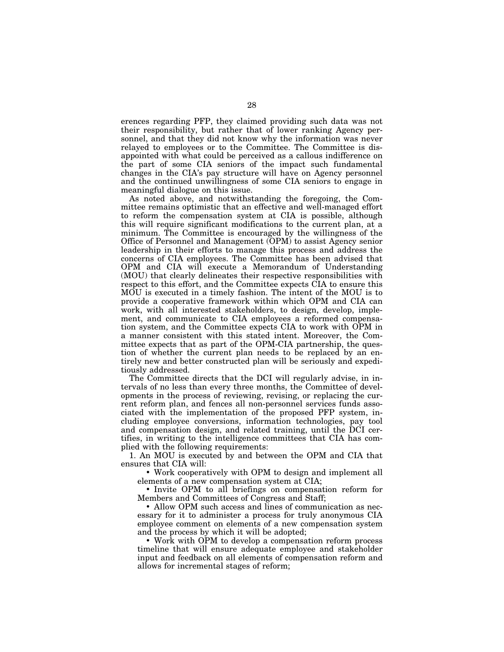erences regarding PFP, they claimed providing such data was not their responsibility, but rather that of lower ranking Agency personnel, and that they did not know why the information was never relayed to employees or to the Committee. The Committee is disappointed with what could be perceived as a callous indifference on the part of some CIA seniors of the impact such fundamental changes in the CIA's pay structure will have on Agency personnel and the continued unwillingness of some CIA seniors to engage in meaningful dialogue on this issue.

As noted above, and notwithstanding the foregoing, the Committee remains optimistic that an effective and well-managed effort to reform the compensation system at CIA is possible, although this will require significant modifications to the current plan, at a minimum. The Committee is encouraged by the willingness of the Office of Personnel and Management (OPM) to assist Agency senior leadership in their efforts to manage this process and address the concerns of CIA employees. The Committee has been advised that OPM and CIA will execute a Memorandum of Understanding (MOU) that clearly delineates their respective responsibilities with respect to this effort, and the Committee expects CIA to ensure this MOU is executed in a timely fashion. The intent of the MOU is to provide a cooperative framework within which OPM and CIA can work, with all interested stakeholders, to design, develop, implement, and communicate to CIA employees a reformed compensation system, and the Committee expects CIA to work with OPM in a manner consistent with this stated intent. Moreover, the Committee expects that as part of the OPM-CIA partnership, the question of whether the current plan needs to be replaced by an entirely new and better constructed plan will be seriously and expeditiously addressed.

The Committee directs that the DCI will regularly advise, in intervals of no less than every three months, the Committee of developments in the process of reviewing, revising, or replacing the current reform plan, and fences all non-personnel services funds associated with the implementation of the proposed PFP system, including employee conversions, information technologies, pay tool and compensation design, and related training, until the DCI certifies, in writing to the intelligence committees that CIA has complied with the following requirements:

1. An MOU is executed by and between the OPM and CIA that ensures that CIA will:

• Work cooperatively with OPM to design and implement all elements of a new compensation system at CIA;

• Invite OPM to all briefings on compensation reform for Members and Committees of Congress and Staff;

• Allow OPM such access and lines of communication as necessary for it to administer a process for truly anonymous CIA employee comment on elements of a new compensation system and the process by which it will be adopted;

• Work with OPM to develop a compensation reform process timeline that will ensure adequate employee and stakeholder input and feedback on all elements of compensation reform and allows for incremental stages of reform;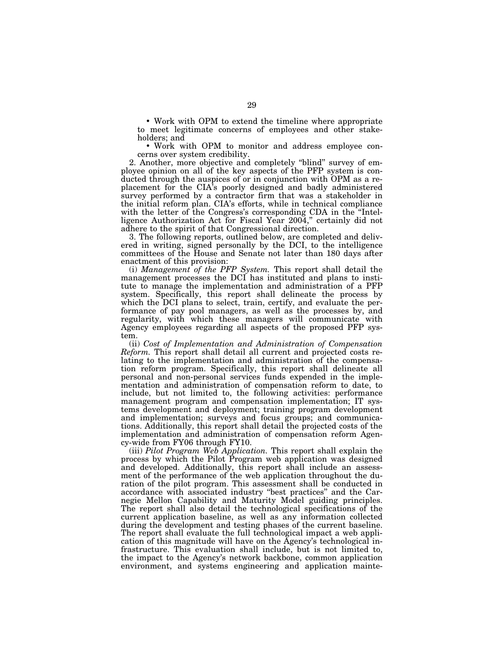• Work with OPM to extend the timeline where appropriate to meet legitimate concerns of employees and other stakeholders; and

• Work with OPM to monitor and address employee concerns over system credibility.

2. Another, more objective and completely ''blind'' survey of employee opinion on all of the key aspects of the PFP system is conducted through the auspices of or in conjunction with OPM as a replacement for the CIA's poorly designed and badly administered survey performed by a contractor firm that was a stakeholder in the initial reform plan. CIA's efforts, while in technical compliance with the letter of the Congress's corresponding CDA in the "Intelligence Authorization Act for Fiscal Year 2004," certainly did not adhere to the spirit of that Congressional direction.

3. The following reports, outlined below, are completed and delivered in writing, signed personally by the DCI, to the intelligence committees of the House and Senate not later than 180 days after enactment of this provision:

(i) *Management of the PFP System.* This report shall detail the management processes the DCI has instituted and plans to institute to manage the implementation and administration of a PFP system. Specifically, this report shall delineate the process by which the DCI plans to select, train, certify, and evaluate the performance of pay pool managers, as well as the processes by, and regularity, with which these managers will communicate with Agency employees regarding all aspects of the proposed PFP system.

(ii) *Cost of Implementation and Administration of Compensation Reform.* This report shall detail all current and projected costs relating to the implementation and administration of the compensation reform program. Specifically, this report shall delineate all personal and non-personal services funds expended in the implementation and administration of compensation reform to date, to include, but not limited to, the following activities: performance management program and compensation implementation; IT systems development and deployment; training program development and implementation; surveys and focus groups; and communications. Additionally, this report shall detail the projected costs of the implementation and administration of compensation reform Agency-wide from FY06 through FY10.

(iii) *Pilot Program Web Application.* This report shall explain the process by which the Pilot Program web application was designed and developed. Additionally, this report shall include an assessment of the performance of the web application throughout the duration of the pilot program. This assessment shall be conducted in accordance with associated industry ''best practices'' and the Carnegie Mellon Capability and Maturity Model guiding principles. The report shall also detail the technological specifications of the current application baseline, as well as any information collected during the development and testing phases of the current baseline. The report shall evaluate the full technological impact a web application of this magnitude will have on the Agency's technological infrastructure. This evaluation shall include, but is not limited to, the impact to the Agency's network backbone, common application environment, and systems engineering and application mainte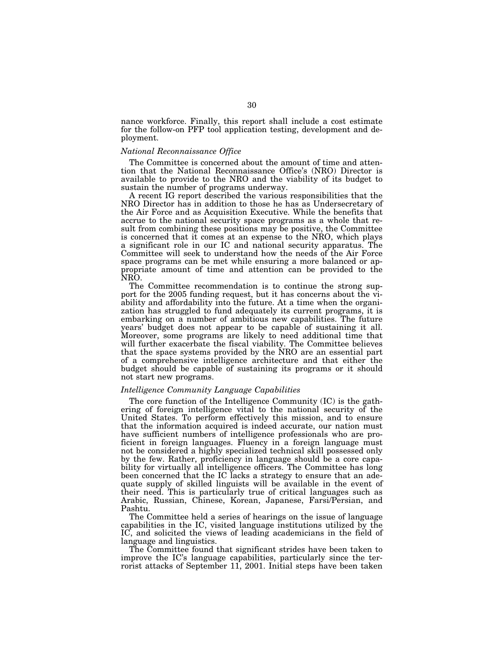nance workforce. Finally, this report shall include a cost estimate for the follow-on PFP tool application testing, development and deployment.

## *National Reconnaissance Office*

The Committee is concerned about the amount of time and attention that the National Reconnaissance Office's (NRO) Director is available to provide to the NRO and the viability of its budget to sustain the number of programs underway.

A recent IG report described the various responsibilities that the NRO Director has in addition to those he has as Undersecretary of the Air Force and as Acquisition Executive. While the benefits that accrue to the national security space programs as a whole that result from combining these positions may be positive, the Committee is concerned that it comes at an expense to the NRO, which plays a significant role in our IC and national security apparatus. The Committee will seek to understand how the needs of the Air Force space programs can be met while ensuring a more balanced or appropriate amount of time and attention can be provided to the NRO.

The Committee recommendation is to continue the strong support for the 2005 funding request, but it has concerns about the viability and affordability into the future. At a time when the organization has struggled to fund adequately its current programs, it is embarking on a number of ambitious new capabilities. The future years' budget does not appear to be capable of sustaining it all. Moreover, some programs are likely to need additional time that will further exacerbate the fiscal viability. The Committee believes that the space systems provided by the NRO are an essential part of a comprehensive intelligence architecture and that either the budget should be capable of sustaining its programs or it should not start new programs.

## *Intelligence Community Language Capabilities*

The core function of the Intelligence Community (IC) is the gathering of foreign intelligence vital to the national security of the United States. To perform effectively this mission, and to ensure that the information acquired is indeed accurate, our nation must have sufficient numbers of intelligence professionals who are proficient in foreign languages. Fluency in a foreign language must not be considered a highly specialized technical skill possessed only by the few. Rather, proficiency in language should be a core capability for virtually all intelligence officers. The Committee has long been concerned that the IC lacks a strategy to ensure that an adequate supply of skilled linguists will be available in the event of their need. This is particularly true of critical languages such as Arabic, Russian, Chinese, Korean, Japanese, Farsi/Persian, and Pashtu.

The Committee held a series of hearings on the issue of language capabilities in the IC, visited language institutions utilized by the IC, and solicited the views of leading academicians in the field of language and linguistics.

The Committee found that significant strides have been taken to improve the IC's language capabilities, particularly since the terrorist attacks of September 11, 2001. Initial steps have been taken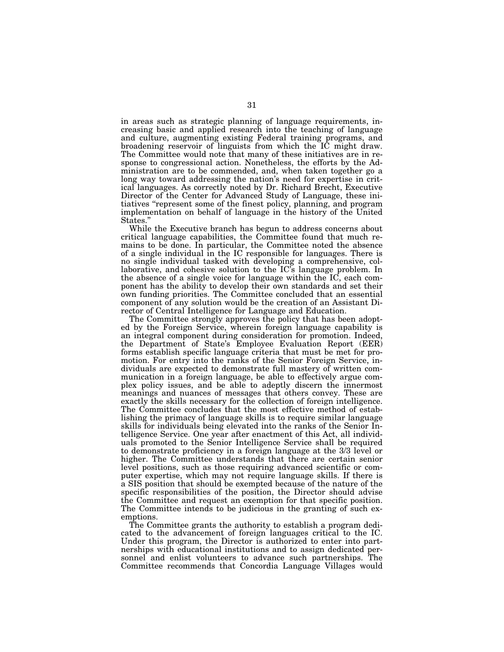in areas such as strategic planning of language requirements, increasing basic and applied research into the teaching of language and culture, augmenting existing Federal training programs, and broadening reservoir of linguists from which the IC might draw. The Committee would note that many of these initiatives are in response to congressional action. Nonetheless, the efforts by the Administration are to be commended, and, when taken together go a long way toward addressing the nation's need for expertise in critical languages. As correctly noted by Dr. Richard Brecht, Executive Director of the Center for Advanced Study of Language, these initiatives "represent some of the finest policy, planning, and program implementation on behalf of language in the history of the United States.''

While the Executive branch has begun to address concerns about critical language capabilities, the Committee found that much remains to be done. In particular, the Committee noted the absence of a single individual in the IC responsible for languages. There is no single individual tasked with developing a comprehensive, collaborative, and cohesive solution to the IC's language problem. In the absence of a single voice for language within the IC, each component has the ability to develop their own standards and set their own funding priorities. The Committee concluded that an essential component of any solution would be the creation of an Assistant Director of Central Intelligence for Language and Education.

The Committee strongly approves the policy that has been adopted by the Foreign Service, wherein foreign language capability is an integral component during consideration for promotion. Indeed, the Department of State's Employee Evaluation Report (EER) forms establish specific language criteria that must be met for promotion. For entry into the ranks of the Senior Foreign Service, individuals are expected to demonstrate full mastery of written communication in a foreign language, be able to effectively argue complex policy issues, and be able to adeptly discern the innermost meanings and nuances of messages that others convey. These are exactly the skills necessary for the collection of foreign intelligence. The Committee concludes that the most effective method of establishing the primacy of language skills is to require similar language skills for individuals being elevated into the ranks of the Senior Intelligence Service. One year after enactment of this Act, all individuals promoted to the Senior Intelligence Service shall be required to demonstrate proficiency in a foreign language at the 3/3 level or higher. The Committee understands that there are certain senior level positions, such as those requiring advanced scientific or computer expertise, which may not require language skills. If there is a SIS position that should be exempted because of the nature of the specific responsibilities of the position, the Director should advise the Committee and request an exemption for that specific position. The Committee intends to be judicious in the granting of such exemptions.

The Committee grants the authority to establish a program dedicated to the advancement of foreign languages critical to the IC. Under this program, the Director is authorized to enter into partnerships with educational institutions and to assign dedicated personnel and enlist volunteers to advance such partnerships. The Committee recommends that Concordia Language Villages would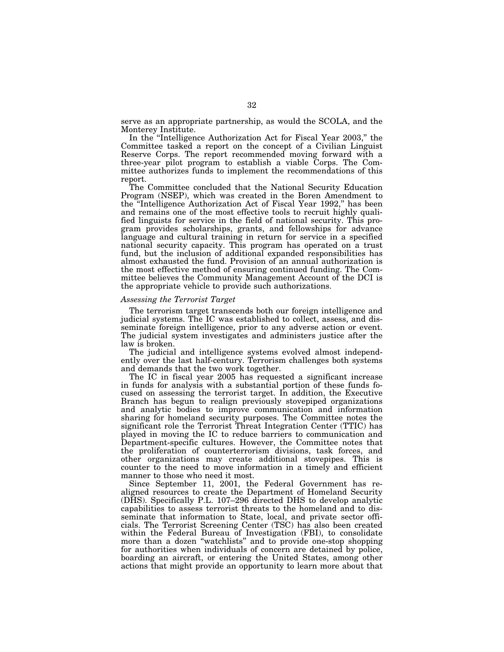serve as an appropriate partnership, as would the SCOLA, and the Monterey Institute.

In the ''Intelligence Authorization Act for Fiscal Year 2003,'' the Committee tasked a report on the concept of a Civilian Linguist Reserve Corps. The report recommended moving forward with a three-year pilot program to establish a viable Corps. The Committee authorizes funds to implement the recommendations of this report.

The Committee concluded that the National Security Education Program (NSEP), which was created in the Boren Amendment to the ''Intelligence Authorization Act of Fiscal Year 1992,'' has been and remains one of the most effective tools to recruit highly qualified linguists for service in the field of national security. This program provides scholarships, grants, and fellowships for advance language and cultural training in return for service in a specified national security capacity. This program has operated on a trust fund, but the inclusion of additional expanded responsibilities has almost exhausted the fund. Provision of an annual authorization is the most effective method of ensuring continued funding. The Committee believes the Community Management Account of the DCI is the appropriate vehicle to provide such authorizations.

## *Assessing the Terrorist Target*

The terrorism target transcends both our foreign intelligence and judicial systems. The IC was established to collect, assess, and disseminate foreign intelligence, prior to any adverse action or event. The judicial system investigates and administers justice after the law is broken.

The judicial and intelligence systems evolved almost independently over the last half-century. Terrorism challenges both systems and demands that the two work together.

The IC in fiscal year 2005 has requested a significant increase in funds for analysis with a substantial portion of these funds focused on assessing the terrorist target. In addition, the Executive Branch has begun to realign previously stovepiped organizations and analytic bodies to improve communication and information sharing for homeland security purposes. The Committee notes the significant role the Terrorist Threat Integration Center (TTIC) has played in moving the IC to reduce barriers to communication and Department-specific cultures. However, the Committee notes that the proliferation of counterterrorism divisions, task forces, and other organizations may create additional stovepipes. This is counter to the need to move information in a timely and efficient manner to those who need it most.

Since September 11, 2001, the Federal Government has realigned resources to create the Department of Homeland Security (DHS). Specifically P.L. 107–296 directed DHS to develop analytic capabilities to assess terrorist threats to the homeland and to disseminate that information to State, local, and private sector officials. The Terrorist Screening Center (TSC) has also been created within the Federal Bureau of Investigation (FBI), to consolidate more than a dozen ''watchlists'' and to provide one-stop shopping for authorities when individuals of concern are detained by police, boarding an aircraft, or entering the United States, among other actions that might provide an opportunity to learn more about that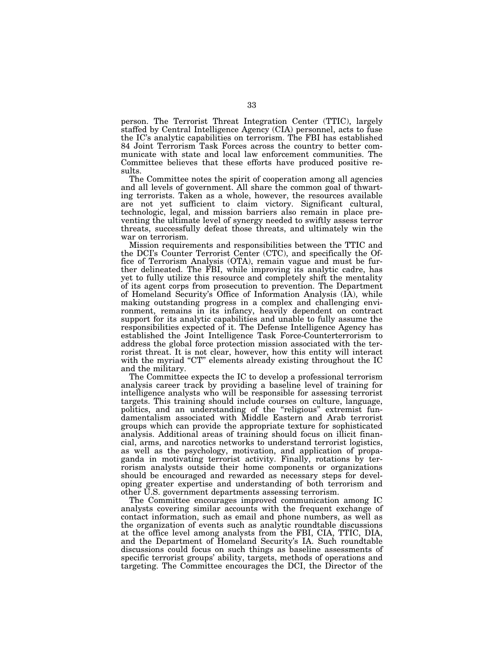person. The Terrorist Threat Integration Center (TTIC), largely staffed by Central Intelligence Agency (CIA) personnel, acts to fuse the IC's analytic capabilities on terrorism. The FBI has established 84 Joint Terrorism Task Forces across the country to better communicate with state and local law enforcement communities. The Committee believes that these efforts have produced positive results.

The Committee notes the spirit of cooperation among all agencies and all levels of government. All share the common goal of thwarting terrorists. Taken as a whole, however, the resources available are not yet sufficient to claim victory. Significant cultural, technologic, legal, and mission barriers also remain in place preventing the ultimate level of synergy needed to swiftly assess terror threats, successfully defeat those threats, and ultimately win the war on terrorism.

Mission requirements and responsibilities between the TTIC and the DCI's Counter Terrorist Center (CTC), and specifically the Office of Terrorism Analysis (OTA), remain vague and must be further delineated. The FBI, while improving its analytic cadre, has yet to fully utilize this resource and completely shift the mentality of its agent corps from prosecution to prevention. The Department of Homeland Security's Office of Information Analysis (IA), while making outstanding progress in a complex and challenging environment, remains in its infancy, heavily dependent on contract support for its analytic capabilities and unable to fully assume the responsibilities expected of it. The Defense Intelligence Agency has established the Joint Intelligence Task Force-Counterterrorism to address the global force protection mission associated with the terrorist threat. It is not clear, however, how this entity will interact with the myriad "CT" elements already existing throughout the IC and the military.

The Committee expects the IC to develop a professional terrorism analysis career track by providing a baseline level of training for intelligence analysts who will be responsible for assessing terrorist targets. This training should include courses on culture, language, politics, and an understanding of the ''religious'' extremist fundamentalism associated with Middle Eastern and Arab terrorist groups which can provide the appropriate texture for sophisticated analysis. Additional areas of training should focus on illicit financial, arms, and narcotics networks to understand terrorist logistics, as well as the psychology, motivation, and application of propaganda in motivating terrorist activity. Finally, rotations by terrorism analysts outside their home components or organizations should be encouraged and rewarded as necessary steps for developing greater expertise and understanding of both terrorism and other U.S. government departments assessing terrorism.

The Committee encourages improved communication among IC analysts covering similar accounts with the frequent exchange of contact information, such as email and phone numbers, as well as the organization of events such as analytic roundtable discussions at the office level among analysts from the FBI, CIA, TTIC, DIA, and the Department of Homeland Security's IA. Such roundtable discussions could focus on such things as baseline assessments of specific terrorist groups' ability, targets, methods of operations and targeting. The Committee encourages the DCI, the Director of the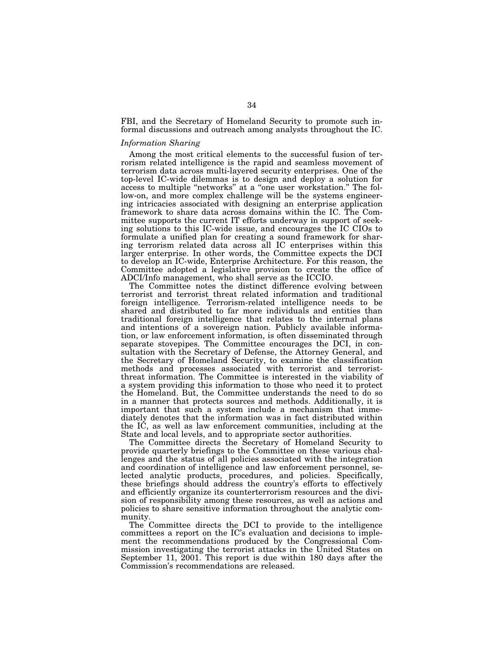FBI, and the Secretary of Homeland Security to promote such informal discussions and outreach among analysts throughout the IC.

## *Information Sharing*

Among the most critical elements to the successful fusion of terrorism related intelligence is the rapid and seamless movement of terrorism data across multi-layered security enterprises. One of the top-level IC-wide dilemmas is to design and deploy a solution for access to multiple ''networks'' at a ''one user workstation.'' The follow-on, and more complex challenge will be the systems engineering intricacies associated with designing an enterprise application framework to share data across domains within the IC. The Committee supports the current IT efforts underway in support of seeking solutions to this IC-wide issue, and encourages the IC CIOs to formulate a unified plan for creating a sound framework for sharing terrorism related data across all IC enterprises within this larger enterprise. In other words, the Committee expects the DCI to develop an IC-wide, Enterprise Architecture. For this reason, the Committee adopted a legislative provision to create the office of ADCI/Info management, who shall serve as the ICCIO.

The Committee notes the distinct difference evolving between terrorist and terrorist threat related information and traditional foreign intelligence. Terrorism-related intelligence needs to be shared and distributed to far more individuals and entities than traditional foreign intelligence that relates to the internal plans and intentions of a sovereign nation. Publicly available information, or law enforcement information, is often disseminated through separate stovepipes. The Committee encourages the DCI, in consultation with the Secretary of Defense, the Attorney General, and the Secretary of Homeland Security, to examine the classification methods and processes associated with terrorist and terroristthreat information. The Committee is interested in the viability of a system providing this information to those who need it to protect the Homeland. But, the Committee understands the need to do so in a manner that protects sources and methods. Additionally, it is important that such a system include a mechanism that immediately denotes that the information was in fact distributed within the IC, as well as law enforcement communities, including at the State and local levels, and to appropriate sector authorities.

The Committee directs the Secretary of Homeland Security to provide quarterly briefings to the Committee on these various challenges and the status of all policies associated with the integration and coordination of intelligence and law enforcement personnel, selected analytic products, procedures, and policies. Specifically, these briefings should address the country's efforts to effectively and efficiently organize its counterterrorism resources and the division of responsibility among these resources, as well as actions and policies to share sensitive information throughout the analytic community.

The Committee directs the DCI to provide to the intelligence committees a report on the IC's evaluation and decisions to implement the recommendations produced by the Congressional Commission investigating the terrorist attacks in the United States on September 11, 2001. This report is due within 180 days after the Commission's recommendations are released.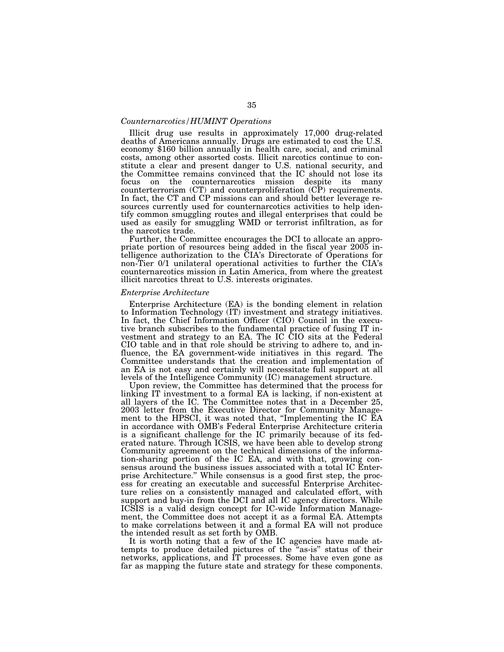## *Counternarcotics/HUMINT Operations*

Illicit drug use results in approximately 17,000 drug-related deaths of Americans annually. Drugs are estimated to cost the U.S. economy \$160 billion annually in health care, social, and criminal costs, among other assorted costs. Illicit narcotics continue to constitute a clear and present danger to U.S. national security, and the Committee remains convinced that the IC should not lose its focus on the counternarcotics mission despite its many counterterrorism (CT) and counterproliferation (CP) requirements. In fact, the CT and CP missions can and should better leverage resources currently used for counternarcotics activities to help identify common smuggling routes and illegal enterprises that could be used as easily for smuggling WMD or terrorist infiltration, as for the narcotics trade.

Further, the Committee encourages the DCI to allocate an appropriate portion of resources being added in the fiscal year 2005 intelligence authorization to the CIA's Directorate of Operations for non-Tier 0/1 unilateral operational activities to further the CIA's counternarcotics mission in Latin America, from where the greatest illicit narcotics threat to U.S. interests originates.

### *Enterprise Architecture*

Enterprise Architecture (EA) is the bonding element in relation to Information Technology (IT) investment and strategy initiatives. In fact, the Chief Information Officer (CIO) Council in the executive branch subscribes to the fundamental practice of fusing IT investment and strategy to an EA. The IC CIO sits at the Federal CIO table and in that role should be striving to adhere to, and influence, the EA government-wide initiatives in this regard. The Committee understands that the creation and implementation of an EA is not easy and certainly will necessitate full support at all levels of the Intelligence Community (IC) management structure.

Upon review, the Committee has determined that the process for linking IT investment to a formal EA is lacking, if non-existent at all layers of the IC. The Committee notes that in a December 25, 2003 letter from the Executive Director for Community Management to the HPSCI, it was noted that, ''Implementing the IC EA in accordance with OMB's Federal Enterprise Architecture criteria is a significant challenge for the IC primarily because of its federated nature. Through ICSIS, we have been able to develop strong Community agreement on the technical dimensions of the information-sharing portion of the IC EA, and with that, growing consensus around the business issues associated with a total IC Enterprise Architecture.'' While consensus is a good first step, the process for creating an executable and successful Enterprise Architecture relies on a consistently managed and calculated effort, with support and buy-in from the DCI and all IC agency directors. While ICSIS is a valid design concept for IC-wide Information Management, the Committee does not accept it as a formal EA. Attempts to make correlations between it and a formal EA will not produce the intended result as set forth by OMB.

It is worth noting that a few of the IC agencies have made attempts to produce detailed pictures of the ''as-is'' status of their networks, applications, and IT processes. Some have even gone as far as mapping the future state and strategy for these components.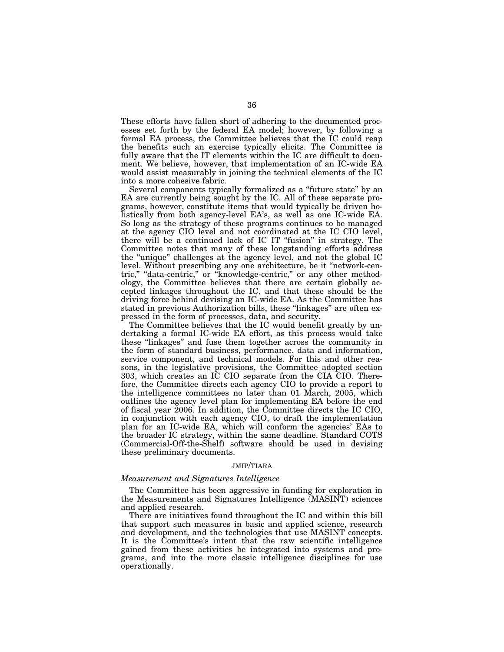These efforts have fallen short of adhering to the documented processes set forth by the federal EA model; however, by following a formal EA process, the Committee believes that the IC could reap the benefits such an exercise typically elicits. The Committee is fully aware that the IT elements within the IC are difficult to document. We believe, however, that implementation of an IC-wide EA would assist measurably in joining the technical elements of the IC into a more cohesive fabric.

Several components typically formalized as a ''future state'' by an EA are currently being sought by the IC. All of these separate programs, however, constitute items that would typically be driven holistically from both agency-level EA's, as well as one IC-wide EA. So long as the strategy of these programs continues to be managed at the agency CIO level and not coordinated at the IC CIO level, there will be a continued lack of IC IT ''fusion'' in strategy. The Committee notes that many of these longstanding efforts address the ''unique'' challenges at the agency level, and not the global IC level. Without prescribing any one architecture, be it ''network-centric," "data-centric," or "knowledge-centric," or any other methodology, the Committee believes that there are certain globally accepted linkages throughout the IC, and that these should be the driving force behind devising an IC-wide EA. As the Committee has stated in previous Authorization bills, these "linkages" are often expressed in the form of processes, data, and security.

The Committee believes that the IC would benefit greatly by undertaking a formal IC-wide EA effort, as this process would take these ''linkages'' and fuse them together across the community in the form of standard business, performance, data and information, service component, and technical models. For this and other reasons, in the legislative provisions, the Committee adopted section 303, which creates an IC CIO separate from the CIA CIO. Therefore, the Committee directs each agency CIO to provide a report to the intelligence committees no later than 01 March, 2005, which outlines the agency level plan for implementing EA before the end of fiscal year 2006. In addition, the Committee directs the IC CIO, in conjunction with each agency CIO, to draft the implementation plan for an IC-wide EA, which will conform the agencies' EAs to the broader IC strategy, within the same deadline. Standard COTS (Commercial-Off-the-Shelf) software should be used in devising these preliminary documents.

## JMIP/TIARA

## *Measurement and Signatures Intelligence*

The Committee has been aggressive in funding for exploration in the Measurements and Signatures Intelligence (MASINT) sciences and applied research.

There are initiatives found throughout the IC and within this bill that support such measures in basic and applied science, research and development, and the technologies that use MASINT concepts. It is the Committee's intent that the raw scientific intelligence gained from these activities be integrated into systems and programs, and into the more classic intelligence disciplines for use operationally.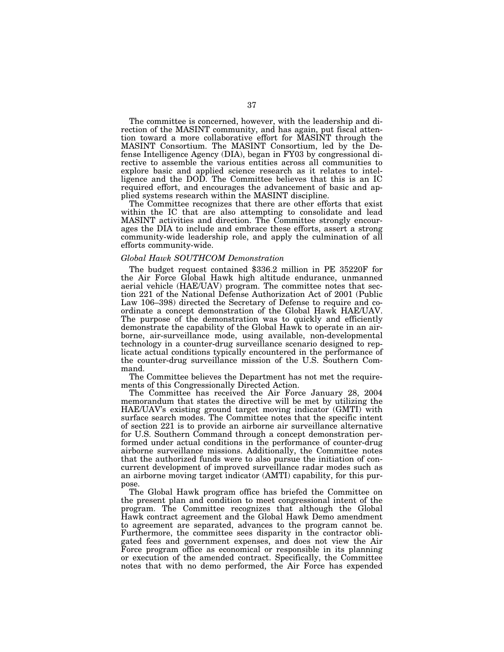The committee is concerned, however, with the leadership and direction of the MASINT community, and has again, put fiscal attention toward a more collaborative effort for MASINT through the MASINT Consortium. The MASINT Consortium, led by the Defense Intelligence Agency (DIA), began in FY03 by congressional directive to assemble the various entities across all communities to explore basic and applied science research as it relates to intelligence and the DOD. The Committee believes that this is an IC required effort, and encourages the advancement of basic and applied systems research within the MASINT discipline.

The Committee recognizes that there are other efforts that exist within the IC that are also attempting to consolidate and lead MASINT activities and direction. The Committee strongly encourages the DIA to include and embrace these efforts, assert a strong community-wide leadership role, and apply the culmination of all efforts community-wide.

#### *Global Hawk SOUTHCOM Demonstration*

The budget request contained \$336.2 million in PE 35220F for the Air Force Global Hawk high altitude endurance, unmanned aerial vehicle (HAE/UAV) program. The committee notes that section 221 of the National Defense Authorization Act of 2001 (Public Law 106–398) directed the Secretary of Defense to require and coordinate a concept demonstration of the Global Hawk HAE/UAV. The purpose of the demonstration was to quickly and efficiently demonstrate the capability of the Global Hawk to operate in an airborne, air-surveillance mode, using available, non-developmental technology in a counter-drug surveillance scenario designed to replicate actual conditions typically encountered in the performance of the counter-drug surveillance mission of the U.S. Southern Command.

The Committee believes the Department has not met the requirements of this Congressionally Directed Action.

The Committee has received the Air Force January 28, 2004 memorandum that states the directive will be met by utilizing the HAE/UAV's existing ground target moving indicator (GMTI) with surface search modes. The Committee notes that the specific intent of section 221 is to provide an airborne air surveillance alternative for U.S. Southern Command through a concept demonstration performed under actual conditions in the performance of counter-drug airborne surveillance missions. Additionally, the Committee notes that the authorized funds were to also pursue the initiation of concurrent development of improved surveillance radar modes such as an airborne moving target indicator (AMTI) capability, for this purpose.

The Global Hawk program office has briefed the Committee on the present plan and condition to meet congressional intent of the program. The Committee recognizes that although the Global Hawk contract agreement and the Global Hawk Demo amendment to agreement are separated, advances to the program cannot be. Furthermore, the committee sees disparity in the contractor obligated fees and government expenses, and does not view the Air Force program office as economical or responsible in its planning or execution of the amended contract. Specifically, the Committee notes that with no demo performed, the Air Force has expended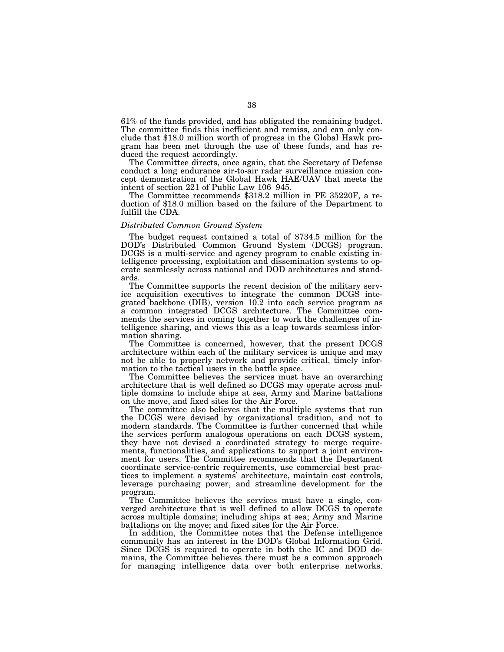61% of the funds provided, and has obligated the remaining budget. The committee finds this inefficient and remiss, and can only conclude that \$18.0 million worth of progress in the Global Hawk program has been met through the use of these funds, and has reduced the request accordingly.

The Committee directs, once again, that the Secretary of Defense conduct a long endurance air-to-air radar surveillance mission concept demonstration of the Global Hawk HAE/UAV that meets the intent of section 221 of Public Law 106–945.

The Committee recommends \$318.2 million in PE 35220F, a reduction of \$18.0 million based on the failure of the Department to fulfill the CDA.

# *Distributed Common Ground System*

The budget request contained a total of \$734.5 million for the DOD's Distributed Common Ground System (DCGS) program. DCGS is a multi-service and agency program to enable existing intelligence processing, exploitation and dissemination systems to operate seamlessly across national and DOD architectures and standards.

The Committee supports the recent decision of the military service acquisition executives to integrate the common DCGS integrated backbone (DIB), version 10.2 into each service program as a common integrated DCGS architecture. The Committee commends the services in coming together to work the challenges of intelligence sharing, and views this as a leap towards seamless information sharing.

The Committee is concerned, however, that the present DCGS architecture within each of the military services is unique and may not be able to properly network and provide critical, timely information to the tactical users in the battle space.

The Committee believes the services must have an overarching architecture that is well defined so DCGS may operate across multiple domains to include ships at sea, Army and Marine battalions on the move, and fixed sites for the Air Force.

The committee also believes that the multiple systems that run the DCGS were devised by organizational tradition, and not to modern standards. The Committee is further concerned that while the services perform analogous operations on each DCGS system, they have not devised a coordinated strategy to merge requirements, functionalities, and applications to support a joint environment for users. The Committee recommends that the Department coordinate service-centric requirements, use commercial best practices to implement a systems' architecture, maintain cost controls, leverage purchasing power, and streamline development for the program.

The Committee believes the services must have a single, converged architecture that is well defined to allow DCGS to operate across multiple domains; including ships at sea; Army and Marine battalions on the move; and fixed sites for the Air Force.

In addition, the Committee notes that the Defense intelligence community has an interest in the DOD's Global Information Grid. Since DCGS is required to operate in both the IC and DOD domains, the Committee believes there must be a common approach for managing intelligence data over both enterprise networks.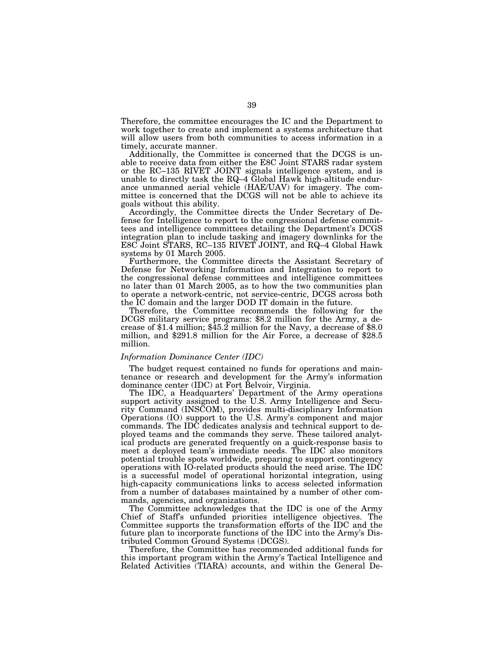Therefore, the committee encourages the IC and the Department to work together to create and implement a systems architecture that will allow users from both communities to access information in a timely, accurate manner.

Additionally, the Committee is concerned that the DCGS is unable to receive data from either the E8C Joint STARS radar system or the RC–135 RIVET JOINT signals intelligence system, and is unable to directly task the RQ–4 Global Hawk high-altitude endurance unmanned aerial vehicle (HAE/UAV) for imagery. The committee is concerned that the DCGS will not be able to achieve its goals without this ability.

Accordingly, the Committee directs the Under Secretary of Defense for Intelligence to report to the congressional defense committees and intelligence committees detailing the Department's DCGS integration plan to include tasking and imagery downlinks for the E8C Joint STARS, RC–135 RIVET JOINT, and RQ–4 Global Hawk systems by 01 March 2005.

Furthermore, the Committee directs the Assistant Secretary of Defense for Networking Information and Integration to report to the congressional defense committees and intelligence committees no later than 01 March 2005, as to how the two communities plan to operate a network-centric, not service-centric, DCGS across both the IC domain and the larger DOD IT domain in the future.

Therefore, the Committee recommends the following for the DCGS military service programs: \$8.2 million for the Army, a decrease of \$1.4 million; \$45.2 million for the Navy, a decrease of \$8.0 million, and \$291.8 million for the Air Force, a decrease of \$28.5 million.

# *Information Dominance Center (IDC)*

The budget request contained no funds for operations and maintenance or research and development for the Army's information dominance center (IDC) at Fort Belvoir, Virginia.

The IDC, a Headquarters' Department of the Army operations support activity assigned to the U.S. Army Intelligence and Security Command (INSCOM), provides multi-disciplinary Information Operations (IO) support to the U.S. Army's component and major commands. The IDC dedicates analysis and technical support to deployed teams and the commands they serve. These tailored analytical products are generated frequently on a quick-response basis to meet a deployed team's immediate needs. The IDC also monitors potential trouble spots worldwide, preparing to support contingency operations with IO-related products should the need arise. The IDC is a successful model of operational horizontal integration, using high-capacity communications links to access selected information from a number of databases maintained by a number of other commands, agencies, and organizations.

The Committee acknowledges that the IDC is one of the Army Chief of Staff's unfunded priorities intelligence objectives. The Committee supports the transformation efforts of the IDC and the future plan to incorporate functions of the IDC into the Army's Distributed Common Ground Systems (DCGS).

Therefore, the Committee has recommended additional funds for this important program within the Army's Tactical Intelligence and Related Activities (TIARA) accounts, and within the General De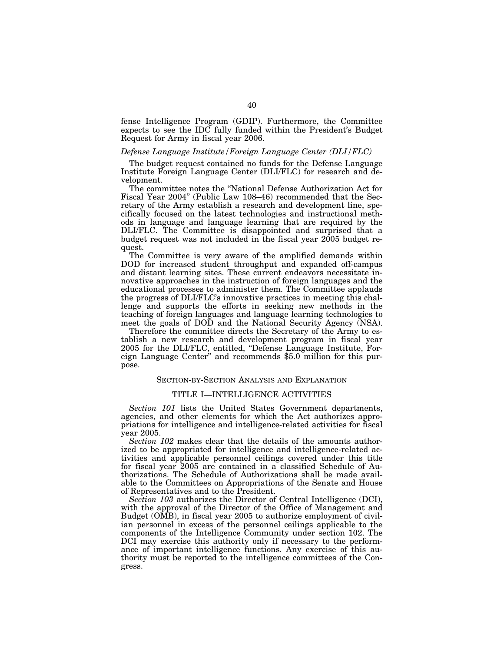fense Intelligence Program (GDIP). Furthermore, the Committee expects to see the IDC fully funded within the President's Budget Request for Army in fiscal year 2006.

# *Defense Language Institute/Foreign Language Center (DLI/FLC)*

The budget request contained no funds for the Defense Language Institute Foreign Language Center (DLI/FLC) for research and development.

The committee notes the ''National Defense Authorization Act for Fiscal Year 2004'' (Public Law 108–46) recommended that the Secretary of the Army establish a research and development line, specifically focused on the latest technologies and instructional methods in language and language learning that are required by the DLI/FLC. The Committee is disappointed and surprised that a budget request was not included in the fiscal year 2005 budget request.

The Committee is very aware of the amplified demands within DOD for increased student throughput and expanded off-campus and distant learning sites. These current endeavors necessitate innovative approaches in the instruction of foreign languages and the educational processes to administer them. The Committee applauds the progress of DLI/FLC's innovative practices in meeting this challenge and supports the efforts in seeking new methods in the teaching of foreign languages and language learning technologies to meet the goals of DOD and the National Security Agency (NSA).

Therefore the committee directs the Secretary of the Army to establish a new research and development program in fiscal year 2005 for the DLI/FLC, entitled, ''Defense Language Institute, Foreign Language Center'' and recommends \$5.0 million for this purpose.

## SECTION-BY-SECTION ANALYSIS AND EXPLANATION

#### TITLE I—INTELLIGENCE ACTIVITIES

*Section 101* lists the United States Government departments, agencies, and other elements for which the Act authorizes appropriations for intelligence and intelligence-related activities for fiscal year 2005.

*Section 102* makes clear that the details of the amounts authorized to be appropriated for intelligence and intelligence-related activities and applicable personnel ceilings covered under this title for fiscal year 2005 are contained in a classified Schedule of Authorizations. The Schedule of Authorizations shall be made available to the Committees on Appropriations of the Senate and House of Representatives and to the President.

*Section 103* authorizes the Director of Central Intelligence (DCI), with the approval of the Director of the Office of Management and Budget (OMB), in fiscal year 2005 to authorize employment of civilian personnel in excess of the personnel ceilings applicable to the components of the Intelligence Community under section 102. The DCI may exercise this authority only if necessary to the performance of important intelligence functions. Any exercise of this authority must be reported to the intelligence committees of the Congress.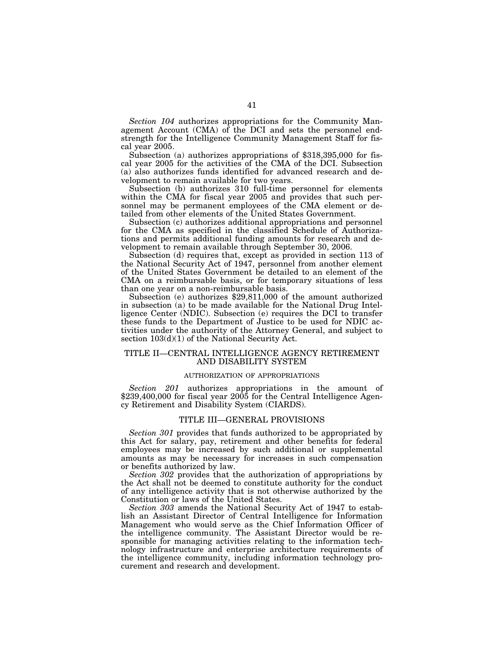*Section 104* authorizes appropriations for the Community Management Account (CMA) of the DCI and sets the personnel endstrength for the Intelligence Community Management Staff for fiscal year 2005.

Subsection (a) authorizes appropriations of \$318,395,000 for fiscal year 2005 for the activities of the CMA of the DCI. Subsection (a) also authorizes funds identified for advanced research and development to remain available for two years.

Subsection (b) authorizes 310 full-time personnel for elements within the CMA for fiscal year 2005 and provides that such personnel may be permanent employees of the CMA element or detailed from other elements of the United States Government.

Subsection (c) authorizes additional appropriations and personnel for the CMA as specified in the classified Schedule of Authorizations and permits additional funding amounts for research and development to remain available through September 30, 2006.

Subsection (d) requires that, except as provided in section 113 of the National Security Act of 1947, personnel from another element of the United States Government be detailed to an element of the CMA on a reimbursable basis, or for temporary situations of less than one year on a non-reimbursable basis.

Subsection (e) authorizes \$29,811,000 of the amount authorized in subsection (a) to be made available for the National Drug Intelligence Center (NDIC). Subsection (e) requires the DCI to transfer these funds to the Department of Justice to be used for NDIC activities under the authority of the Attorney General, and subject to section 103(d)(1) of the National Security Act.

# TITLE II—CENTRAL INTELLIGENCE AGENCY RETIREMENT AND DISABILITY SYSTEM

#### AUTHORIZATION OF APPROPRIATIONS

*Section 201* authorizes appropriations in the amount of \$239,400,000 for fiscal year 2005 for the Central Intelligence Agency Retirement and Disability System (CIARDS).

#### TITLE III—GENERAL PROVISIONS

*Section 301* provides that funds authorized to be appropriated by this Act for salary, pay, retirement and other benefits for federal employees may be increased by such additional or supplemental amounts as may be necessary for increases in such compensation or benefits authorized by law.

*Section 302* provides that the authorization of appropriations by the Act shall not be deemed to constitute authority for the conduct of any intelligence activity that is not otherwise authorized by the Constitution or laws of the United States.

*Section 303* amends the National Security Act of 1947 to establish an Assistant Director of Central Intelligence for Information Management who would serve as the Chief Information Officer of the intelligence community. The Assistant Director would be responsible for managing activities relating to the information technology infrastructure and enterprise architecture requirements of the intelligence community, including information technology procurement and research and development.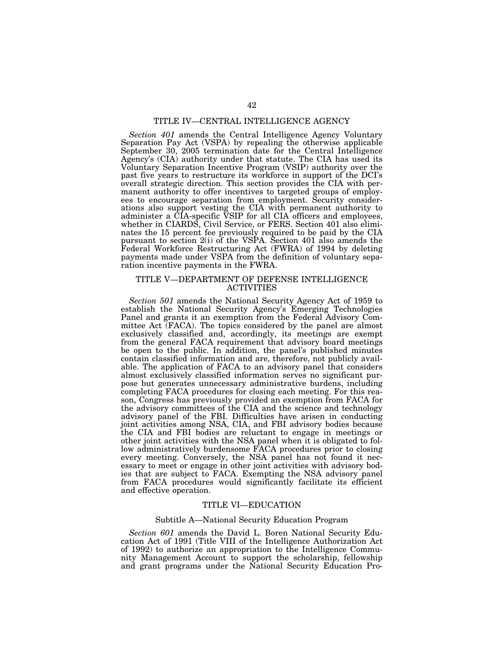# TITLE IV—CENTRAL INTELLIGENCE AGENCY

*Section 401* amends the Central Intelligence Agency Voluntary Separation Pay Act (VSPA) by repealing the otherwise applicable September 30, 2005 termination date for the Central Intelligence Agency's (CIA) authority under that statute. The CIA has used its Voluntary Separation Incentive Program (VSIP) authority over the past five years to restructure its workforce in support of the DCI's overall strategic direction. This section provides the CIA with permanent authority to offer incentives to targeted groups of employees to encourage separation from employment. Security considerations also support vesting the CIA with permanent authority to administer a CIA-specific VSIP for all CIA officers and employees, whether in CIARDS, Civil Service, or FERS. Section 401 also eliminates the 15 percent fee previously required to be paid by the CIA pursuant to section 2(i) of the VSPA. Section 401 also amends the Federal Workforce Restructuring Act (FWRA) of 1994 by deleting payments made under VSPA from the definition of voluntary separation incentive payments in the FWRA.

# TITLE V—DEPARTMENT OF DEFENSE INTELLIGENCE ACTIVITIES

*Section 501* amends the National Security Agency Act of 1959 to establish the National Security Agency's Emerging Technologies Panel and grants it an exemption from the Federal Advisory Committee Act (FACA). The topics considered by the panel are almost exclusively classified and, accordingly, its meetings are exempt from the general FACA requirement that advisory board meetings be open to the public. In addition, the panel's published minutes contain classified information and are, therefore, not publicly available. The application of FACA to an advisory panel that considers almost exclusively classified information serves no significant purpose but generates unnecessary administrative burdens, including completing FACA procedures for closing each meeting. For this reason, Congress has previously provided an exemption from FACA for the advisory committees of the CIA and the science and technology advisory panel of the FBI. Difficulties have arisen in conducting joint activities among NSA, CIA, and FBI advisory bodies because the CIA and FBI bodies are reluctant to engage in meetings or other joint activities with the NSA panel when it is obligated to follow administratively burdensome FACA procedures prior to closing every meeting. Conversely, the NSA panel has not found it necessary to meet or engage in other joint activities with advisory bodies that are subject to FACA. Exempting the NSA advisory panel from FACA procedures would significantly facilitate its efficient and effective operation.

# TITLE VI—EDUCATION

# Subtitle A—National Security Education Program

*Section 601* amends the David L. Boren National Security Education Act of 1991 (Title VIII of the Intelligence Authorization Act of 1992) to authorize an appropriation to the Intelligence Community Management Account to support the scholarship, fellowship and grant programs under the National Security Education Pro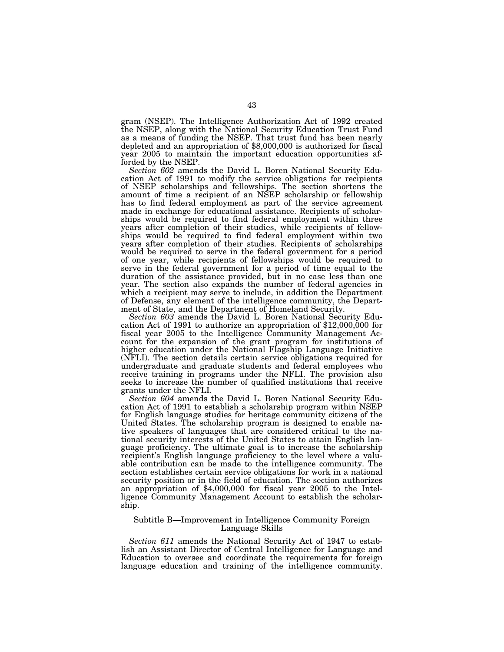gram (NSEP). The Intelligence Authorization Act of 1992 created the NSEP, along with the National Security Education Trust Fund as a means of funding the NSEP. That trust fund has been nearly depleted and an appropriation of \$8,000,000 is authorized for fiscal year 2005 to maintain the important education opportunities afforded by the NSEP.

*Section 602* amends the David L. Boren National Security Education Act of 1991 to modify the service obligations for recipients of NSEP scholarships and fellowships. The section shortens the amount of time a recipient of an NSEP scholarship or fellowship has to find federal employment as part of the service agreement made in exchange for educational assistance. Recipients of scholarships would be required to find federal employment within three years after completion of their studies, while recipients of fellowships would be required to find federal employment within two years after completion of their studies. Recipients of scholarships would be required to serve in the federal government for a period of one year, while recipients of fellowships would be required to serve in the federal government for a period of time equal to the duration of the assistance provided, but in no case less than one year. The section also expands the number of federal agencies in which a recipient may serve to include, in addition the Department of Defense, any element of the intelligence community, the Depart-

ment of State, and the Department of Homeland Security.<br>Section 603 amends the David L. Boren National Security Education Act of 1991 to authorize an appropriation of \$12,000,000 for fiscal year 2005 to the Intelligence Community Management Account for the expansion of the grant program for institutions of higher education under the National Flagship Language Initiative (NFLI). The section details certain service obligations required for undergraduate and graduate students and federal employees who receive training in programs under the NFLI. The provision also seeks to increase the number of qualified institutions that receive grants under the NFLI.

*Section 604* amends the David L. Boren National Security Education Act of 1991 to establish a scholarship program within NSEP for English language studies for heritage community citizens of the United States. The scholarship program is designed to enable native speakers of languages that are considered critical to the national security interests of the United States to attain English language proficiency. The ultimate goal is to increase the scholarship recipient's English language proficiency to the level where a valuable contribution can be made to the intelligence community. The section establishes certain service obligations for work in a national security position or in the field of education. The section authorizes an appropriation of \$4,000,000 for fiscal year 2005 to the Intelligence Community Management Account to establish the scholarship.

# Subtitle B—Improvement in Intelligence Community Foreign Language Skills

*Section 611* amends the National Security Act of 1947 to establish an Assistant Director of Central Intelligence for Language and Education to oversee and coordinate the requirements for foreign language education and training of the intelligence community.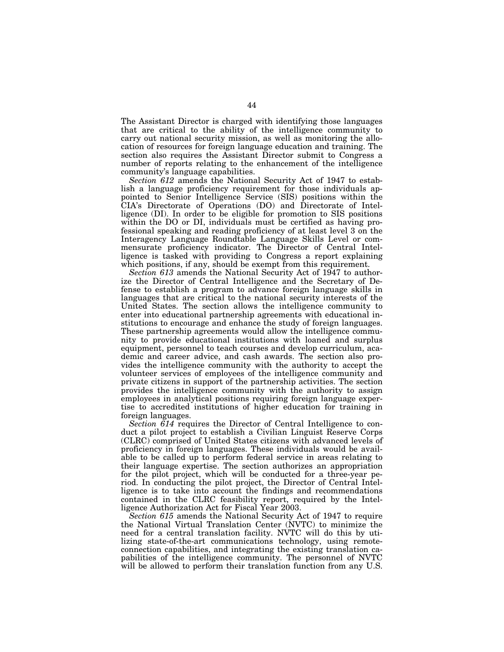The Assistant Director is charged with identifying those languages that are critical to the ability of the intelligence community to carry out national security mission, as well as monitoring the allocation of resources for foreign language education and training. The section also requires the Assistant Director submit to Congress a number of reports relating to the enhancement of the intelligence community's language capabilities.

*Section 612* amends the National Security Act of 1947 to establish a language proficiency requirement for those individuals appointed to Senior Intelligence Service (SIS) positions within the CIA's Directorate of Operations (DO) and Directorate of Intelligence (DI). In order to be eligible for promotion to SIS positions within the DO or DI, individuals must be certified as having professional speaking and reading proficiency of at least level 3 on the Interagency Language Roundtable Language Skills Level or commensurate proficiency indicator. The Director of Central Intelligence is tasked with providing to Congress a report explaining which positions, if any, should be exempt from this requirement.

Section 613 amends the National Security Act of 1947 to authorize the Director of Central Intelligence and the Secretary of Defense to establish a program to advance foreign language skills in languages that are critical to the national security interests of the United States. The section allows the intelligence community to enter into educational partnership agreements with educational institutions to encourage and enhance the study of foreign languages. These partnership agreements would allow the intelligence community to provide educational institutions with loaned and surplus equipment, personnel to teach courses and develop curriculum, academic and career advice, and cash awards. The section also provides the intelligence community with the authority to accept the volunteer services of employees of the intelligence community and private citizens in support of the partnership activities. The section provides the intelligence community with the authority to assign employees in analytical positions requiring foreign language expertise to accredited institutions of higher education for training in foreign languages.

*Section 614* requires the Director of Central Intelligence to conduct a pilot project to establish a Civilian Linguist Reserve Corps (CLRC) comprised of United States citizens with advanced levels of proficiency in foreign languages. These individuals would be available to be called up to perform federal service in areas relating to their language expertise. The section authorizes an appropriation for the pilot project, which will be conducted for a three-year period. In conducting the pilot project, the Director of Central Intelligence is to take into account the findings and recommendations contained in the CLRC feasibility report, required by the Intelligence Authorization Act for Fiscal Year 2003.

*Section 615* amends the National Security Act of 1947 to require the National Virtual Translation Center (NVTC) to minimize the need for a central translation facility. NVTC will do this by utilizing state-of-the-art communications technology, using remoteconnection capabilities, and integrating the existing translation capabilities of the intelligence community. The personnel of NVTC will be allowed to perform their translation function from any U.S.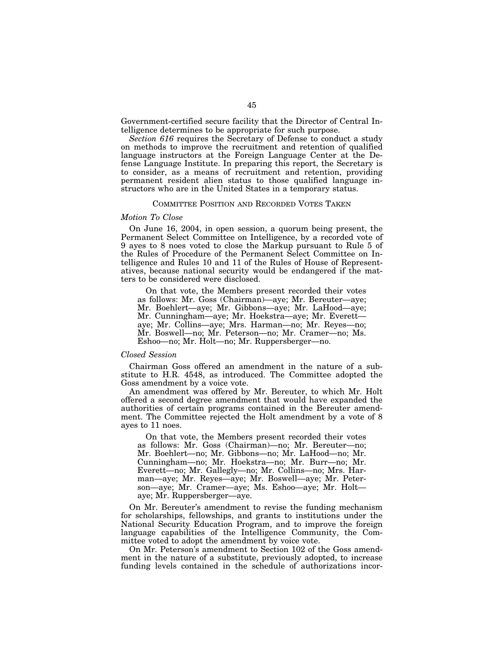Government-certified secure facility that the Director of Central Intelligence determines to be appropriate for such purpose.

*Section 616* requires the Secretary of Defense to conduct a study on methods to improve the recruitment and retention of qualified language instructors at the Foreign Language Center at the Defense Language Institute. In preparing this report, the Secretary is to consider, as a means of recruitment and retention, providing permanent resident alien status to those qualified language instructors who are in the United States in a temporary status.

# COMMITTEE POSITION AND RECORDED VOTES TAKEN

#### *Motion To Close*

On June 16, 2004, in open session, a quorum being present, the Permanent Select Committee on Intelligence, by a recorded vote of 9 ayes to 8 noes voted to close the Markup pursuant to Rule 5 of the Rules of Procedure of the Permanent Select Committee on Intelligence and Rules 10 and 11 of the Rules of House of Representatives, because national security would be endangered if the matters to be considered were disclosed.

On that vote, the Members present recorded their votes as follows: Mr. Goss (Chairman)—aye; Mr. Bereuter—aye; Mr. Boehlert—aye; Mr. Gibbons—aye; Mr. LaHood—aye; Mr. Cunningham—aye; Mr. Hoekstra—aye; Mr. Everett aye; Mr. Collins—aye; Mrs. Harman—no; Mr. Reyes—no; Mr. Boswell—no; Mr. Peterson—no; Mr. Cramer—no; Ms. Eshoo—no; Mr. Holt—no; Mr. Ruppersberger—no.

# *Closed Session*

Chairman Goss offered an amendment in the nature of a substitute to H.R. 4548, as introduced. The Committee adopted the Goss amendment by a voice vote.

An amendment was offered by Mr. Bereuter, to which Mr. Holt offered a second degree amendment that would have expanded the authorities of certain programs contained in the Bereuter amendment. The Committee rejected the Holt amendment by a vote of 8 ayes to 11 noes.

On that vote, the Members present recorded their votes as follows: Mr. Goss (Chairman)—no; Mr. Bereuter—no; Mr. Boehlert—no; Mr. Gibbons—no; Mr. LaHood—no; Mr. Cunningham—no; Mr. Hoekstra—no; Mr. Burr—no; Mr. Everett—no; Mr. Gallegly—no; Mr. Collins—no; Mrs. Harman—aye; Mr. Reyes—aye; Mr. Boswell—aye; Mr. Peterson—aye; Mr. Cramer—aye; Ms. Eshoo—aye; Mr. Holt aye; Mr. Ruppersberger—aye.

On Mr. Bereuter's amendment to revise the funding mechanism for scholarships, fellowships, and grants to institutions under the National Security Education Program, and to improve the foreign language capabilities of the Intelligence Community, the Committee voted to adopt the amendment by voice vote.

On Mr. Peterson's amendment to Section 102 of the Goss amendment in the nature of a substitute, previously adopted, to increase funding levels contained in the schedule of authorizations incor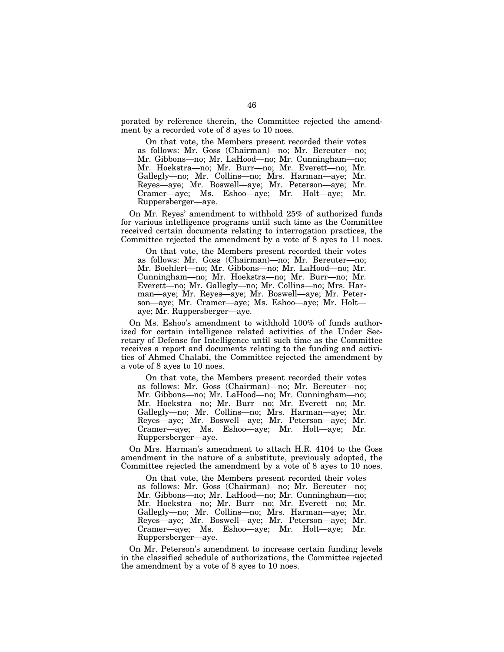porated by reference therein, the Committee rejected the amendment by a recorded vote of 8 ayes to 10 noes.

On that vote, the Members present recorded their votes as follows: Mr. Goss (Chairman)—no; Mr. Bereuter—no; Mr. Gibbons—no; Mr. LaHood—no; Mr. Cunningham—no; Mr. Hoekstra—no; Mr. Burr—no; Mr. Everett—no; Mr. Gallegly—no; Mr. Collins—no; Mrs. Harman—aye; Mr. Reyes—aye; Mr. Boswell—aye; Mr. Peterson—aye; Mr. Cramer—aye; Ms. Eshoo—aye; Mr. Holt—aye; Mr. Ruppersberger—aye.

On Mr. Reyes' amendment to withhold 25% of authorized funds for various intelligence programs until such time as the Committee received certain documents relating to interrogation practices, the Committee rejected the amendment by a vote of 8 ayes to 11 noes.

On that vote, the Members present recorded their votes as follows: Mr. Goss (Chairman)—no; Mr. Bereuter—no; Mr. Boehlert—no; Mr. Gibbons—no; Mr. LaHood—no; Mr. Cunningham—no; Mr. Hoekstra—no; Mr. Burr—no; Mr. Everett—no; Mr. Gallegly—no; Mr. Collins—no; Mrs. Harman—aye; Mr. Reyes—aye; Mr. Boswell—aye; Mr. Peterson—aye; Mr. Cramer—aye; Ms. Eshoo—aye; Mr. Holt aye; Mr. Ruppersberger—aye.

On Ms. Eshoo's amendment to withhold 100% of funds authorized for certain intelligence related activities of the Under Secretary of Defense for Intelligence until such time as the Committee receives a report and documents relating to the funding and activities of Ahmed Chalabi, the Committee rejected the amendment by a vote of 8 ayes to 10 noes.

On that vote, the Members present recorded their votes as follows: Mr. Goss (Chairman)—no; Mr. Bereuter—no; Mr. Gibbons—no; Mr. LaHood—no; Mr. Cunningham—no; Mr. Hoekstra—no; Mr. Burr—no; Mr. Everett—no; Mr. Gallegly—no; Mr. Collins—no; Mrs. Harman—aye; Mr. Reyes—aye; Mr. Boswell—aye; Mr. Peterson—aye; Mr. Cramer—aye; Ms. Eshoo—aye; Mr. Holt—aye; Mr. Ruppersberger—aye.

On Mrs. Harman's amendment to attach H.R. 4104 to the Goss amendment in the nature of a substitute, previously adopted, the Committee rejected the amendment by a vote of 8 ayes to 10 noes.

On that vote, the Members present recorded their votes as follows: Mr. Goss (Chairman)—no; Mr. Bereuter—no; Mr. Gibbons—no; Mr. LaHood—no; Mr. Cunningham—no; Mr. Hoekstra—no; Mr. Burr—no; Mr. Everett—no; Mr. Gallegly—no; Mr. Collins—no; Mrs. Harman—aye; Mr. Reyes—aye; Mr. Boswell—aye; Mr. Peterson—aye; Mr. Cramer—aye; Ms. Eshoo—aye; Mr. Holt—aye; Mr. Ruppersberger—aye.

On Mr. Peterson's amendment to increase certain funding levels in the classified schedule of authorizations, the Committee rejected the amendment by a vote of 8 ayes to 10 noes.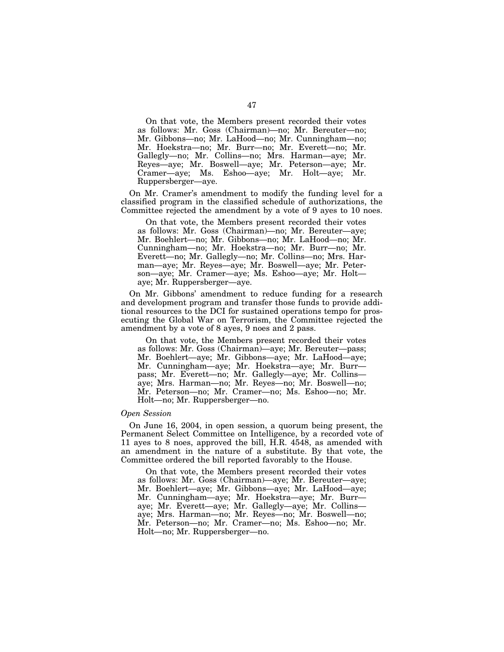On that vote, the Members present recorded their votes as follows: Mr. Goss (Chairman)—no; Mr. Bereuter—no; Mr. Gibbons—no; Mr. LaHood—no; Mr. Cunningham—no; Mr. Hoekstra—no; Mr. Burr—no; Mr. Everett—no; Mr. Gallegly—no; Mr. Collins—no; Mrs. Harman—aye; Mr. Reyes—aye; Mr. Boswell—aye; Mr. Peterson—aye; Mr. Cramer—aye; Ms. Eshoo—aye; Mr. Holt—aye; Mr. Ruppersberger—aye.

On Mr. Cramer's amendment to modify the funding level for a classified program in the classified schedule of authorizations, the Committee rejected the amendment by a vote of 9 ayes to 10 noes.

On that vote, the Members present recorded their votes as follows: Mr. Goss (Chairman)—no; Mr. Bereuter—aye; Mr. Boehlert—no; Mr. Gibbons—no; Mr. LaHood—no; Mr. Cunningham—no; Mr. Hoekstra—no; Mr. Burr—no; Mr. Everett—no; Mr. Gallegly—no; Mr. Collins—no; Mrs. Harman—aye; Mr. Reyes—aye; Mr. Boswell—aye; Mr. Peterson—aye; Mr. Cramer—aye; Ms. Eshoo—aye; Mr. Holt aye; Mr. Ruppersberger—aye.

On Mr. Gibbons' amendment to reduce funding for a research and development program and transfer those funds to provide additional resources to the DCI for sustained operations tempo for prosecuting the Global War on Terrorism, the Committee rejected the amendment by a vote of 8 ayes, 9 noes and 2 pass.

On that vote, the Members present recorded their votes as follows: Mr. Goss (Chairman)—aye; Mr. Bereuter—pass; Mr. Boehlert—aye; Mr. Gibbons—aye; Mr. LaHood—aye; Mr. Cunningham—aye; Mr. Hoekstra—aye; Mr. Burr pass; Mr. Everett—no; Mr. Gallegly—aye; Mr. Collins aye; Mrs. Harman—no; Mr. Reyes—no; Mr. Boswell—no; Mr. Peterson—no; Mr. Cramer—no; Ms. Eshoo—no; Mr. Holt—no; Mr. Ruppersberger—no.

#### *Open Session*

On June 16, 2004, in open session, a quorum being present, the Permanent Select Committee on Intelligence, by a recorded vote of 11 ayes to 8 noes, approved the bill, H.R. 4548, as amended with an amendment in the nature of a substitute. By that vote, the Committee ordered the bill reported favorably to the House.

On that vote, the Members present recorded their votes as follows: Mr. Goss (Chairman)—aye; Mr. Bereuter—aye; Mr. Boehlert—aye; Mr. Gibbons—aye; Mr. LaHood—aye; Mr. Cunningham—aye; Mr. Hoekstra—aye; Mr. Burr aye; Mr. Everett—aye; Mr. Gallegly—aye; Mr. Collins aye; Mrs. Harman—no; Mr. Reyes—no; Mr. Boswell—no; Mr. Peterson—no; Mr. Cramer—no; Ms. Eshoo—no; Mr. Holt—no; Mr. Ruppersberger—no.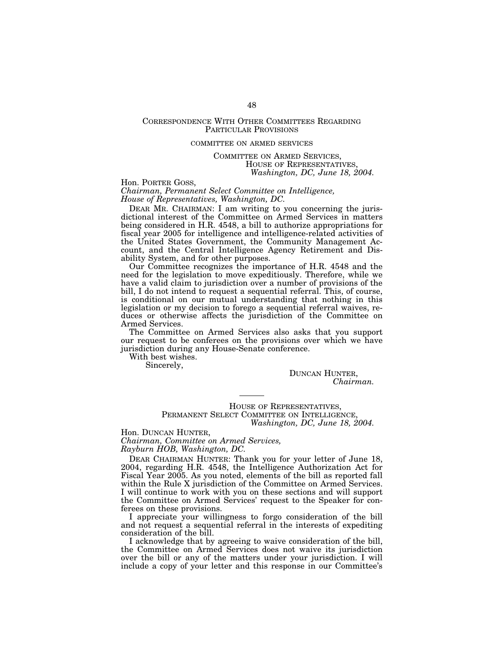# CORRESPONDENCE WITH OTHER COMMITTEES REGARDING PARTICULAR PROVISIONS

#### COMMITTEE ON ARMED SERVICES

COMMITTEE ON ARMED SERVICES, HOUSE OF REPRESENTATIVES, *Washington, DC, June 18, 2004.* 

Hon. PORTER GOSS,

*Chairman, Permanent Select Committee on Intelligence, House of Representatives, Washington, DC.* 

DEAR MR. CHAIRMAN: I am writing to you concerning the jurisdictional interest of the Committee on Armed Services in matters being considered in H.R. 4548, a bill to authorize appropriations for fiscal year 2005 for intelligence and intelligence-related activities of the United States Government, the Community Management Account, and the Central Intelligence Agency Retirement and Disability System, and for other purposes.

Our Committee recognizes the importance of H.R. 4548 and the need for the legislation to move expeditiously. Therefore, while we have a valid claim to jurisdiction over a number of provisions of the bill, I do not intend to request a sequential referral. This, of course, is conditional on our mutual understanding that nothing in this legislation or my decision to forego a sequential referral waives, reduces or otherwise affects the jurisdiction of the Committee on Armed Services.

The Committee on Armed Services also asks that you support our request to be conferees on the provisions over which we have jurisdiction during any House-Senate conference.

With best wishes.

Sincerely,

DUNCAN HUNTER, *Chairman.* 

HOUSE OF REPRESENTATIVES, PERMANENT SELECT COMMITTEE ON INTELLIGENCE, *Washington, DC, June 18, 2004.* 

Hon. DUNCAN HUNTER, *Chairman, Committee on Armed Services,* 

*Rayburn HOB, Washington, DC.* 

DEAR CHAIRMAN HUNTER: Thank you for your letter of June 18, 2004, regarding H.R. 4548, the Intelligence Authorization Act for Fiscal Year 2005. As you noted, elements of the bill as reported fall within the Rule X jurisdiction of the Committee on Armed Services. I will continue to work with you on these sections and will support the Committee on Armed Services' request to the Speaker for conferees on these provisions.

I appreciate your willingness to forgo consideration of the bill and not request a sequential referral in the interests of expediting consideration of the bill.

I acknowledge that by agreeing to waive consideration of the bill, the Committee on Armed Services does not waive its jurisdiction over the bill or any of the matters under your jurisdiction. I will include a copy of your letter and this response in our Committee's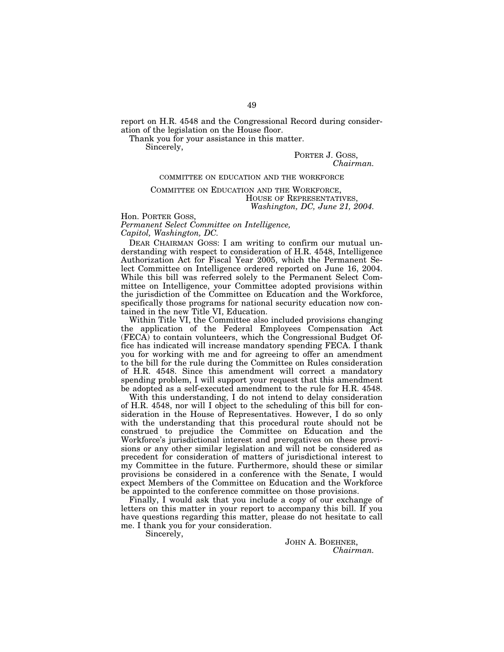report on H.R. 4548 and the Congressional Record during consideration of the legislation on the House floor.

Thank you for your assistance in this matter.

Sincerely,

PORTER J. GOSS, *Chairman.* 

#### COMMITTEE ON EDUCATION AND THE WORKFORCE

# COMMITTEE ON EDUCATION AND THE WORKFORCE, HOUSE OF REPRESENTATIVES, *Washington, DC, June 21, 2004.*

Hon. PORTER GOSS,

*Permanent Select Committee on Intelligence, Capitol, Washington, DC.* 

DEAR CHAIRMAN GOSS: I am writing to confirm our mutual understanding with respect to consideration of H.R. 4548, Intelligence Authorization Act for Fiscal Year 2005, which the Permanent Select Committee on Intelligence ordered reported on June 16, 2004. While this bill was referred solely to the Permanent Select Committee on Intelligence, your Committee adopted provisions within the jurisdiction of the Committee on Education and the Workforce, specifically those programs for national security education now contained in the new Title VI, Education.

Within Title VI, the Committee also included provisions changing the application of the Federal Employees Compensation Act (FECA) to contain volunteers, which the Congressional Budget Office has indicated will increase mandatory spending FECA. I thank you for working with me and for agreeing to offer an amendment to the bill for the rule during the Committee on Rules consideration of H.R. 4548. Since this amendment will correct a mandatory spending problem, I will support your request that this amendment be adopted as a self-executed amendment to the rule for H.R. 4548.

With this understanding, I do not intend to delay consideration of H.R. 4548, nor will I object to the scheduling of this bill for consideration in the House of Representatives. However, I do so only with the understanding that this procedural route should not be construed to prejudice the Committee on Education and the Workforce's jurisdictional interest and prerogatives on these provisions or any other similar legislation and will not be considered as precedent for consideration of matters of jurisdictional interest to my Committee in the future. Furthermore, should these or similar provisions be considered in a conference with the Senate, I would expect Members of the Committee on Education and the Workforce be appointed to the conference committee on those provisions.

Finally, I would ask that you include a copy of our exchange of letters on this matter in your report to accompany this bill. If you have questions regarding this matter, please do not hesitate to call me. I thank you for your consideration.

Sincerely,

JOHN A. BOEHNER,<br>*Chairman.*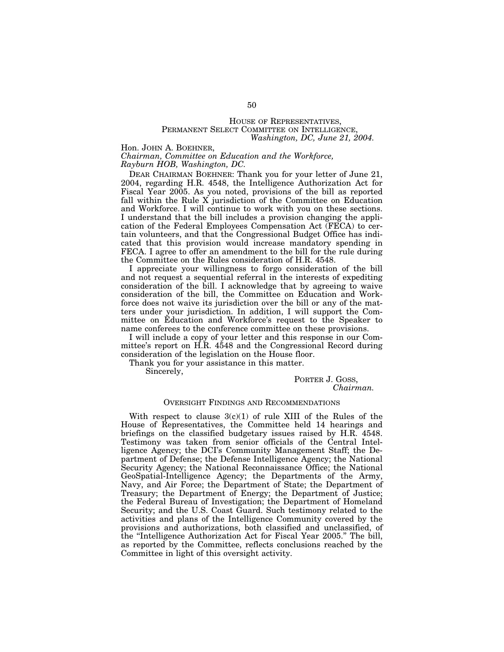# HOUSE OF REPRESENTATIVES, PERMANENT SELECT COMMITTEE ON INTELLIGENCE, *Washington, DC, June 21, 2004.*

Hon. JOHN A. BOEHNER,

*Chairman, Committee on Education and the Workforce, Rayburn HOB, Washington, DC.* 

DEAR CHAIRMAN BOEHNER: Thank you for your letter of June 21, 2004, regarding H.R. 4548, the Intelligence Authorization Act for Fiscal Year 2005. As you noted, provisions of the bill as reported fall within the Rule X jurisdiction of the Committee on Education and Workforce. I will continue to work with you on these sections. I understand that the bill includes a provision changing the application of the Federal Employees Compensation Act (FECA) to certain volunteers, and that the Congressional Budget Office has indicated that this provision would increase mandatory spending in FECA. I agree to offer an amendment to the bill for the rule during the Committee on the Rules consideration of H.R. 4548.

I appreciate your willingness to forgo consideration of the bill and not request a sequential referral in the interests of expediting consideration of the bill. I acknowledge that by agreeing to waive consideration of the bill, the Committee on Education and Workforce does not waive its jurisdiction over the bill or any of the matters under your jurisdiction. In addition, I will support the Committee on Education and Workforce's request to the Speaker to name conferees to the conference committee on these provisions.

I will include a copy of your letter and this response in our Committee's report on H.R. 4548 and the Congressional Record during consideration of the legislation on the House floor.

Thank you for your assistance in this matter.

Sincerely,

PORTER J. GOSS, *Chairman.* 

# OVERSIGHT FINDINGS AND RECOMMENDATIONS

With respect to clause  $3(c)(1)$  of rule XIII of the Rules of the House of Representatives, the Committee held 14 hearings and briefings on the classified budgetary issues raised by H.R. 4548. Testimony was taken from senior officials of the Central Intelligence Agency; the DCI's Community Management Staff; the Department of Defense; the Defense Intelligence Agency; the National Security Agency; the National Reconnaissance Office; the National GeoSpatial-Intelligence Agency; the Departments of the Army, Navy, and Air Force; the Department of State; the Department of Treasury; the Department of Energy; the Department of Justice; the Federal Bureau of Investigation; the Department of Homeland Security; and the U.S. Coast Guard. Such testimony related to the activities and plans of the Intelligence Community covered by the provisions and authorizations, both classified and unclassified, of the ''Intelligence Authorization Act for Fiscal Year 2005.'' The bill, as reported by the Committee, reflects conclusions reached by the Committee in light of this oversight activity.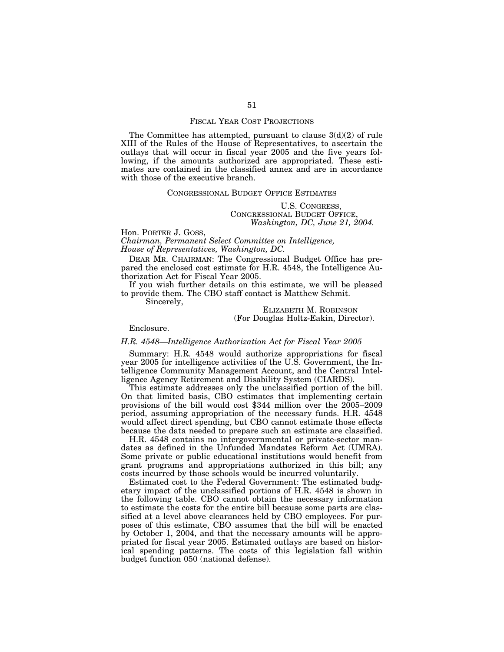#### FISCAL YEAR COST PROJECTIONS

The Committee has attempted, pursuant to clause  $3(d)(2)$  of rule XIII of the Rules of the House of Representatives, to ascertain the outlays that will occur in fiscal year 2005 and the five years following, if the amounts authorized are appropriated. These estimates are contained in the classified annex and are in accordance with those of the executive branch.

# CONGRESSIONAL BUDGET OFFICE ESTIMATES

# U.S. CONGRESS, CONGRESSIONAL BUDGET OFFICE, *Washington, DC, June 21, 2004.*

#### Hon. PORTER J. GOSS,

*Chairman, Permanent Select Committee on Intelligence, House of Representatives, Washington, DC.* 

DEAR MR. CHAIRMAN: The Congressional Budget Office has prepared the enclosed cost estimate for H.R. 4548, the Intelligence Authorization Act for Fiscal Year 2005.

If you wish further details on this estimate, we will be pleased to provide them. The CBO staff contact is Matthew Schmit.

Sincerely,

ELIZABETH M. ROBINSON (For Douglas Holtz-Eakin, Director).

Enclosure.

# *H.R. 4548—Intelligence Authorization Act for Fiscal Year 2005*

Summary: H.R. 4548 would authorize appropriations for fiscal year 2005 for intelligence activities of the U.S. Government, the Intelligence Community Management Account, and the Central Intelligence Agency Retirement and Disability System (CIARDS).

This estimate addresses only the unclassified portion of the bill. On that limited basis, CBO estimates that implementing certain provisions of the bill would cost \$344 million over the 2005–2009 period, assuming appropriation of the necessary funds. H.R. 4548 would affect direct spending, but CBO cannot estimate those effects because the data needed to prepare such an estimate are classified.

H.R. 4548 contains no intergovernmental or private-sector mandates as defined in the Unfunded Mandates Reform Act (UMRA). Some private or public educational institutions would benefit from grant programs and appropriations authorized in this bill; any costs incurred by those schools would be incurred voluntarily.

Estimated cost to the Federal Government: The estimated budgetary impact of the unclassified portions of H.R. 4548 is shown in the following table. CBO cannot obtain the necessary information to estimate the costs for the entire bill because some parts are classified at a level above clearances held by CBO employees. For purposes of this estimate, CBO assumes that the bill will be enacted by October 1, 2004, and that the necessary amounts will be appropriated for fiscal year 2005. Estimated outlays are based on historical spending patterns. The costs of this legislation fall within budget function 050 (national defense).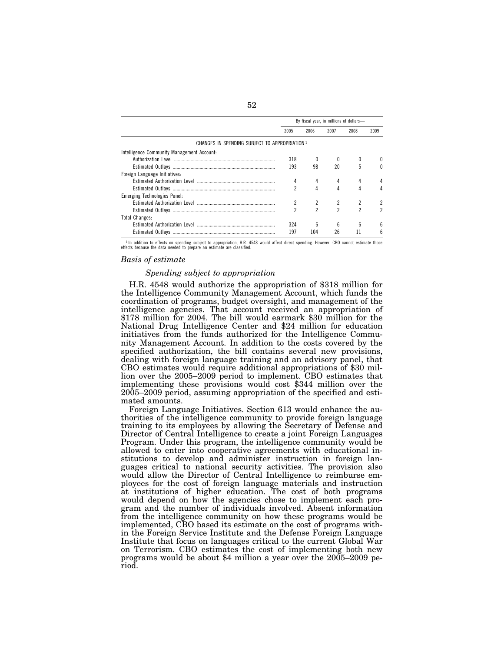|                                                | By fiscal year, in millions of dollars- |      |                |      |      |  |
|------------------------------------------------|-----------------------------------------|------|----------------|------|------|--|
|                                                | 2005                                    | 2006 | 2007           | 2008 | 2009 |  |
| CHANGES IN SPENDING SUBJECT TO APPROPRIATION 1 |                                         |      |                |      |      |  |
| Intelligence Community Management Account:     |                                         |      |                |      |      |  |
|                                                | 318                                     |      |                |      |      |  |
|                                                | 193                                     | 98   | 20             | 5    |      |  |
| Foreign Language Initiatives:                  |                                         |      |                |      |      |  |
|                                                | 4                                       | 4    |                | 4    |      |  |
|                                                | 2                                       | 4    | 4              | 4    |      |  |
| Emerging Technologies Panel:                   |                                         |      |                |      |      |  |
|                                                |                                         |      |                |      |      |  |
|                                                | 2                                       | 2    | $\mathfrak{p}$ | 2    |      |  |
| <b>Total Changes:</b>                          |                                         |      |                |      |      |  |
|                                                | 324                                     | ĥ    | ĥ              | ĥ    |      |  |
|                                                | 197                                     | 104  | 26             |      | h    |  |

<sup>1</sup> In addition to effects on spending subject to appropriation, H.R. 4548 would affect direct spending. However, CBO cannot estimate those effects because the data needed to prepare an estimate are classified.

#### *Basis of estimate*

#### *Spending subject to appropriation*

H.R. 4548 would authorize the appropriation of \$318 million for the Intelligence Community Management Account, which funds the coordination of programs, budget oversight, and management of the intelligence agencies. That account received an appropriation of \$178 million for 2004. The bill would earmark \$30 million for the National Drug Intelligence Center and \$24 million for education initiatives from the funds authorized for the Intelligence Community Management Account. In addition to the costs covered by the specified authorization, the bill contains several new provisions, dealing with foreign language training and an advisory panel, that CBO estimates would require additional appropriations of \$30 million over the 2005–2009 period to implement. CBO estimates that implementing these provisions would cost \$344 million over the 2005–2009 period, assuming appropriation of the specified and estimated amounts.

Foreign Language Initiatives. Section 613 would enhance the authorities of the intelligence community to provide foreign language training to its employees by allowing the Secretary of Defense and Director of Central Intelligence to create a joint Foreign Languages Program. Under this program, the intelligence community would be allowed to enter into cooperative agreements with educational institutions to develop and administer instruction in foreign languages critical to national security activities. The provision also would allow the Director of Central Intelligence to reimburse employees for the cost of foreign language materials and instruction at institutions of higher education. The cost of both programs would depend on how the agencies chose to implement each program and the number of individuals involved. Absent information from the intelligence community on how these programs would be implemented, CBO based its estimate on the cost of programs within the Foreign Service Institute and the Defense Foreign Language Institute that focus on languages critical to the current Global War on Terrorism. CBO estimates the cost of implementing both new programs would be about \$4 million a year over the 2005–2009 period.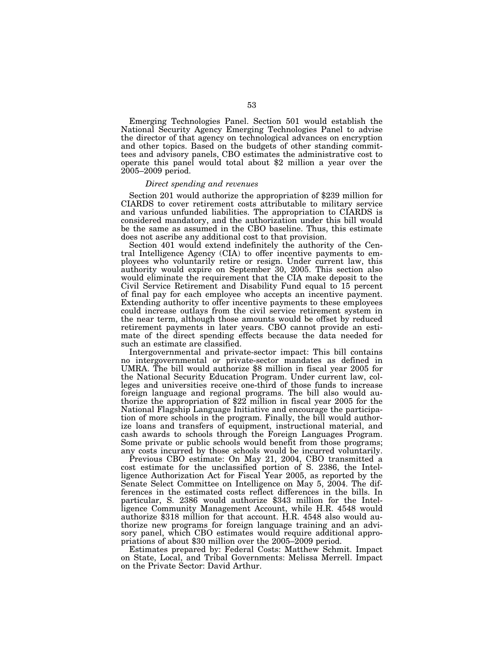Emerging Technologies Panel. Section 501 would establish the National Security Agency Emerging Technologies Panel to advise the director of that agency on technological advances on encryption and other topics. Based on the budgets of other standing committees and advisory panels, CBO estimates the administrative cost to operate this panel would total about \$2 million a year over the 2005–2009 period.

# *Direct spending and revenues*

Section 201 would authorize the appropriation of \$239 million for CIARDS to cover retirement costs attributable to military service and various unfunded liabilities. The appropriation to CIARDS is considered mandatory, and the authorization under this bill would be the same as assumed in the CBO baseline. Thus, this estimate does not ascribe any additional cost to that provision.

Section 401 would extend indefinitely the authority of the Central Intelligence Agency (CIA) to offer incentive payments to employees who voluntarily retire or resign. Under current law, this authority would expire on September 30, 2005. This section also would eliminate the requirement that the CIA make deposit to the Civil Service Retirement and Disability Fund equal to 15 percent of final pay for each employee who accepts an incentive payment. Extending authority to offer incentive payments to these employees could increase outlays from the civil service retirement system in the near term, although those amounts would be offset by reduced retirement payments in later years. CBO cannot provide an estimate of the direct spending effects because the data needed for such an estimate are classified.

Intergovernmental and private-sector impact: This bill contains no intergovernmental or private-sector mandates as defined in UMRA. The bill would authorize \$8 million in fiscal year 2005 for the National Security Education Program. Under current law, colleges and universities receive one-third of those funds to increase foreign language and regional programs. The bill also would authorize the appropriation of \$22 million in fiscal year 2005 for the National Flagship Language Initiative and encourage the participation of more schools in the program. Finally, the bill would authorize loans and transfers of equipment, instructional material, and cash awards to schools through the Foreign Languages Program. Some private or public schools would benefit from those programs; any costs incurred by those schools would be incurred voluntarily.

Previous CBO estimate: On May 21, 2004, CBO transmitted a cost estimate for the unclassified portion of S. 2386, the Intelligence Authorization Act for Fiscal Year 2005, as reported by the Senate Select Committee on Intelligence on May 5, 2004. The differences in the estimated costs reflect differences in the bills. In particular, S. 2386 would authorize \$343 million for the Intelligence Community Management Account, while H.R. 4548 would authorize \$318 million for that account. H.R. 4548 also would authorize new programs for foreign language training and an advisory panel, which CBO estimates would require additional appropriations of about \$30 million over the 2005–2009 period.

Estimates prepared by: Federal Costs: Matthew Schmit. Impact on State, Local, and Tribal Governments: Melissa Merrell. Impact on the Private Sector: David Arthur.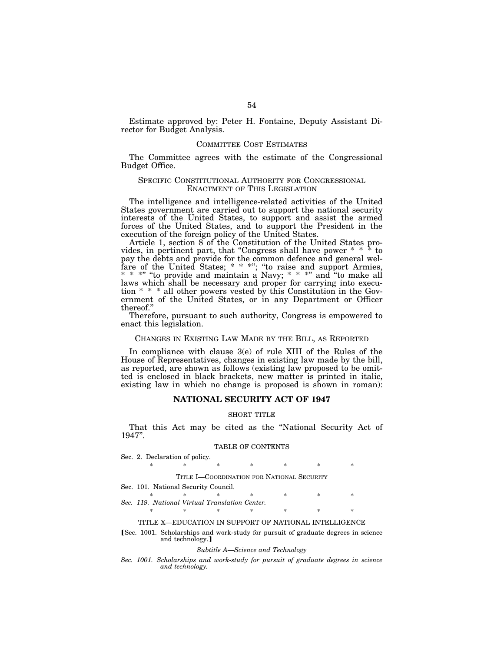Estimate approved by: Peter H. Fontaine, Deputy Assistant Director for Budget Analysis.

# COMMITTEE COST ESTIMATES

The Committee agrees with the estimate of the Congressional Budget Office.

# SPECIFIC CONSTITUTIONAL AUTHORITY FOR CONGRESSIONAL ENACTMENT OF THIS LEGISLATION

The intelligence and intelligence-related activities of the United States government are carried out to support the national security interests of the United States, to support and assist the armed forces of the United States, and to support the President in the execution of the foreign policy of the United States.

Article 1, section 8 of the Constitution of the United States provides, in pertinent part, that "Congress shall have power  $* * *$  to pay the debts and provide for the common defence and general welfare of the United States; \* \* \*"; "to raise and support Armies, \* \* \*" "to provide and maintain a Navy; \* \* \*" and "to make all laws which shall be necessary and proper for carrying into execution \* \* \* all other powers vested by this Constitution in the Government of the United States, or in any Department or Officer thereof.''

Therefore, pursuant to such authority, Congress is empowered to enact this legislation.

### CHANGES IN EXISTING LAW MADE BY THE BILL, AS REPORTED

In compliance with clause 3(e) of rule XIII of the Rules of the House of Representatives, changes in existing law made by the bill, as reported, are shown as follows (existing law proposed to be omitted is enclosed in black brackets, new matter is printed in italic, existing law in which no change is proposed is shown in roman):

# **NATIONAL SECURITY ACT OF 1947**

#### SHORT TITLE

That this Act may be cited as the "National Security Act of 1947''.

# TABLE OF CONTENTS

| Sec. 2. Declaration of policy.                        |   |    |    |   |     |   |  |  |  |  |  |
|-------------------------------------------------------|---|----|----|---|-----|---|--|--|--|--|--|
| ∗                                                     | × | ×  | ∗  | * | ∗   | ÷ |  |  |  |  |  |
|                                                       |   |    |    |   |     |   |  |  |  |  |  |
| TITLE I-COORDINATION FOR NATIONAL SECURITY            |   |    |    |   |     |   |  |  |  |  |  |
| Sec. 101. National Security Council.                  |   |    |    |   |     |   |  |  |  |  |  |
| ×.                                                    |   |    | ×. | * | ×   | ÷ |  |  |  |  |  |
| Sec. 119. National Virtual Translation Center.        |   |    |    |   |     |   |  |  |  |  |  |
| ×.                                                    | × | ×. |    | 氺 | $*$ | ÷ |  |  |  |  |  |
| TITLE X—EDUCATION IN SUPPORT OF NATIONAL INTELLIGENCE |   |    |    |   |     |   |  |  |  |  |  |

#### **Sec.** 1001. Scholarships and work-study for pursuit of graduate degrees in science and technology.

#### *Subtitle A—Science and Technology*

*Sec. 1001. Scholarships and work-study for pursuit of graduate degrees in science and technology.*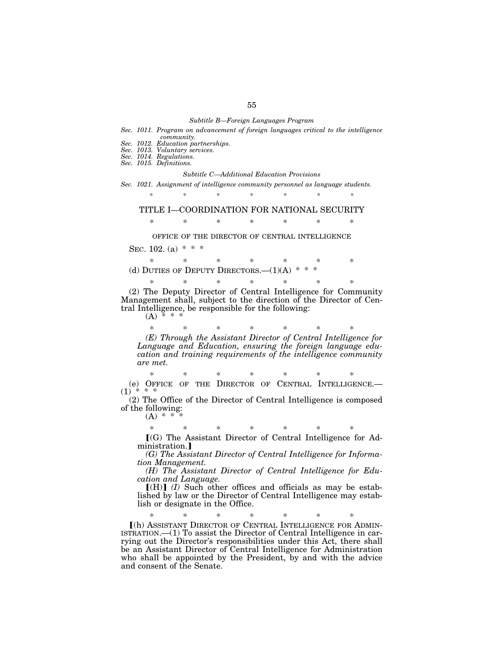#### *Subtitle B—Foreign Languages Program*

- *Sec. 1011. Program on advancement of foreign languages critical to the intelligence community.*
- *Sec. 1012. Education partnerships.*
- *Sec. 1013. Voluntary services.*
- *Sec. 1014. Regulations.*
- *Sec. 1015. Definitions.*

#### *Subtitle C—Additional Education Provisions*

*Sec. 1021. Assignment of intelligence community personnel as language students.* 

*\* \* \* \* \* \* \** 

# TITLE I—COORDINATION FOR NATIONAL SECURITY

\* \* \* \* \* \* \*

OFFICE OF THE DIRECTOR OF CENTRAL INTELLIGENCE

SEC. 102. (a)  $* * *$ 

\* \* \* \* \* \* \* (d) DUTIES OF DEPUTY DIRECTORS.— $(1)(A)$  \* \* \*

(2) The Deputy Director of Central Intelligence for Community Management shall, subject to the direction of the Director of Central Intelligence, be responsible for the following:

\* \* \* \* \* \* \*

 $(A)$ 

\* \* \* \* \* \* \* *(E) Through the Assistant Director of Central Intelligence for Language and Education, ensuring the foreign language education and training requirements of the intelligence community are met.* 

\* \* \* \* \* \* \* (e) OFFICE OF THE DIRECTOR OF CENTRAL INTELLIGENCE.—  $(1) * * * *$ 

(2) The Office of the Director of Central Intelligence is composed of the following:

 $(A) * *$ 

\* \* \* \* \* \* \*

 $[(G)$  The Assistant Director of Central Intelligence for Administration.

*(G) The Assistant Director of Central Intelligence for Information Management.* 

*(H) The Assistant Director of Central Intelligence for Education and Language.* 

 $[(H)]$  *(I)* Such other offices and officials as may be established by law or the Director of Central Intelligence may establish or designate in the Office.

\* \* \* \* \* \* \* ø(h) ASSISTANT DIRECTOR OF CENTRAL INTELLIGENCE FOR ADMIN-ISTRATION.—(1) To assist the Director of Central Intelligence in carrying out the Director's responsibilities under this Act, there shall be an Assistant Director of Central Intelligence for Administration who shall be appointed by the President, by and with the advice and consent of the Senate.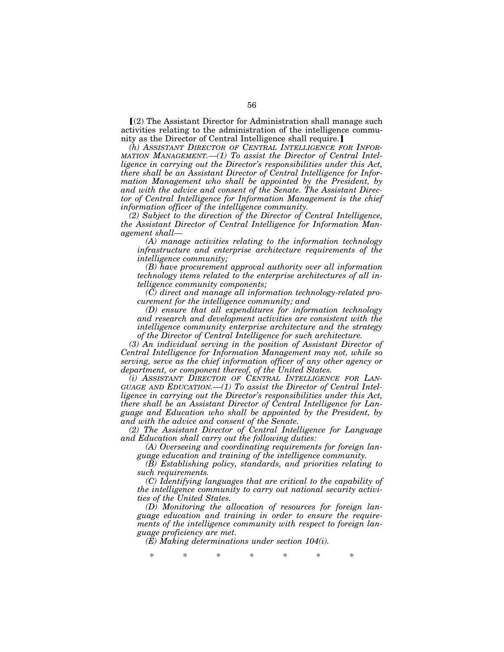$(a)$  The Assistant Director for Administration shall manage such activities relating to the administration of the intelligence community as the Director of Central Intelligence shall require.

*(h) ASSISTANT DIRECTOR OF CENTRAL INTELLIGENCE FOR INFOR-MATION MANAGEMENT.—(1) To assist the Director of Central Intelligence in carrying out the Director's responsibilities under this Act, there shall be an Assistant Director of Central Intelligence for Infor*mation Management who shall be appointed by the President, by *and with the advice and consent of the Senate. The Assistant Director of Central Intelligence for Information Management is the chief information officer of the intelligence community.* 

*(2) Subject to the direction of the Director of Central Intelligence, the Assistant Director of Central Intelligence for Information Management shall—* 

*(A) manage activities relating to the information technology infrastructure and enterprise architecture requirements of the intelligence community;* 

*(B) have procurement approval authority over all information technology items related to the enterprise architectures of all intelligence community components;* 

*(C) direct and manage all information technology-related procurement for the intelligence community; and* 

*(D) ensure that all expenditures for information technology and research and development activities are consistent with the intelligence community enterprise architecture and the strategy of the Director of Central Intelligence for such architecture.* 

*(3) An individual serving in the position of Assistant Director of Central Intelligence for Information Management may not, while so serving, serve as the chief information officer of any other agency or department, or component thereof, of the United States.* 

*(i) ASSISTANT DIRECTOR OF CENTRAL INTELLIGENCE FOR LAN-GUAGE AND EDUCATION.—(1) To assist the Director of Central Intelligence in carrying out the Director's responsibilities under this Act, there shall be an Assistant Director of Central Intelligence for Language and Education who shall be appointed by the President, by and with the advice and consent of the Senate.* 

*(2) The Assistant Director of Central Intelligence for Language and Education shall carry out the following duties:* 

*(A) Overseeing and coordinating requirements for foreign language education and training of the intelligence community.* 

*(B) Establishing policy, standards, and priorities relating to such requirements.* 

*(C) Identifying languages that are critical to the capability of the intelligence community to carry out national security activities of the United States.* 

*(D) Monitoring the allocation of resources for foreign language education and training in order to ensure the requirements of the intelligence community with respect to foreign language proficiency are met.* 

*(E) Making determinations under section 104(i).* 

\* \* \* \* \* \* \*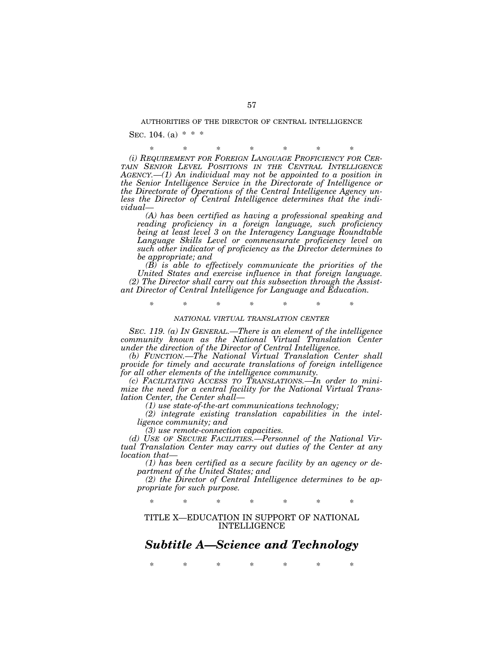#### AUTHORITIES OF THE DIRECTOR OF CENTRAL INTELLIGENCE

SEC. 104. (a)  $* * *$ 

\* \* \* \* \* \* \* *(i) REQUIREMENT FOR FOREIGN LANGUAGE PROFICIENCY FOR CER-TAIN SENIOR LEVEL POSITIONS IN THE CENTRAL INTELLIGENCE AGENCY.—(1) An individual may not be appointed to a position in the Senior Intelligence Service in the Directorate of Intelligence or the Directorate of Operations of the Central Intelligence Agency unless the Director of Central Intelligence determines that the individual—* 

*(A) has been certified as having a professional speaking and reading proficiency in a foreign language, such proficiency being at least level 3 on the Interagency Language Roundtable Language Skills Level or commensurate proficiency level on such other indicator of proficiency as the Director determines to be appropriate; and* 

*(B) is able to effectively communicate the priorities of the United States and exercise influence in that foreign language. (2) The Director shall carry out this subsection through the Assistant Director of Central Intelligence for Language and Education.* 

*\* \* \* \* \* \* \** 

#### *NATIONAL VIRTUAL TRANSLATION CENTER*

*SEC. 119. (a) IN GENERAL.—There is an element of the intelligence community known as the National Virtual Translation Center under the direction of the Director of Central Intelligence.* 

*(b) FUNCTION.—The National Virtual Translation Center shall provide for timely and accurate translations of foreign intelligence for all other elements of the intelligence community.* 

*(c) FACILITATING ACCESS TO TRANSLATIONS.—In order to minimize the need for a central facility for the National Virtual Translation Center, the Center shall—* 

*(1) use state-of-the-art communications technology;* 

*(2) integrate existing translation capabilities in the intelligence community; and* 

*(3) use remote-connection capacities.* 

*(d) USE OF SECURE FACILITIES.—Personnel of the National Virtual Translation Center may carry out duties of the Center at any location that—* 

*(1) has been certified as a secure facility by an agency or department of the United States; and* 

*(2) the Director of Central Intelligence determines to be appropriate for such purpose.* 

\* \* \* \* \* \* \*

TITLE X—EDUCATION IN SUPPORT OF NATIONAL INTELLIGENCE

# *Subtitle A—Science and Technology*

\* \* \* \* \* \* \*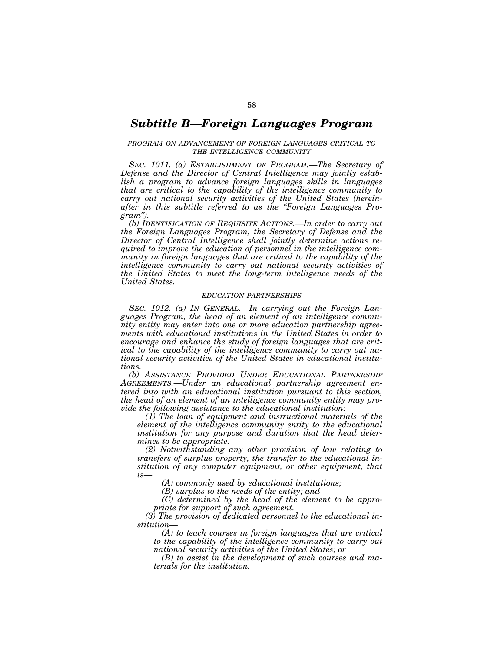# *Subtitle B—Foreign Languages Program*

# *PROGRAM ON ADVANCEMENT OF FOREIGN LANGUAGES CRITICAL TO THE INTELLIGENCE COMMUNITY*

*SEC. 1011. (a) ESTABLISHMENT OF PROGRAM.—The Secretary of Defense and the Director of Central Intelligence may jointly establish a program to advance foreign languages skills in languages that are critical to the capability of the intelligence community to carry out national security activities of the United States (hereinafter in this subtitle referred to as the ''Foreign Languages Program'').* 

*(b) IDENTIFICATION OF REQUISITE ACTIONS.—In order to carry out the Foreign Languages Program, the Secretary of Defense and the Director of Central Intelligence shall jointly determine actions required to improve the education of personnel in the intelligence community in foreign languages that are critical to the capability of the intelligence community to carry out national security activities of the United States to meet the long-term intelligence needs of the United States.* 

#### *EDUCATION PARTNERSHIPS*

*SEC. 1012. (a) IN GENERAL.—In carrying out the Foreign Languages Program, the head of an element of an intelligence community entity may enter into one or more education partnership agreements with educational institutions in the United States in order to encourage and enhance the study of foreign languages that are critical to the capability of the intelligence community to carry out national security activities of the United States in educational institutions.* 

*(b) ASSISTANCE PROVIDED UNDER EDUCATIONAL PARTNERSHIP AGREEMENTS.—Under an educational partnership agreement entered into with an educational institution pursuant to this section, the head of an element of an intelligence community entity may provide the following assistance to the educational institution:* 

*(1) The loan of equipment and instructional materials of the element of the intelligence community entity to the educational institution for any purpose and duration that the head determines to be appropriate.* 

*(2) Notwithstanding any other provision of law relating to transfers of surplus property, the transfer to the educational institution of any computer equipment, or other equipment, that*   $is-$ 

*(A) commonly used by educational institutions;* 

*(B) surplus to the needs of the entity; and* 

*(C) determined by the head of the element to be appropriate for support of such agreement.* 

*(3) The provision of dedicated personnel to the educational institution—* 

*(A) to teach courses in foreign languages that are critical to the capability of the intelligence community to carry out national security activities of the United States; or* 

*(B) to assist in the development of such courses and materials for the institution.*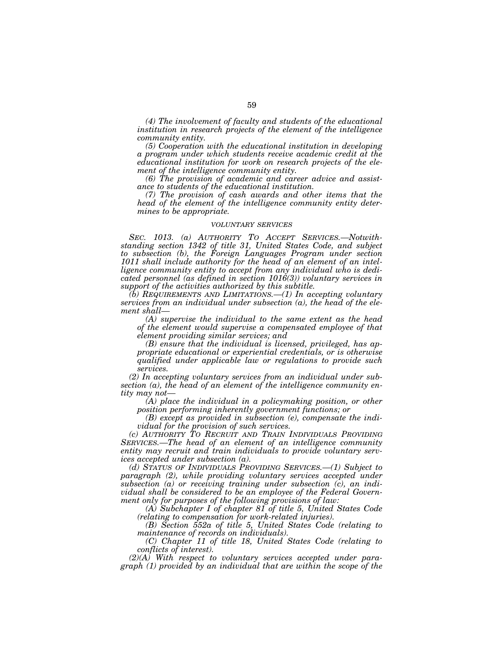*(4) The involvement of faculty and students of the educational institution in research projects of the element of the intelligence community entity.* 

*(5) Cooperation with the educational institution in developing a program under which students receive academic credit at the educational institution for work on research projects of the element of the intelligence community entity.* 

*(6) The provision of academic and career advice and assistance to students of the educational institution.* 

*(7) The provision of cash awards and other items that the head of the element of the intelligence community entity determines to be appropriate.* 

#### *VOLUNTARY SERVICES*

*SEC. 1013. (a) AUTHORITY TO ACCEPT SERVICES.—Notwithstanding section 1342 of title 31, United States Code, and subject to subsection (b), the Foreign Languages Program under section 1011 shall include authority for the head of an element of an intelligence community entity to accept from any individual who is dedicated personnel (as defined in section 1016(3)) voluntary services in support of the activities authorized by this subtitle.* 

*(b) REQUIREMENTS AND LIMITATIONS.—(1) In accepting voluntary services from an individual under subsection (a), the head of the element shall—* 

*(A) supervise the individual to the same extent as the head of the element would supervise a compensated employee of that element providing similar services; and* 

*(B) ensure that the individual is licensed, privileged, has appropriate educational or experiential credentials, or is otherwise qualified under applicable law or regulations to provide such services.* 

*(2) In accepting voluntary services from an individual under subsection (a), the head of an element of the intelligence community entity may not—* 

*(A) place the individual in a policymaking position, or other position performing inherently government functions; or* 

*(B) except as provided in subsection (e), compensate the individual for the provision of such services.* 

*(c) AUTHORITY TO RECRUIT AND TRAIN INDIVIDUALS PROVIDING SERVICES.—The head of an element of an intelligence community entity may recruit and train individuals to provide voluntary services accepted under subsection (a).* 

*(d) STATUS OF INDIVIDUALS PROVIDING SERVICES.—(1) Subject to paragraph (2), while providing voluntary services accepted under subsection (a) or receiving training under subsection (c), an individual shall be considered to be an employee of the Federal Government only for purposes of the following provisions of law:* 

*(A) Subchapter I of chapter 81 of title 5, United States Code (relating to compensation for work-related injuries).* 

*(B) Section 552a of title 5, United States Code (relating to maintenance of records on individuals).* 

*(C) Chapter 11 of title 18, United States Code (relating to conflicts of interest).* 

*(2)(A) With respect to voluntary services accepted under paragraph (1) provided by an individual that are within the scope of the*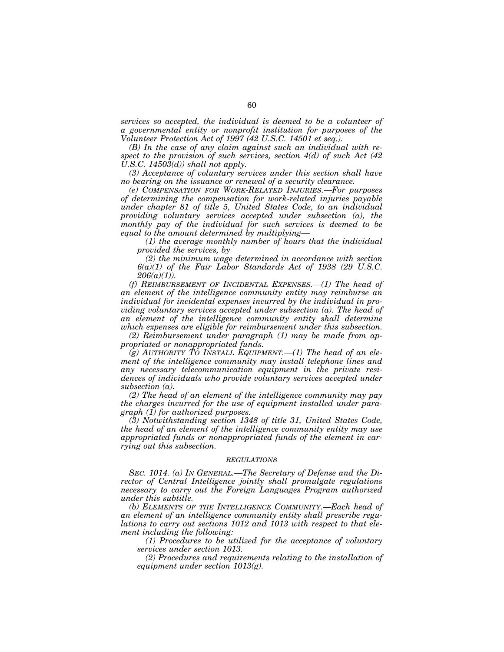*services so accepted, the individual is deemed to be a volunteer of a governmental entity or nonprofit institution for purposes of the Volunteer Protection Act of 1997 (42 U.S.C. 14501 et seq.).* 

*(B) In the case of any claim against such an individual with respect to the provision of such services, section 4(d) of such Act (42 U.S.C. 14503(d)) shall not apply.* 

*(3) Acceptance of voluntary services under this section shall have no bearing on the issuance or renewal of a security clearance.* 

*(e) COMPENSATION FOR WORK-RELATED INJURIES.—For purposes of determining the compensation for work-related injuries payable under chapter 81 of title 5, United States Code, to an individual providing voluntary services accepted under subsection (a), the monthly pay of the individual for such services is deemed to be equal to the amount determined by multiplying—* 

*(1) the average monthly number of hours that the individual provided the services, by* 

*(2) the minimum wage determined in accordance with section 6(a)(1) of the Fair Labor Standards Act of 1938 (29 U.S.C. 206(a)(1)).* 

*(f) REIMBURSEMENT OF INCIDENTAL EXPENSES.—(1) The head of an element of the intelligence community entity may reimburse an individual for incidental expenses incurred by the individual in providing voluntary services accepted under subsection (a). The head of an element of the intelligence community entity shall determine which expenses are eligible for reimbursement under this subsection.* 

*(2) Reimbursement under paragraph (1) may be made from appropriated or nonappropriated funds.* 

 $(g)$  AUTHORITY TO INSTALL EQUIPMENT.  $-1$  The head of an ele*ment of the intelligence community may install telephone lines and any necessary telecommunication equipment in the private residences of individuals who provide voluntary services accepted under subsection (a).* 

*(2) The head of an element of the intelligence community may pay the charges incurred for the use of equipment installed under paragraph (1) for authorized purposes.* 

*(3) Notwithstanding section 1348 of title 31, United States Code, the head of an element of the intelligence community entity may use appropriated funds or nonappropriated funds of the element in carrying out this subsection.* 

#### *REGULATIONS*

*SEC. 1014. (a) IN GENERAL.—The Secretary of Defense and the Director of Central Intelligence jointly shall promulgate regulations necessary to carry out the Foreign Languages Program authorized under this subtitle.* 

*(b) ELEMENTS OF THE INTELLIGENCE COMMUNITY.—Each head of an element of an intelligence community entity shall prescribe regulations to carry out sections 1012 and 1013 with respect to that element including the following:* 

*(1) Procedures to be utilized for the acceptance of voluntary services under section 1013.* 

*(2) Procedures and requirements relating to the installation of equipment under section 1013(g).*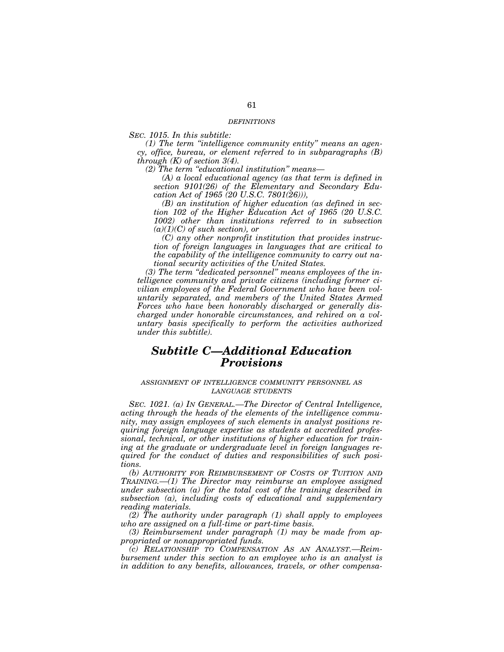#### *DEFINITIONS*

*SEC. 1015. In this subtitle:* 

*(1) The term ''intelligence community entity'' means an agency, office, bureau, or element referred to in subparagraphs (B) through (K) of section 3(4).* 

*(2) The term ''educational institution'' means—* 

*(A) a local educational agency (as that term is defined in section 9101(26) of the Elementary and Secondary Education Act of 1965 (20 U.S.C. 7801(26))),* 

*(B) an institution of higher education (as defined in section 102 of the Higher Education Act of 1965 (20 U.S.C. 1002) other than institutions referred to in subsection (a)(1)(C) of such section), or* 

*(C) any other nonprofit institution that provides instruction of foreign languages in languages that are critical to the capability of the intelligence community to carry out national security activities of the United States.* 

*(3) The term ''dedicated personnel'' means employees of the intelligence community and private citizens (including former civilian employees of the Federal Government who have been voluntarily separated, and members of the United States Armed Forces who have been honorably discharged or generally discharged under honorable circumstances, and rehired on a voluntary basis specifically to perform the activities authorized under this subtitle).* 

# *Subtitle C—Additional Education Provisions*

#### *ASSIGNMENT OF INTELLIGENCE COMMUNITY PERSONNEL AS LANGUAGE STUDENTS*

*SEC. 1021. (a) IN GENERAL.—The Director of Central Intelligence, acting through the heads of the elements of the intelligence community, may assign employees of such elements in analyst positions requiring foreign language expertise as students at accredited professional, technical, or other institutions of higher education for training at the graduate or undergraduate level in foreign languages required for the conduct of duties and responsibilities of such positions.* 

*(b) AUTHORITY FOR REIMBURSEMENT OF COSTS OF TUITION AND TRAINING.—(1) The Director may reimburse an employee assigned under subsection (a) for the total cost of the training described in subsection (a), including costs of educational and supplementary reading materials.* 

*(2) The authority under paragraph (1) shall apply to employees who are assigned on a full-time or part-time basis.* 

*(3) Reimbursement under paragraph (1) may be made from appropriated or nonappropriated funds.* 

*(c) RELATIONSHIP TO COMPENSATION AS AN ANALYST.—Reimbursement under this section to an employee who is an analyst is in addition to any benefits, allowances, travels, or other compensa-*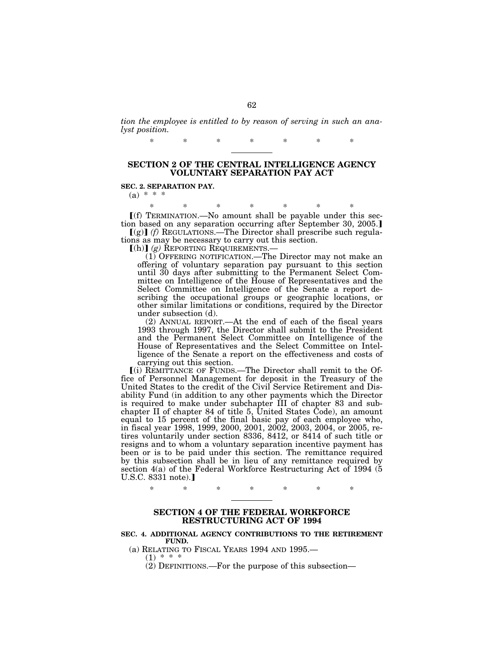*tion the employee is entitled to by reason of serving in such an analyst position.* 

\* \* \* \* \* \* \*

# **SECTION 2 OF THE CENTRAL INTELLIGENCE AGENCY VOLUNTARY SEPARATION PAY ACT**

**SEC. 2. SEPARATION PAY.** 

(a)  $* \overline{*}$ 

\* \* \* \* \* \* \*  $[(f)$  TERMINATION.—No amount shall be payable under this section based on any separation occurring after September 30, 2005.  $\lceil g \rceil$  *(f)* REGULATIONS.—The Director shall prescribe such regula-

tions as may be necessary to carry out this section.<br> $[(h)] (g)$  REPORTING REQUIREMENTS.—

(1) OFFERING NOTIFICATION.—The Director may not make an offering of voluntary separation pay pursuant to this section until 30 days after submitting to the Permanent Select Committee on Intelligence of the House of Representatives and the Select Committee on Intelligence of the Senate a report describing the occupational groups or geographic locations, or other similar limitations or conditions, required by the Director under subsection (d).

(2) ANNUAL REPORT.—At the end of each of the fiscal years 1993 through 1997, the Director shall submit to the President and the Permanent Select Committee on Intelligence of the House of Representatives and the Select Committee on Intelligence of the Senate a report on the effectiveness and costs of carrying out this section.

ø(i) REMITTANCE OF FUNDS.—The Director shall remit to the Office of Personnel Management for deposit in the Treasury of the United States to the credit of the Civil Service Retirement and Disability Fund (in addition to any other payments which the Director is required to make under subchapter III of chapter 83 and subchapter II of chapter 84 of title 5, United States Code), an amount equal to 15 percent of the final basic pay of each employee who, in fiscal year 1998, 1999, 2000, 2001, 2002, 2003, 2004, or 2005, retires voluntarily under section 8336, 8412, or 8414 of such title or resigns and to whom a voluntary separation incentive payment has been or is to be paid under this section. The remittance required by this subsection shall be in lieu of any remittance required by section 4(a) of the Federal Workforce Restructuring Act of 1994 (5  $U.S.C. 8331 note.$ 

\* \* \* \* \* \* \*

# **SECTION 4 OF THE FEDERAL WORKFORCE RESTRUCTURING ACT OF 1994**

#### **SEC. 4. ADDITIONAL AGENCY CONTRIBUTIONS TO THE RETIREMENT FUND.**

(a) RELATING TO FISCAL YEARS 1994 AND 1995.—

 $(1) * * * *$ 

(2) DEFINITIONS.—For the purpose of this subsection—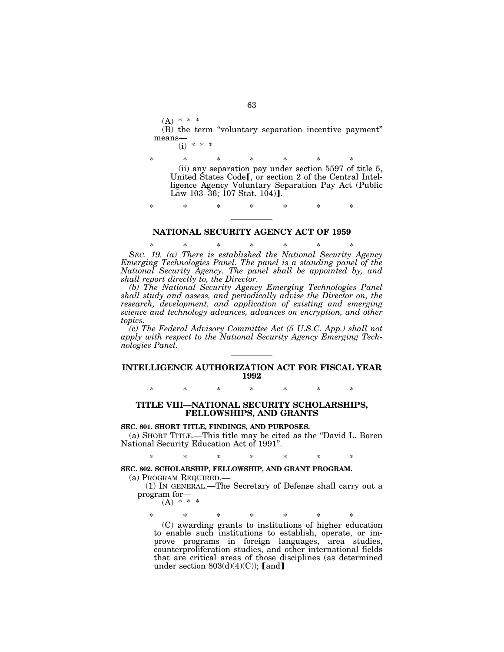$(A) * * * *$ (B) the term ''voluntary separation incentive payment'' means—

 $(i)$  \*

\* \* \* \* \* \* \* (ii) any separation pay under section 5597 of title 5, United States Code<sup>[, or</sup> section 2 of the Central Intelligence Agency Voluntary Separation Pay Act (Public Law 103–36; 107 Stat.  $104$ ).

\* \* \* \* \* \* \*

# **NATIONAL SECURITY AGENCY ACT OF 1959**

\* \* \* \* \* \* \* *SEC. 19. (a) There is established the National Security Agency Emerging Technologies Panel. The panel is a standing panel of the National Security Agency. The panel shall be appointed by, and shall report directly to, the Director.* 

*(b) The National Security Agency Emerging Technologies Panel shall study and assess, and periodically advise the Director on, the research, development, and application of existing and emerging science and technology advances, advances on encryption, and other topics.* 

*(c) The Federal Advisory Committee Act (5 U.S.C. App.) shall not apply with respect to the National Security Agency Emerging Technologies Panel.* 

# **INTELLIGENCE AUTHORIZATION ACT FOR FISCAL YEAR 1992**

\* \* \* \* \* \* \*

# **TITLE VIII—NATIONAL SECURITY SCHOLARSHIPS, FELLOWSHIPS, AND GRANTS**

# **SEC. 801. SHORT TITLE, FINDINGS, AND PURPOSES.**

(a) SHORT TITLE.—This title may be cited as the ''David L. Boren National Security Education Act of 1991''.

\* \* \* \* \* \* \*

# **SEC. 802. SCHOLARSHIP, FELLOWSHIP, AND GRANT PROGRAM.**

(a) PROGRAM REQUIRED.—

(1) IN GENERAL.—The Secretary of Defense shall carry out a program for—

 $(A) * * * *$ 

\* \* \* \* \* \* \*

(C) awarding grants to institutions of higher education to enable such institutions to establish, operate, or improve programs in foreign languages, area studies, counterproliferation studies, and other international fields that are critical areas of those disciplines (as determined under section  $803(d)(4)(C)$ ; [and]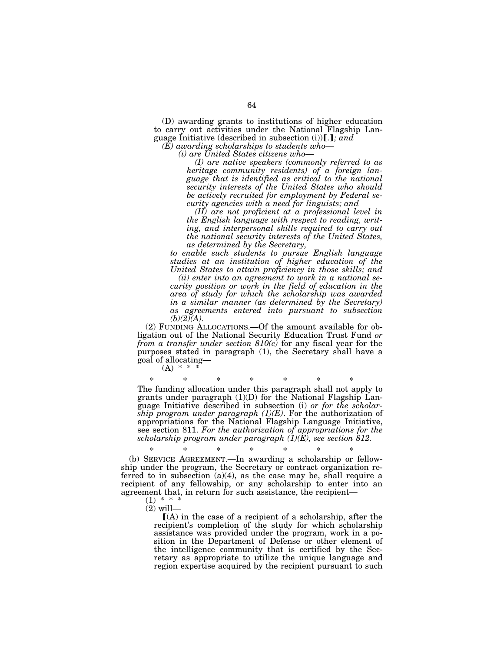(D) awarding grants to institutions of higher education to carry out activities under the National Flagship Language Initiative (described in subsection (i))...}; and *(E) awarding scholarships to students who—* 

*(i) are United States citizens who—* 

*(I) are native speakers (commonly referred to as heritage community residents) of a foreign language that is identified as critical to the national security interests of the United States who should be actively recruited for employment by Federal security agencies with a need for linguists; and* 

*(II) are not proficient at a professional level in the English language with respect to reading, writing, and interpersonal skills required to carry out the national security interests of the United States, as determined by the Secretary,* 

*to enable such students to pursue English language studies at an institution of higher education of the United States to attain proficiency in those skills; and* 

*(ii) enter into an agreement to work in a national security position or work in the field of education in the area of study for which the scholarship was awarded in a similar manner (as determined by the Secretary) as agreements entered into pursuant to subsection*   $(b)(2)(A).$ 

(2) FUNDING ALLOCATIONS.—Of the amount available for obligation out of the National Security Education Trust Fund *or from a transfer under section 810(c)* for any fiscal year for the purposes stated in paragraph (1), the Secretary shall have a goal of allocating—

 $(A) * * * *$ 

\* \* \* \* \* \* \* The funding allocation under this paragraph shall not apply to grants under paragraph  $(1)(D)$  for the National Flagship Language Initiative described in subsection (i) *or for the scholarship program under paragraph (1)(E)*. For the authorization of appropriations for the National Flagship Language Initiative, see section 811. *For the authorization of appropriations for the scholarship program under paragraph (1)(E), see section 812.* 

\* \* \* \* \* \* \* (b) SERVICE AGREEMENT.—In awarding a scholarship or fellowship under the program, the Secretary or contract organization referred to in subsection (a)(4), as the case may be, shall require a recipient of any fellowship, or any scholarship to enter into an agreement that, in return for such assistance, the recipient—

 $(1) * *$  $(2)$  will-

> $(A)$  in the case of a recipient of a scholarship, after the recipient's completion of the study for which scholarship assistance was provided under the program, work in a position in the Department of Defense or other element of the intelligence community that is certified by the Secretary as appropriate to utilize the unique language and region expertise acquired by the recipient pursuant to such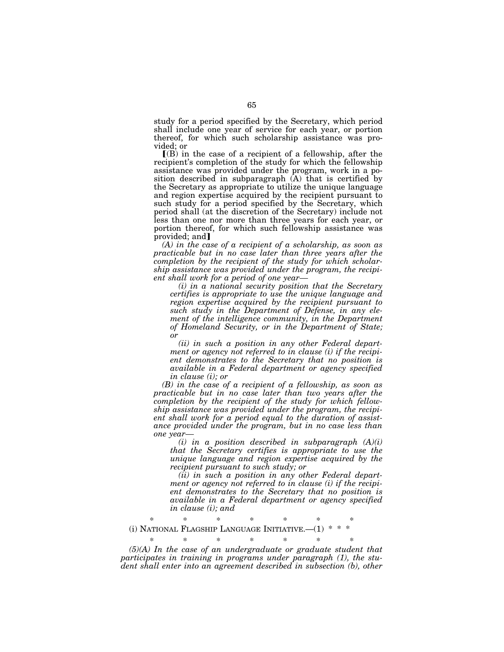study for a period specified by the Secretary, which period shall include one year of service for each year, or portion thereof, for which such scholarship assistance was provided; or

 $\Gamma(B)$  in the case of a recipient of a fellowship, after the recipient's completion of the study for which the fellowship assistance was provided under the program, work in a position described in subparagraph (A) that is certified by the Secretary as appropriate to utilize the unique language and region expertise acquired by the recipient pursuant to such study for a period specified by the Secretary, which period shall (at the discretion of the Secretary) include not less than one nor more than three years for each year, or portion thereof, for which such fellowship assistance was  $provided: and **I**$ 

*(A) in the case of a recipient of a scholarship, as soon as practicable but in no case later than three years after the completion by the recipient of the study for which scholarship assistance was provided under the program, the recipient shall work for a period of one year—* 

*(i) in a national security position that the Secretary certifies is appropriate to use the unique language and region expertise acquired by the recipient pursuant to such study in the Department of Defense, in any element of the intelligence community, in the Department of Homeland Security, or in the Department of State; or* 

*(ii) in such a position in any other Federal department or agency not referred to in clause (i) if the recipient demonstrates to the Secretary that no position is available in a Federal department or agency specified in clause (i); or* 

*(B) in the case of a recipient of a fellowship, as soon as practicable but in no case later than two years after the completion by the recipient of the study for which fellowship assistance was provided under the program, the recipient shall work for a period equal to the duration of assistance provided under the program, but in no case less than one year—* 

*(i) in a position described in subparagraph (A)(i) that the Secretary certifies is appropriate to use the unique language and region expertise acquired by the recipient pursuant to such study; or* 

*(ii) in such a position in any other Federal department or agency not referred to in clause (i) if the recipient demonstrates to the Secretary that no position is available in a Federal department or agency specified in clause (i); and* 

\* \* \* \* \* \* \* (i) NATIONAL FLAGSHIP LANGUAGE INITIATIVE.—(1) \* \* \*

\* \* \* \* \* \* \* *(5)(A) In the case of an undergraduate or graduate student that participates in training in programs under paragraph (1), the student shall enter into an agreement described in subsection (b), other*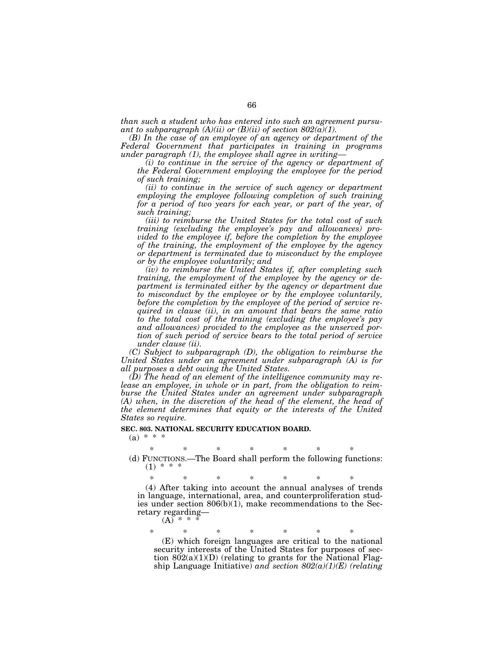*than such a student who has entered into such an agreement pursuant to subparagraph*  $(A)(ii)$  *or*  $(B)(ii)$  *of section 802(a)(1).* 

*(B) In the case of an employee of an agency or department of the Federal Government that participates in training in programs under paragraph (1), the employee shall agree in writing—* 

*(i) to continue in the service of the agency or department of the Federal Government employing the employee for the period of such training;* 

*(ii) to continue in the service of such agency or department employing the employee following completion of such training*  for a period of two years for each year, or part of the year, of *such training;* 

*(iii) to reimburse the United States for the total cost of such training (excluding the employee's pay and allowances) provided to the employee if, before the completion by the employee of the training, the employment of the employee by the agency or department is terminated due to misconduct by the employee or by the employee voluntarily; and* 

*(iv) to reimburse the United States if, after completing such training, the employment of the employee by the agency or department is terminated either by the agency or department due to misconduct by the employee or by the employee voluntarily, before the completion by the employee of the period of service required in clause (ii), in an amount that bears the same ratio to the total cost of the training (excluding the employee's pay and allowances) provided to the employee as the unserved portion of such period of service bears to the total period of service under clause (ii).* 

*(C) Subject to subparagraph (D), the obligation to reimburse the United States under an agreement under subparagraph (A) is for all purposes a debt owing the United States.* 

*(D) The head of an element of the intelligence community may release an employee, in whole or in part, from the obligation to reimburse the United States under an agreement under subparagraph*  (A) when, in the discretion of the head of the element, the head of *the element determines that equity or the interests of the United States so require.* 

# **SEC. 803. NATIONAL SECURITY EDUCATION BOARD.**

 $(a) * * * *$ 

\* \* \* \* \* \* \* (d) FUNCTIONS.—The Board shall perform the following functions:  $(1) * *$ 

\* \* \* \* \* \* \* (4) After taking into account the annual analyses of trends in language, international, area, and counterproliferation studies under section  $806(b)(1)$ , make recommendations to the Secretary regarding—

 $(A)$  \* \*

\* \* \* \* \* \* \* (E) which foreign languages are critical to the national security interests of the United States for purposes of section  $802(a)(1)(D)$  (relating to grants for the National Flagship Language Initiative) *and section 802(a)(1)(E) (relating*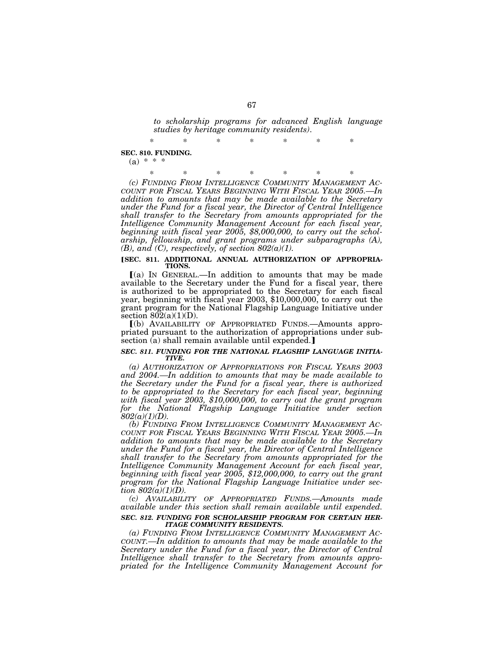*to scholarship programs for advanced English language studies by heritage community residents)*.

**SEC. 810. FUNDING.** 

 $(a) * * *$ 

\* \* \* \* \* \* \* *(c) FUNDING FROM INTELLIGENCE COMMUNITY MANAGEMENT AC-COUNT FOR FISCAL YEARS BEGINNING WITH FISCAL YEAR 2005.—In addition to amounts that may be made available to the Secretary under the Fund for a fiscal year, the Director of Central Intelligence shall transfer to the Secretary from amounts appropriated for the Intelligence Community Management Account for each fiscal year, beginning with fiscal year 2005, \$8,000,000, to carry out the scholarship, fellowship, and grant programs under subparagraphs (A),*   $(B)$ , and  $(C)$ , respectively, of section  $802(a)(1)$ .

#### [SEC. 811. ADDITIONAL ANNUAL AUTHORIZATION OF APPROPRIA-**TIONS.**

 $(a)$  In GENERAL.—In addition to amounts that may be made available to the Secretary under the Fund for a fiscal year, there is authorized to be appropriated to the Secretary for each fiscal year, beginning with fiscal year 2003, \$10,000,000, to carry out the grant program for the National Flagship Language Initiative under section  $802(a)(1)(D)$ .

ø(b) AVAILABILITY OF APPROPRIATED FUNDS.—Amounts appropriated pursuant to the authorization of appropriations under subsection (a) shall remain available until expended.

#### *SEC. 811. FUNDING FOR THE NATIONAL FLAGSHIP LANGUAGE INITIA-TIVE.*

*(a) AUTHORIZATION OF APPROPRIATIONS FOR FISCAL YEARS 2003 and 2004.—In addition to amounts that may be made available to the Secretary under the Fund for a fiscal year, there is authorized to be appropriated to the Secretary for each fiscal year, beginning with fiscal year 2003, \$10,000,000, to carry out the grant program for the National Flagship Language Initiative under section 802(a)(1)(D).* 

*(b) FUNDING FROM INTELLIGENCE COMMUNITY MANAGEMENT AC-COUNT FOR FISCAL YEARS BEGINNING WITH FISCAL YEAR 2005.—In addition to amounts that may be made available to the Secretary under the Fund for a fiscal year, the Director of Central Intelligence shall transfer to the Secretary from amounts appropriated for the Intelligence Community Management Account for each fiscal year, beginning with fiscal year 2005, \$12,000,000, to carry out the grant program for the National Flagship Language Initiative under section 802(a)(1)(D).* 

*(c) AVAILABILITY OF APPROPRIATED FUNDS.—Amounts made available under this section shall remain available until expended.* 

#### *SEC. 812. FUNDING FOR SCHOLARSHIP PROGRAM FOR CERTAIN HER-ITAGE COMMUNITY RESIDENTS.*

*(a) FUNDING FROM INTELLIGENCE COMMUNITY MANAGEMENT AC-COUNT.—In addition to amounts that may be made available to the Secretary under the Fund for a fiscal year, the Director of Central Intelligence shall transfer to the Secretary from amounts appropriated for the Intelligence Community Management Account for* 

\* \* \* \* \* \* \*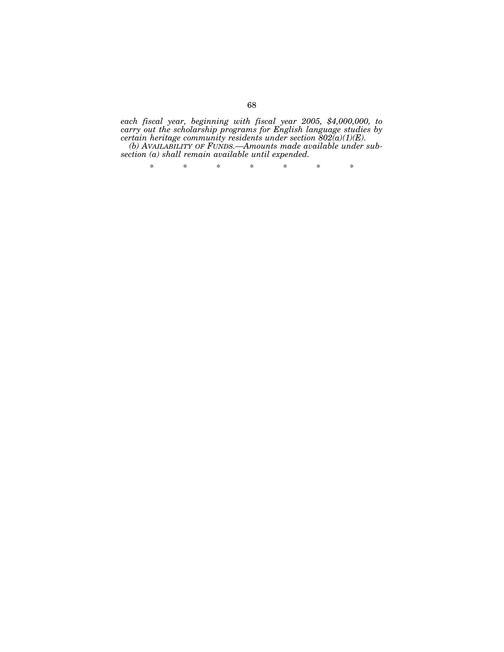*each fiscal year, beginning with fiscal year 2005, \$4,000,000, to carry out the scholarship programs for English language studies by certain heritage community residents under section 802(a)(1)(E).* 

*(b) AVAILABILITY OF FUNDS.—Amounts made available under subsection (a) shall remain available until expended.* 

\* \* \* \* \* \* \*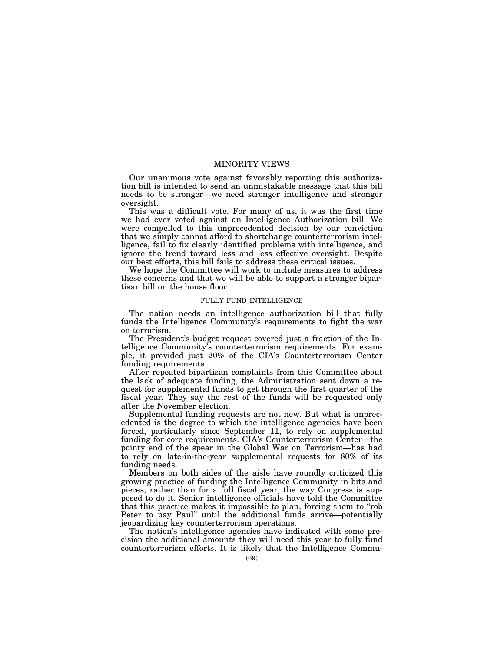# MINORITY VIEWS

Our unanimous vote against favorably reporting this authorization bill is intended to send an unmistakable message that this bill needs to be stronger—we need stronger intelligence and stronger oversight.

This was a difficult vote. For many of us, it was the first time we had ever voted against an Intelligence Authorization bill. We were compelled to this unprecedented decision by our conviction that we simply cannot afford to shortchange counterterrorism intelligence, fail to fix clearly identified problems with intelligence, and ignore the trend toward less and less effective oversight. Despite our best efforts, this bill fails to address these critical issues.

We hope the Committee will work to include measures to address these concerns and that we will be able to support a stronger bipartisan bill on the house floor.

# FULLY FUND INTELLIGENCE

The nation needs an intelligence authorization bill that fully funds the Intelligence Community's requirements to fight the war on terrorism.

The President's budget request covered just a fraction of the Intelligence Community's counterterrorism requirements. For example, it provided just 20% of the CIA's Counterterrorism Center funding requirements.

After repeated bipartisan complaints from this Committee about the lack of adequate funding, the Administration sent down a request for supplemental funds to get through the first quarter of the fiscal year. They say the rest of the funds will be requested only after the November election.

Supplemental funding requests are not new. But what is unprecedented is the degree to which the intelligence agencies have been forced, particularly since September 11, to rely on supplemental funding for core requirements. CIA's Counterterrorism Center—the pointy end of the spear in the Global War on Terrorism—has had to rely on late-in-the-year supplemental requests for 80% of its funding needs.

Members on both sides of the aisle have roundly criticized this growing practice of funding the Intelligence Community in bits and pieces, rather than for a full fiscal year, the way Congress is supposed to do it. Senior intelligence officials have told the Committee that this practice makes it impossible to plan, forcing them to ''rob Peter to pay Paul'' until the additional funds arrive—potentially jeopardizing key counterterrorism operations.

The nation's intelligence agencies have indicated with some precision the additional amounts they will need this year to fully fund counterterrorism efforts. It is likely that the Intelligence Commu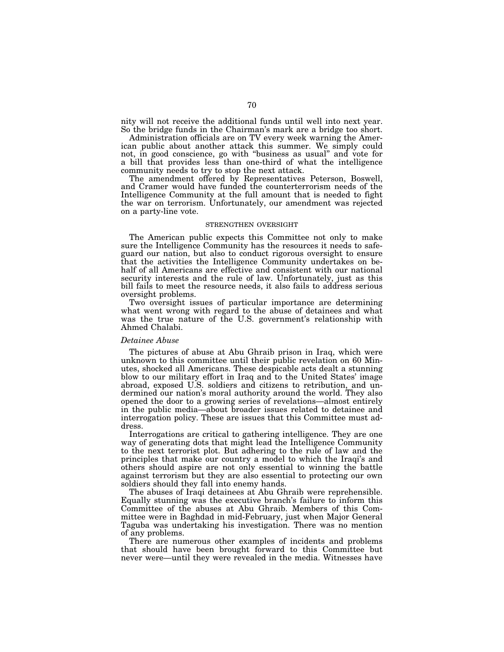nity will not receive the additional funds until well into next year. So the bridge funds in the Chairman's mark are a bridge too short.

Administration officials are on TV every week warning the American public about another attack this summer. We simply could not, in good conscience, go with ''business as usual'' and vote for a bill that provides less than one-third of what the intelligence community needs to try to stop the next attack.

The amendment offered by Representatives Peterson, Boswell, and Cramer would have funded the counterterrorism needs of the Intelligence Community at the full amount that is needed to fight the war on terrorism. Unfortunately, our amendment was rejected on a party-line vote.

# STRENGTHEN OVERSIGHT

The American public expects this Committee not only to make sure the Intelligence Community has the resources it needs to safeguard our nation, but also to conduct rigorous oversight to ensure that the activities the Intelligence Community undertakes on behalf of all Americans are effective and consistent with our national security interests and the rule of law. Unfortunately, just as this bill fails to meet the resource needs, it also fails to address serious oversight problems.

Two oversight issues of particular importance are determining what went wrong with regard to the abuse of detainees and what was the true nature of the U.S. government's relationship with Ahmed Chalabi.

#### *Detainee Abuse*

The pictures of abuse at Abu Ghraib prison in Iraq, which were unknown to this committee until their public revelation on 60 Minutes, shocked all Americans. These despicable acts dealt a stunning blow to our military effort in Iraq and to the United States' image abroad, exposed U.S. soldiers and citizens to retribution, and undermined our nation's moral authority around the world. They also opened the door to a growing series of revelations—almost entirely in the public media—about broader issues related to detainee and interrogation policy. These are issues that this Committee must address.

Interrogations are critical to gathering intelligence. They are one way of generating dots that might lead the Intelligence Community to the next terrorist plot. But adhering to the rule of law and the principles that make our country a model to which the Iraqi's and others should aspire are not only essential to winning the battle against terrorism but they are also essential to protecting our own soldiers should they fall into enemy hands.

The abuses of Iraqi detainees at Abu Ghraib were reprehensible. Equally stunning was the executive branch's failure to inform this Committee of the abuses at Abu Ghraib. Members of this Committee were in Baghdad in mid-February, just when Major General Taguba was undertaking his investigation. There was no mention of any problems.

There are numerous other examples of incidents and problems that should have been brought forward to this Committee but never were—until they were revealed in the media. Witnesses have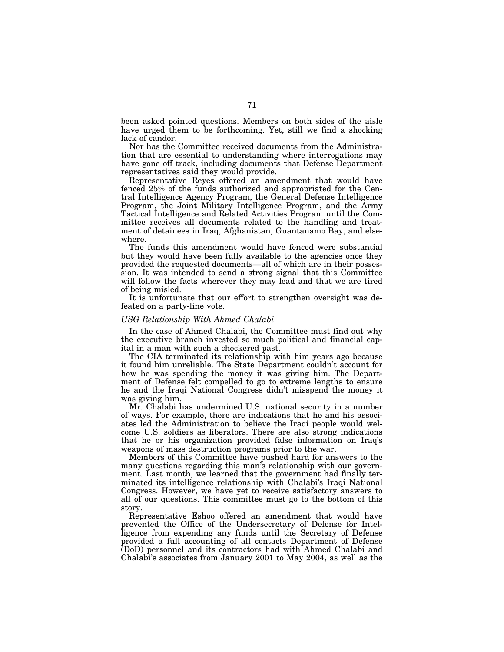been asked pointed questions. Members on both sides of the aisle have urged them to be forthcoming. Yet, still we find a shocking lack of candor.

Nor has the Committee received documents from the Administration that are essential to understanding where interrogations may have gone off track, including documents that Defense Department representatives said they would provide.

Representative Reyes offered an amendment that would have fenced 25% of the funds authorized and appropriated for the Central Intelligence Agency Program, the General Defense Intelligence Program, the Joint Military Intelligence Program, and the Army Tactical Intelligence and Related Activities Program until the Committee receives all documents related to the handling and treatment of detainees in Iraq, Afghanistan, Guantanamo Bay, and elsewhere.

The funds this amendment would have fenced were substantial but they would have been fully available to the agencies once they provided the requested documents—all of which are in their possession. It was intended to send a strong signal that this Committee will follow the facts wherever they may lead and that we are tired of being misled.

It is unfortunate that our effort to strengthen oversight was defeated on a party-line vote.

#### *USG Relationship With Ahmed Chalabi*

In the case of Ahmed Chalabi, the Committee must find out why the executive branch invested so much political and financial capital in a man with such a checkered past.

The CIA terminated its relationship with him years ago because it found him unreliable. The State Department couldn't account for how he was spending the money it was giving him. The Department of Defense felt compelled to go to extreme lengths to ensure he and the Iraqi National Congress didn't misspend the money it was giving him.

Mr. Chalabi has undermined U.S. national security in a number of ways. For example, there are indications that he and his associates led the Administration to believe the Iraqi people would welcome U.S. soldiers as liberators. There are also strong indications that he or his organization provided false information on Iraq's weapons of mass destruction programs prior to the war.

Members of this Committee have pushed hard for answers to the many questions regarding this man's relationship with our government. Last month, we learned that the government had finally terminated its intelligence relationship with Chalabi's Iraqi National Congress. However, we have yet to receive satisfactory answers to all of our questions. This committee must go to the bottom of this story.

Representative Eshoo offered an amendment that would have prevented the Office of the Undersecretary of Defense for Intelligence from expending any funds until the Secretary of Defense provided a full accounting of all contacts Department of Defense (DoD) personnel and its contractors had with Ahmed Chalabi and Chalabi's associates from January 2001 to May 2004, as well as the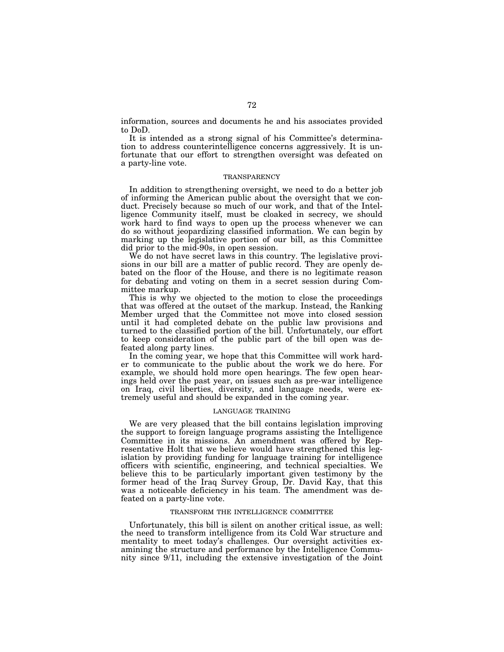information, sources and documents he and his associates provided to DoD.

It is intended as a strong signal of his Committee's determination to address counterintelligence concerns aggressively. It is unfortunate that our effort to strengthen oversight was defeated on a party-line vote.

# **TRANSPARENCY**

In addition to strengthening oversight, we need to do a better job of informing the American public about the oversight that we conduct. Precisely because so much of our work, and that of the Intelligence Community itself, must be cloaked in secrecy, we should work hard to find ways to open up the process whenever we can do so without jeopardizing classified information. We can begin by marking up the legislative portion of our bill, as this Committee did prior to the mid-90s, in open session.

We do not have secret laws in this country. The legislative provisions in our bill are a matter of public record. They are openly debated on the floor of the House, and there is no legitimate reason for debating and voting on them in a secret session during Committee markup.

This is why we objected to the motion to close the proceedings that was offered at the outset of the markup. Instead, the Ranking Member urged that the Committee not move into closed session until it had completed debate on the public law provisions and turned to the classified portion of the bill. Unfortunately, our effort to keep consideration of the public part of the bill open was defeated along party lines.

In the coming year, we hope that this Committee will work harder to communicate to the public about the work we do here. For example, we should hold more open hearings. The few open hearings held over the past year, on issues such as pre-war intelligence on Iraq, civil liberties, diversity, and language needs, were extremely useful and should be expanded in the coming year.

# LANGUAGE TRAINING

We are very pleased that the bill contains legislation improving the support to foreign language programs assisting the Intelligence Committee in its missions. An amendment was offered by Representative Holt that we believe would have strengthened this legislation by providing funding for language training for intelligence officers with scientific, engineering, and technical specialties. We believe this to be particularly important given testimony by the former head of the Iraq Survey Group, Dr. David Kay, that this was a noticeable deficiency in his team. The amendment was defeated on a party-line vote.

# TRANSFORM THE INTELLIGENCE COMMITTEE

Unfortunately, this bill is silent on another critical issue, as well: the need to transform intelligence from its Cold War structure and mentality to meet today's challenges. Our oversight activities examining the structure and performance by the Intelligence Community since 9/11, including the extensive investigation of the Joint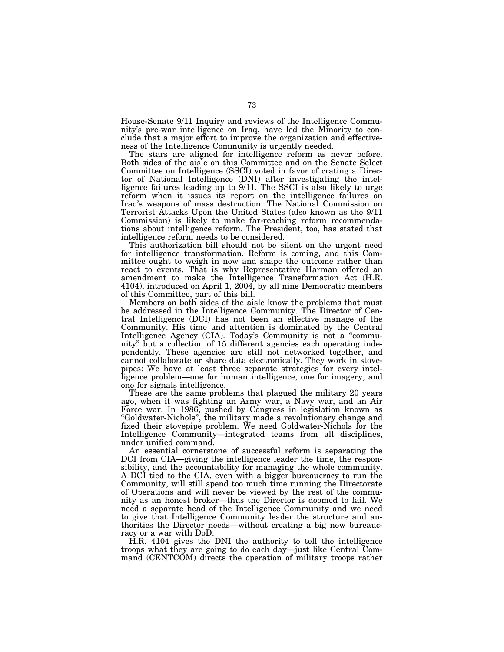House-Senate 9/11 Inquiry and reviews of the Intelligence Community's pre-war intelligence on Iraq, have led the Minority to conclude that a major effort to improve the organization and effectiveness of the Intelligence Community is urgently needed.

The stars are aligned for intelligence reform as never before. Both sides of the aisle on this Committee and on the Senate Select Committee on Intelligence (SSCI) voted in favor of crating a Director of National Intelligence (DNI) after investigating the intelligence failures leading up to 9/11. The SSCI is also likely to urge reform when it issues its report on the intelligence failures on Iraq's weapons of mass destruction. The National Commission on Terrorist Attacks Upon the United States (also known as the 9/11 Commission) is likely to make far-reaching reform recommendations about intelligence reform. The President, too, has stated that intelligence reform needs to be considered.

This authorization bill should not be silent on the urgent need for intelligence transformation. Reform is coming, and this Committee ought to weigh in now and shape the outcome rather than react to events. That is why Representative Harman offered an amendment to make the Intelligence Transformation Act (H.R. 4104), introduced on April 1, 2004, by all nine Democratic members of this Committee, part of this bill.

Members on both sides of the aisle know the problems that must be addressed in the Intelligence Community. The Director of Central Intelligence (DCI) has not been an effective manage of the Community. His time and attention is dominated by the Central Intelligence Agency (CIA). Today's Community is not a ''community'' but a collection of 15 different agencies each operating independently. These agencies are still not networked together, and cannot collaborate or share data electronically. They work in stovepipes: We have at least three separate strategies for every intelligence problem—one for human intelligence, one for imagery, and one for signals intelligence.

These are the same problems that plagued the military 20 years ago, when it was fighting an Army war, a Navy war, and an Air Force war. In 1986, pushed by Congress in legislation known as ''Goldwater-Nichols'', the military made a revolutionary change and fixed their stovepipe problem. We need Goldwater-Nichols for the Intelligence Community—integrated teams from all disciplines, under unified command.

An essential cornerstone of successful reform is separating the DCI from CIA—giving the intelligence leader the time, the responsibility, and the accountability for managing the whole community. A DCI tied to the CIA, even with a bigger bureaucracy to run the Community, will still spend too much time running the Directorate of Operations and will never be viewed by the rest of the community as an honest broker—thus the Director is doomed to fail. We need a separate head of the Intelligence Community and we need to give that Intelligence Community leader the structure and authorities the Director needs—without creating a big new bureaucracy or a war with DoD.

H.R. 4104 gives the DNI the authority to tell the intelligence troops what they are going to do each day—just like Central Command (CENTCOM) directs the operation of military troops rather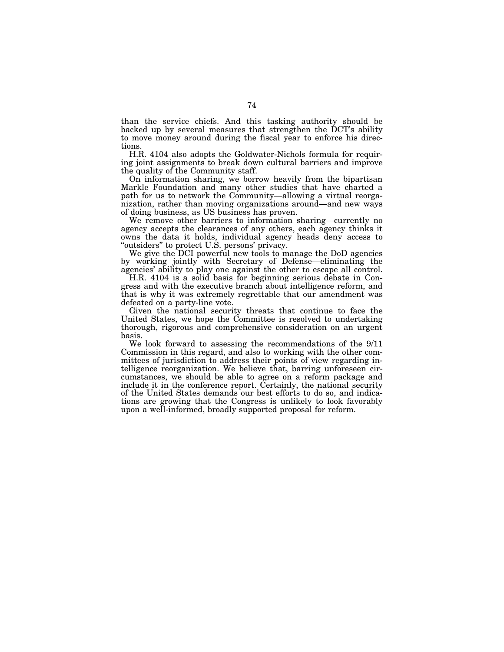than the service chiefs. And this tasking authority should be backed up by several measures that strengthen the DCT's ability to move money around during the fiscal year to enforce his directions.

H.R. 4104 also adopts the Goldwater-Nichols formula for requiring joint assignments to break down cultural barriers and improve the quality of the Community staff.

On information sharing, we borrow heavily from the bipartisan Markle Foundation and many other studies that have charted a path for us to network the Community—allowing a virtual reorganization, rather than moving organizations around—and new ways of doing business, as US business has proven.

We remove other barriers to information sharing—currently no agency accepts the clearances of any others, each agency thinks it owns the data it holds, individual agency heads deny access to "outsiders" to protect U.S. persons' privacy.

We give the DCI powerful new tools to manage the DoD agencies by working jointly with Secretary of Defense—eliminating the agencies' ability to play one against the other to escape all control.

H.R. 4104 is a solid basis for beginning serious debate in Congress and with the executive branch about intelligence reform, and that is why it was extremely regrettable that our amendment was defeated on a party-line vote.

Given the national security threats that continue to face the United States, we hope the Committee is resolved to undertaking thorough, rigorous and comprehensive consideration on an urgent basis.

We look forward to assessing the recommendations of the 9/11 Commission in this regard, and also to working with the other committees of jurisdiction to address their points of view regarding intelligence reorganization. We believe that, barring unforeseen circumstances, we should be able to agree on a reform package and include it in the conference report. Certainly, the national security of the United States demands our best efforts to do so, and indications are growing that the Congress is unlikely to look favorably upon a well-informed, broadly supported proposal for reform.